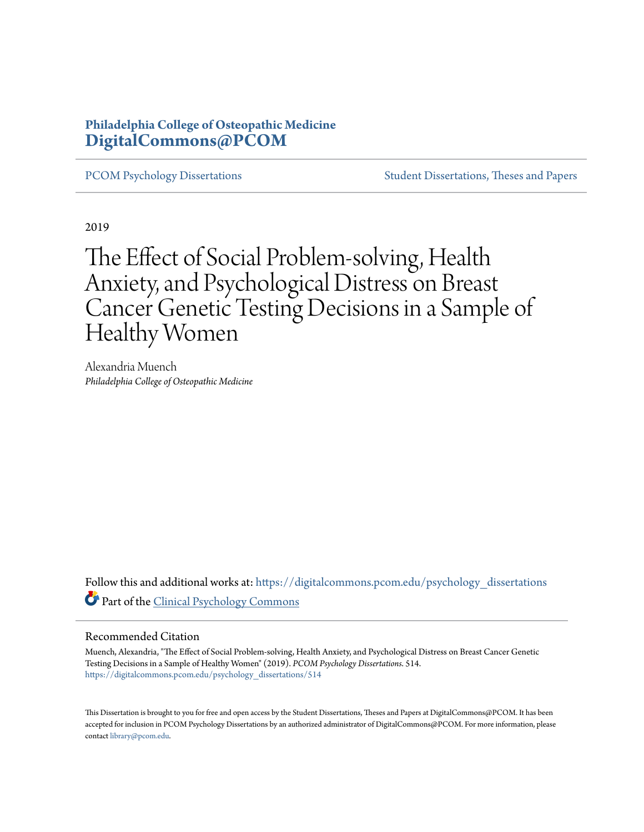# **Philadelphia College of Osteopathic Medicine [DigitalCommons@PCOM](https://digitalcommons.pcom.edu?utm_source=digitalcommons.pcom.edu%2Fpsychology_dissertations%2F514&utm_medium=PDF&utm_campaign=PDFCoverPages)**

[PCOM Psychology Dissertations](https://digitalcommons.pcom.edu/psychology_dissertations?utm_source=digitalcommons.pcom.edu%2Fpsychology_dissertations%2F514&utm_medium=PDF&utm_campaign=PDFCoverPages) [Student Dissertations, Theses and Papers](https://digitalcommons.pcom.edu/etds?utm_source=digitalcommons.pcom.edu%2Fpsychology_dissertations%2F514&utm_medium=PDF&utm_campaign=PDFCoverPages)

2019

# The Effect of Social Problem-solving, Health Anxiety, and Psychological Distress on Breast Cancer Genetic Testing Decisions in a Sample of Healthy Women

Alexandria Muench *Philadelphia College of Osteopathic Medicine*

Follow this and additional works at: [https://digitalcommons.pcom.edu/psychology\\_dissertations](https://digitalcommons.pcom.edu/psychology_dissertations?utm_source=digitalcommons.pcom.edu%2Fpsychology_dissertations%2F514&utm_medium=PDF&utm_campaign=PDFCoverPages) Part of the [Clinical Psychology Commons](http://network.bepress.com/hgg/discipline/406?utm_source=digitalcommons.pcom.edu%2Fpsychology_dissertations%2F514&utm_medium=PDF&utm_campaign=PDFCoverPages)

#### Recommended Citation

Muench, Alexandria, "The Effect of Social Problem-solving, Health Anxiety, and Psychological Distress on Breast Cancer Genetic Testing Decisions in a Sample of Healthy Women" (2019). *PCOM Psychology Dissertations*. 514. [https://digitalcommons.pcom.edu/psychology\\_dissertations/514](https://digitalcommons.pcom.edu/psychology_dissertations/514?utm_source=digitalcommons.pcom.edu%2Fpsychology_dissertations%2F514&utm_medium=PDF&utm_campaign=PDFCoverPages)

This Dissertation is brought to you for free and open access by the Student Dissertations, Theses and Papers at DigitalCommons@PCOM. It has been accepted for inclusion in PCOM Psychology Dissertations by an authorized administrator of DigitalCommons@PCOM. For more information, please contact [library@pcom.edu.](mailto:library@pcom.edu)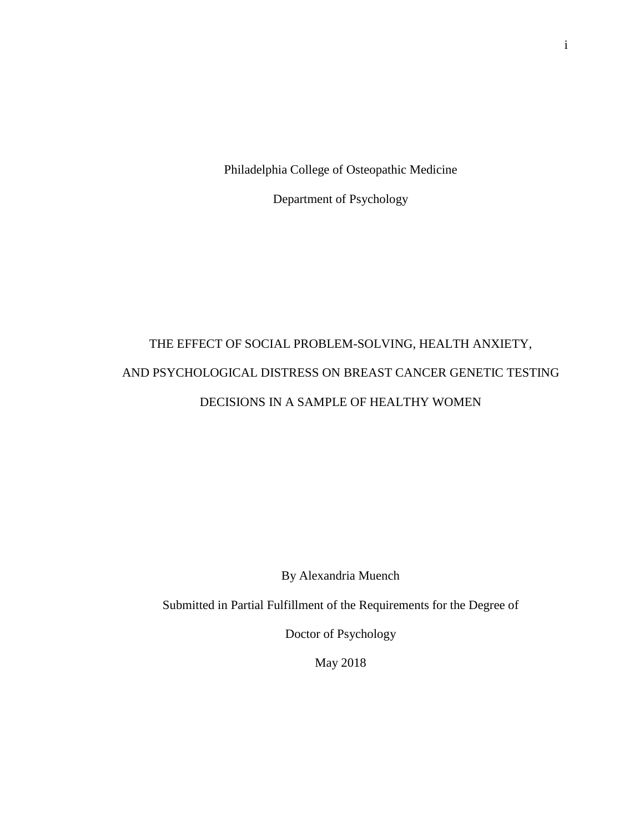Philadelphia College of Osteopathic Medicine

Department of Psychology

# THE EFFECT OF SOCIAL PROBLEM-SOLVING, HEALTH ANXIETY, AND PSYCHOLOGICAL DISTRESS ON BREAST CANCER GENETIC TESTING DECISIONS IN A SAMPLE OF HEALTHY WOMEN

By Alexandria Muench

Submitted in Partial Fulfillment of the Requirements for the Degree of

Doctor of Psychology

May 2018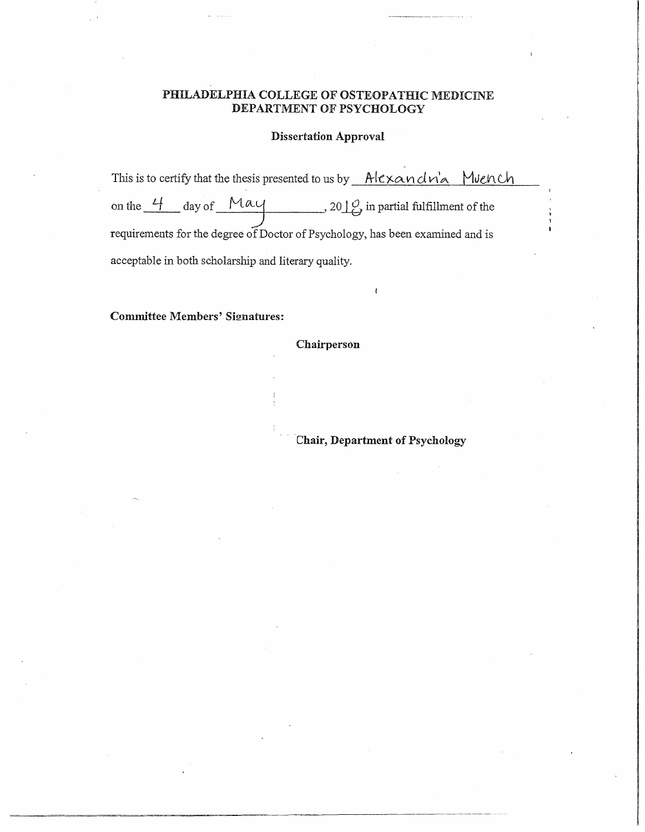# PHILADELPHIA COLLEGE OF OSTEOPATHIC MEDICINE DEPARTMENT OF PSYCHOLOGY

# Dissertation Approval

This is to certify that the thesis presented to us by  $\_\text{Alexander}$   $\alpha$   $\alpha$ on the  $\frac{4}{1}$  day of  $\frac{May}{1}$ , 20  $\frac{10}{9}$  in partial fulfillment of the requirements for the degree of Doctor of Psychology, has been examined and is acceptable in both scholarship and literary quality.

### Committee Members' Signatures:

Chairperson

Chair, Department of Psychology

 $\mathbf{r}$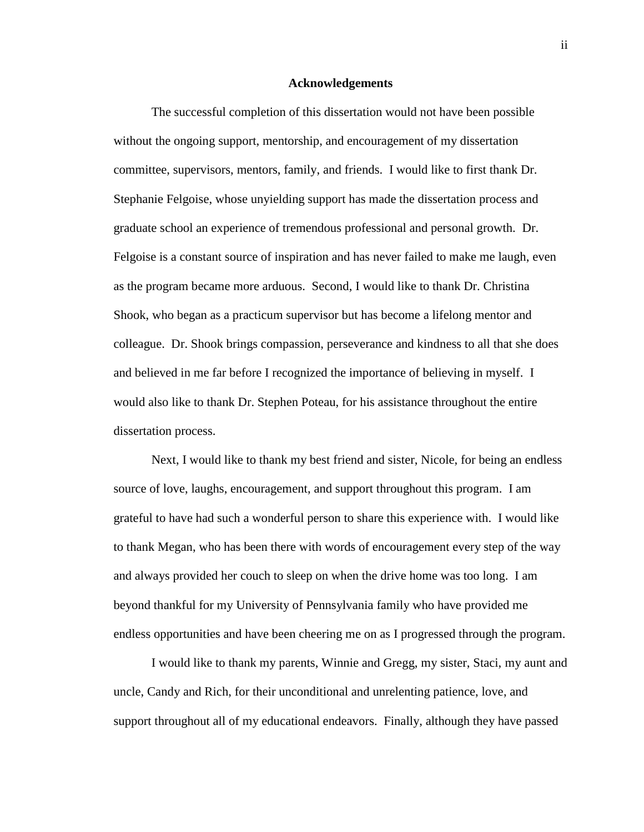#### **Acknowledgements**

The successful completion of this dissertation would not have been possible without the ongoing support, mentorship, and encouragement of my dissertation committee, supervisors, mentors, family, and friends. I would like to first thank Dr. Stephanie Felgoise, whose unyielding support has made the dissertation process and graduate school an experience of tremendous professional and personal growth. Dr. Felgoise is a constant source of inspiration and has never failed to make me laugh, even as the program became more arduous. Second, I would like to thank Dr. Christina Shook, who began as a practicum supervisor but has become a lifelong mentor and colleague. Dr. Shook brings compassion, perseverance and kindness to all that she does and believed in me far before I recognized the importance of believing in myself. I would also like to thank Dr. Stephen Poteau, for his assistance throughout the entire dissertation process.

Next, I would like to thank my best friend and sister, Nicole, for being an endless source of love, laughs, encouragement, and support throughout this program. I am grateful to have had such a wonderful person to share this experience with. I would like to thank Megan, who has been there with words of encouragement every step of the way and always provided her couch to sleep on when the drive home was too long. I am beyond thankful for my University of Pennsylvania family who have provided me endless opportunities and have been cheering me on as I progressed through the program.

I would like to thank my parents, Winnie and Gregg, my sister, Staci, my aunt and uncle, Candy and Rich, for their unconditional and unrelenting patience, love, and support throughout all of my educational endeavors. Finally, although they have passed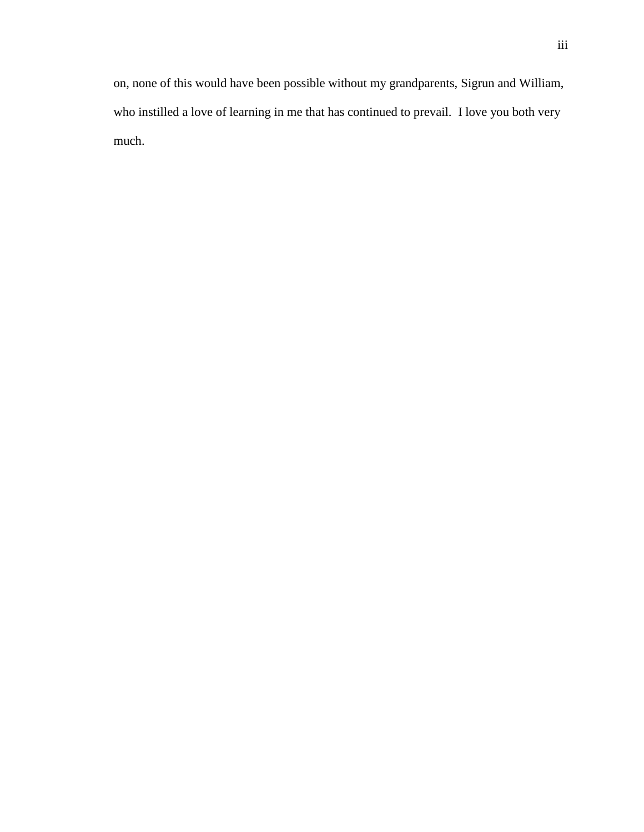on, none of this would have been possible without my grandparents, Sigrun and William, who instilled a love of learning in me that has continued to prevail. I love you both very much.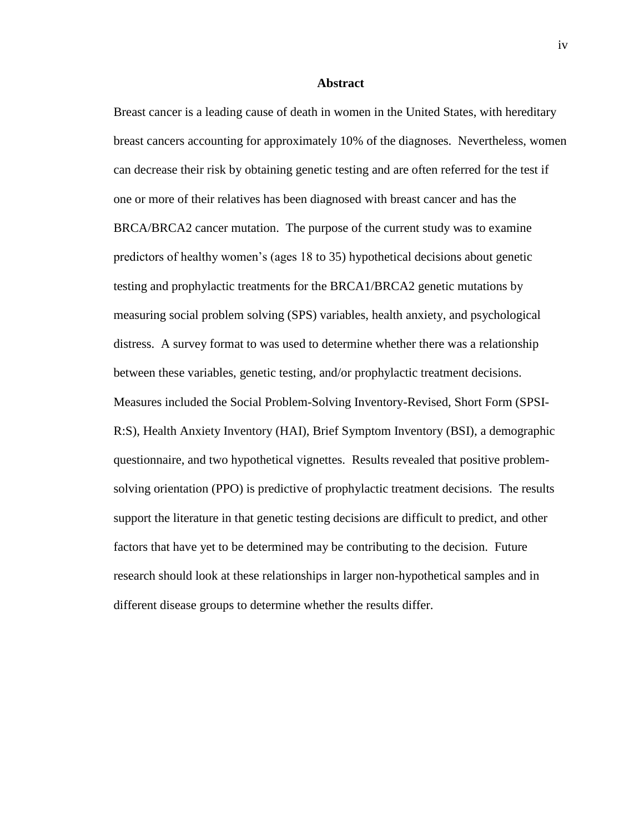#### **Abstract**

Breast cancer is a leading cause of death in women in the United States, with hereditary breast cancers accounting for approximately 10% of the diagnoses. Nevertheless, women can decrease their risk by obtaining genetic testing and are often referred for the test if one or more of their relatives has been diagnosed with breast cancer and has the BRCA/BRCA2 cancer mutation. The purpose of the current study was to examine predictors of healthy women's (ages 18 to 35) hypothetical decisions about genetic testing and prophylactic treatments for the BRCA1/BRCA2 genetic mutations by measuring social problem solving (SPS) variables, health anxiety, and psychological distress. A survey format to was used to determine whether there was a relationship between these variables, genetic testing, and/or prophylactic treatment decisions. Measures included the Social Problem-Solving Inventory-Revised, Short Form (SPSI-R:S), Health Anxiety Inventory (HAI), Brief Symptom Inventory (BSI), a demographic questionnaire, and two hypothetical vignettes. Results revealed that positive problemsolving orientation (PPO) is predictive of prophylactic treatment decisions. The results support the literature in that genetic testing decisions are difficult to predict, and other factors that have yet to be determined may be contributing to the decision. Future research should look at these relationships in larger non-hypothetical samples and in different disease groups to determine whether the results differ.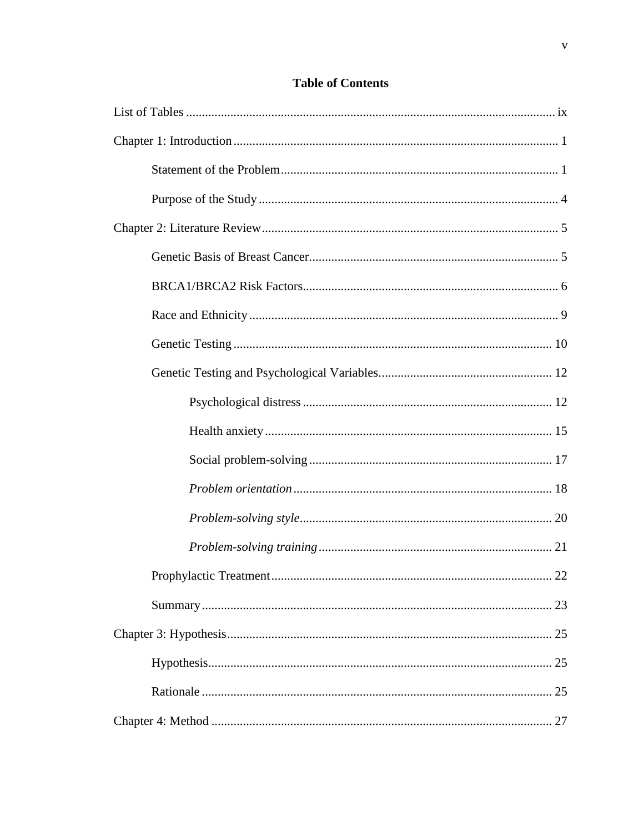# **Table of Contents**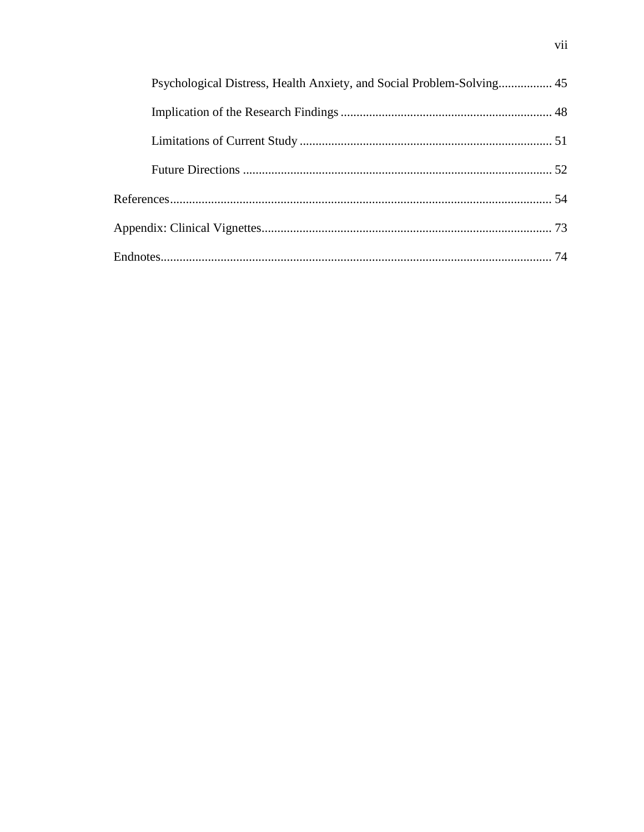| Psychological Distress, Health Anxiety, and Social Problem-Solving 45 |  |
|-----------------------------------------------------------------------|--|
|                                                                       |  |
|                                                                       |  |
|                                                                       |  |
|                                                                       |  |
|                                                                       |  |
|                                                                       |  |
|                                                                       |  |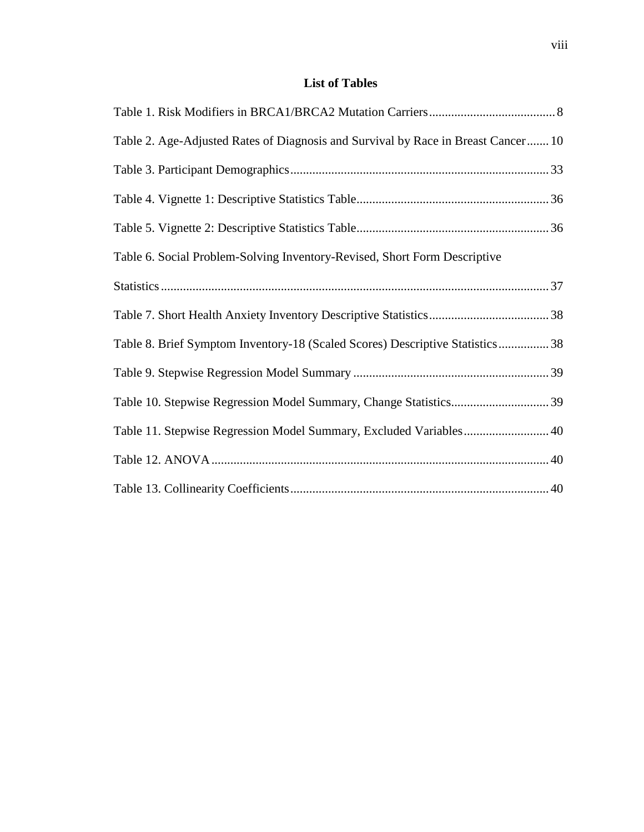# **List of Tables**

| Table 2. Age-Adjusted Rates of Diagnosis and Survival by Race in Breast Cancer 10 |
|-----------------------------------------------------------------------------------|
|                                                                                   |
|                                                                                   |
|                                                                                   |
| Table 6. Social Problem-Solving Inventory-Revised, Short Form Descriptive         |
|                                                                                   |
|                                                                                   |
| Table 8. Brief Symptom Inventory-18 (Scaled Scores) Descriptive Statistics 38     |
|                                                                                   |
|                                                                                   |
| Table 11. Stepwise Regression Model Summary, Excluded Variables 40                |
|                                                                                   |
|                                                                                   |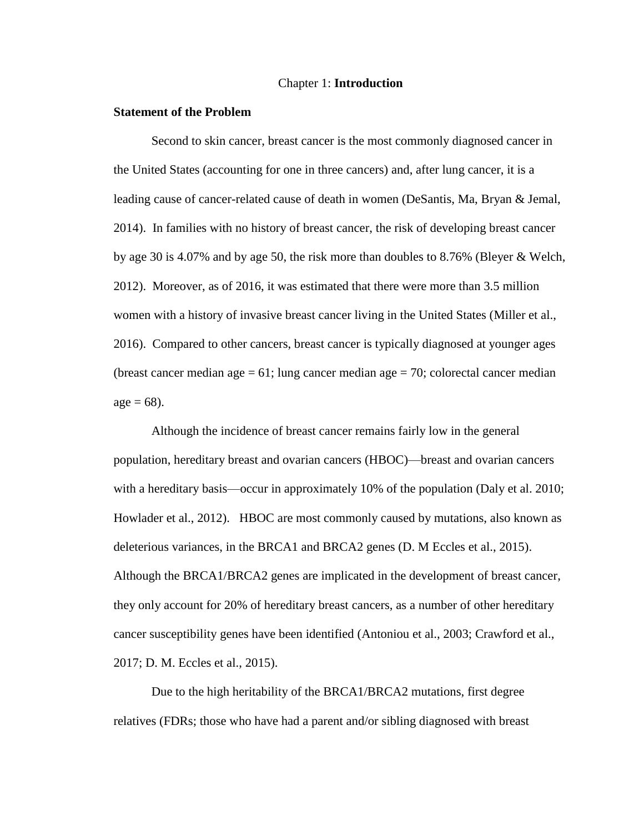#### Chapter 1: **Introduction**

#### **Statement of the Problem**

Second to skin cancer, breast cancer is the most commonly diagnosed cancer in the United States (accounting for one in three cancers) and, after lung cancer, it is a leading cause of cancer-related cause of death in women (DeSantis, Ma, Bryan & Jemal, 2014). In families with no history of breast cancer, the risk of developing breast cancer by age 30 is 4.07% and by age 50, the risk more than doubles to 8.76% (Bleyer & Welch, 2012). Moreover, as of 2016, it was estimated that there were more than 3.5 million women with a history of invasive breast cancer living in the United States (Miller et al., 2016). Compared to other cancers, breast cancer is typically diagnosed at younger ages (breast cancer median age  $= 61$ ; lung cancer median age  $= 70$ ; colorectal cancer median  $age = 68$ ).

Although the incidence of breast cancer remains fairly low in the general population, hereditary breast and ovarian cancers (HBOC)—breast and ovarian cancers with a hereditary basis—occur in approximately 10% of the population (Daly et al. 2010; Howlader et al., 2012). HBOC are most commonly caused by mutations, also known as deleterious variances, in the BRCA1 and BRCA2 genes (D. M Eccles et al., 2015). Although the BRCA1/BRCA2 genes are implicated in the development of breast cancer, they only account for 20% of hereditary breast cancers, as a number of other hereditary cancer susceptibility genes have been identified (Antoniou et al., 2003; Crawford et al., 2017; D. M. Eccles et al., 2015).

Due to the high heritability of the BRCA1/BRCA2 mutations, first degree relatives (FDRs; those who have had a parent and/or sibling diagnosed with breast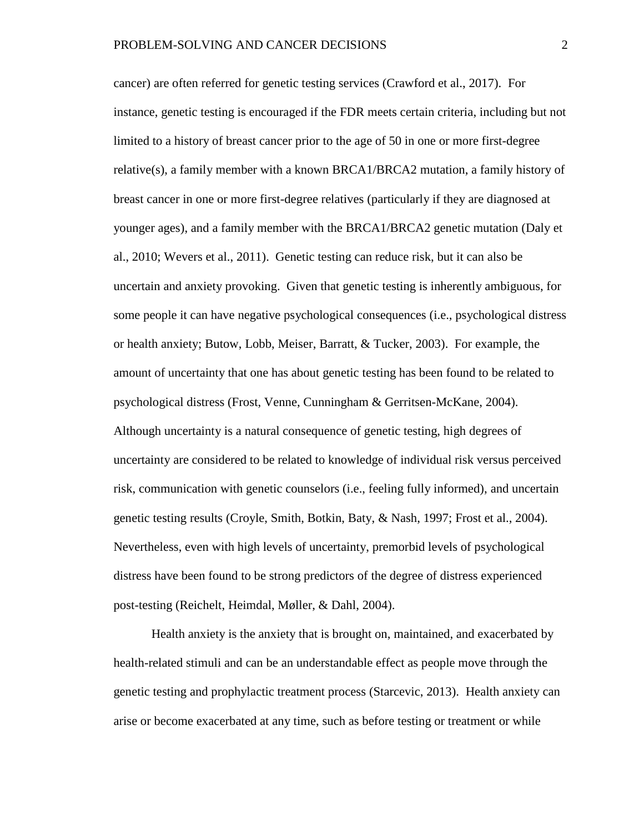cancer) are often referred for genetic testing services (Crawford et al., 2017). For instance, genetic testing is encouraged if the FDR meets certain criteria, including but not limited to a history of breast cancer prior to the age of 50 in one or more first-degree relative(s), a family member with a known BRCA1/BRCA2 mutation, a family history of breast cancer in one or more first-degree relatives (particularly if they are diagnosed at younger ages), and a family member with the BRCA1/BRCA2 genetic mutation (Daly et al., 2010; Wevers et al., 2011). Genetic testing can reduce risk, but it can also be uncertain and anxiety provoking. Given that genetic testing is inherently ambiguous, for some people it can have negative psychological consequences (i.e., psychological distress or health anxiety; Butow, Lobb, Meiser, Barratt, & Tucker, 2003). For example, the amount of uncertainty that one has about genetic testing has been found to be related to psychological distress (Frost, Venne, Cunningham & Gerritsen-McKane, 2004). Although uncertainty is a natural consequence of genetic testing, high degrees of uncertainty are considered to be related to knowledge of individual risk versus perceived risk, communication with genetic counselors (i.e., feeling fully informed), and uncertain genetic testing results (Croyle, Smith, Botkin, Baty, & Nash, 1997; Frost et al., 2004). Nevertheless, even with high levels of uncertainty, premorbid levels of psychological distress have been found to be strong predictors of the degree of distress experienced post-testing (Reichelt, Heimdal, Møller, & Dahl, 2004).

Health anxiety is the anxiety that is brought on, maintained, and exacerbated by health-related stimuli and can be an understandable effect as people move through the genetic testing and prophylactic treatment process (Starcevic, 2013). Health anxiety can arise or become exacerbated at any time, such as before testing or treatment or while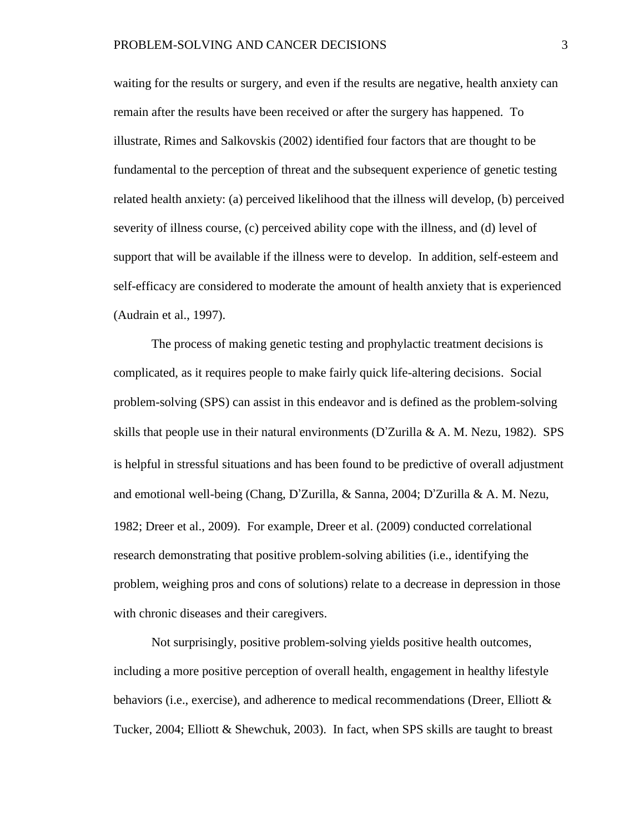waiting for the results or surgery, and even if the results are negative, health anxiety can remain after the results have been received or after the surgery has happened. To illustrate, Rimes and Salkovskis (2002) identified four factors that are thought to be fundamental to the perception of threat and the subsequent experience of genetic testing related health anxiety: (a) perceived likelihood that the illness will develop, (b) perceived severity of illness course, (c) perceived ability cope with the illness, and (d) level of support that will be available if the illness were to develop. In addition, self-esteem and self-efficacy are considered to moderate the amount of health anxiety that is experienced (Audrain et al., 1997).

The process of making genetic testing and prophylactic treatment decisions is complicated, as it requires people to make fairly quick life-altering decisions. Social problem-solving (SPS) can assist in this endeavor and is defined as the problem-solving skills that people use in their natural environments (D'Zurilla & A. M. Nezu, 1982). SPS is helpful in stressful situations and has been found to be predictive of overall adjustment and emotional well-being (Chang, D'Zurilla, & Sanna, 2004; D'Zurilla & A. M. Nezu, 1982; Dreer et al., 2009). For example, Dreer et al. (2009) conducted correlational research demonstrating that positive problem-solving abilities (i.e., identifying the problem, weighing pros and cons of solutions) relate to a decrease in depression in those with chronic diseases and their caregivers.

Not surprisingly, positive problem-solving yields positive health outcomes, including a more positive perception of overall health, engagement in healthy lifestyle behaviors (i.e., exercise), and adherence to medical recommendations (Dreer, Elliott  $\&$ Tucker, 2004; Elliott & Shewchuk, 2003). In fact, when SPS skills are taught to breast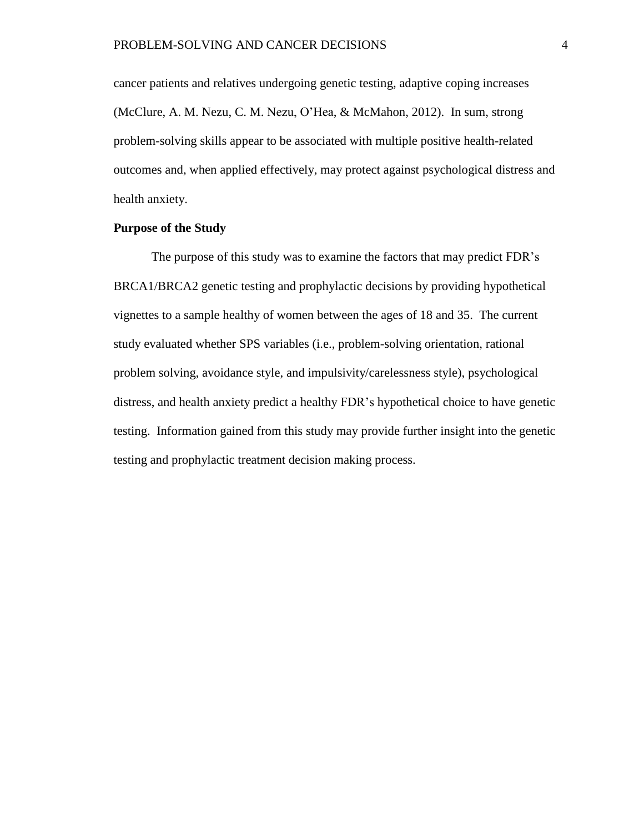cancer patients and relatives undergoing genetic testing, adaptive coping increases (McClure, A. M. Nezu, C. M. Nezu, O'Hea, & McMahon, 2012). In sum, strong problem-solving skills appear to be associated with multiple positive health-related outcomes and, when applied effectively, may protect against psychological distress and health anxiety.

## **Purpose of the Study**

The purpose of this study was to examine the factors that may predict FDR's BRCA1/BRCA2 genetic testing and prophylactic decisions by providing hypothetical vignettes to a sample healthy of women between the ages of 18 and 35. The current study evaluated whether SPS variables (i.e., problem-solving orientation, rational problem solving, avoidance style, and impulsivity/carelessness style), psychological distress, and health anxiety predict a healthy FDR's hypothetical choice to have genetic testing. Information gained from this study may provide further insight into the genetic testing and prophylactic treatment decision making process.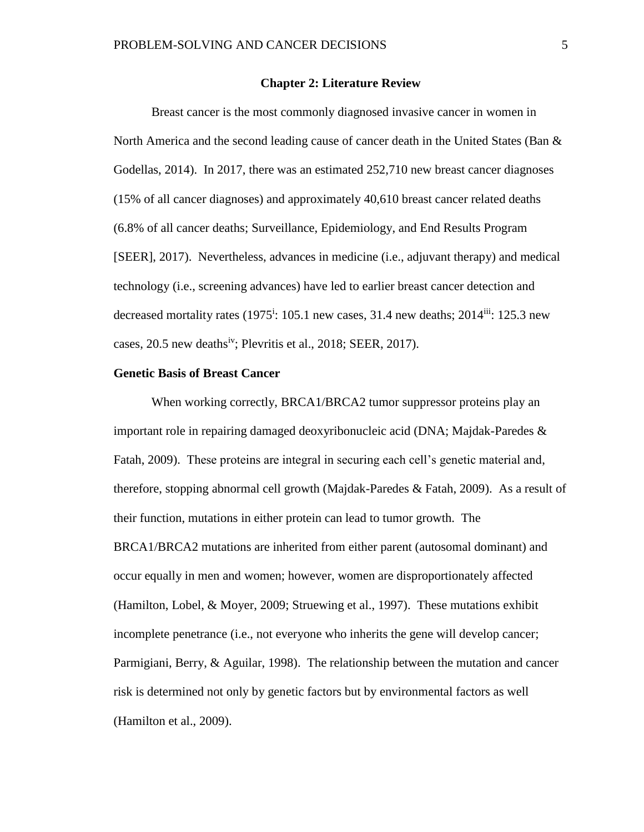#### **Chapter 2: Literature Review**

Breast cancer is the most commonly diagnosed invasive cancer in women in North America and the second leading cause of cancer death in the United States (Ban  $\&$ Godellas, 2014). In 2017, there was an estimated 252,710 new breast cancer diagnoses (15% of all cancer diagnoses) and approximately 40,610 breast cancer related deaths (6.8% of all cancer deaths; Surveillance, Epidemiology, and End Results Program [SEER], 2017). Nevertheless, advances in medicine (i.e., adjuvant therapy) and medical technology (i.e., screening advances) have led to earlier breast cancer detection and decreased mortality rates  $(1975^{\rm i}: 105.1 \text{ new cases}, 31.4 \text{ new deaths}; 2014^{\rm iii}: 125.3 \text{ new}$ cases,  $20.5$  new deaths<sup>iv</sup>; Plevritis et al.,  $2018$ ; SEER,  $2017$ ).

#### **Genetic Basis of Breast Cancer**

When working correctly, BRCA1/BRCA2 tumor suppressor proteins play an important role in repairing damaged deoxyribonucleic acid (DNA; Majdak-Paredes & Fatah, 2009). These proteins are integral in securing each cell's genetic material and, therefore, stopping abnormal cell growth (Majdak-Paredes & Fatah, 2009). As a result of their function, mutations in either protein can lead to tumor growth. The BRCA1/BRCA2 mutations are inherited from either parent (autosomal dominant) and occur equally in men and women; however, women are disproportionately affected (Hamilton, Lobel, & Moyer, 2009; Struewing et al., 1997). These mutations exhibit incomplete penetrance (i.e., not everyone who inherits the gene will develop cancer; Parmigiani, Berry, & Aguilar, 1998). The relationship between the mutation and cancer risk is determined not only by genetic factors but by environmental factors as well (Hamilton et al., 2009).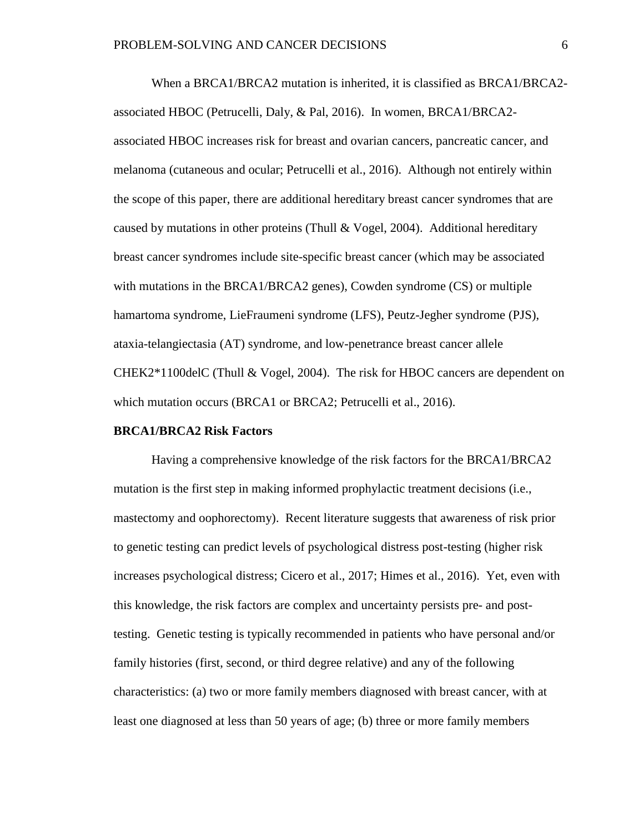When a BRCA1/BRCA2 mutation is inherited, it is classified as BRCA1/BRCA2 associated HBOC (Petrucelli, Daly, & Pal, 2016). In women, BRCA1/BRCA2 associated HBOC increases risk for breast and ovarian cancers, pancreatic cancer, and melanoma (cutaneous and ocular; Petrucelli et al., 2016). Although not entirely within the scope of this paper, there are additional hereditary breast cancer syndromes that are caused by mutations in other proteins (Thull  $& Vogel, 2004)$ . Additional hereditary breast cancer syndromes include site-specific breast cancer (which may be associated with mutations in the BRCA1/BRCA2 genes), Cowden syndrome (CS) or multiple hamartoma syndrome, LieFraumeni syndrome (LFS), Peutz-Jegher syndrome (PJS), ataxia-telangiectasia (AT) syndrome, and low-penetrance breast cancer allele CHEK2\*1100delC (Thull & Vogel, 2004). The risk for HBOC cancers are dependent on which mutation occurs (BRCA1 or BRCA2; Petrucelli et al., 2016).

## **BRCA1/BRCA2 Risk Factors**

Having a comprehensive knowledge of the risk factors for the BRCA1/BRCA2 mutation is the first step in making informed prophylactic treatment decisions (i.e., mastectomy and oophorectomy). Recent literature suggests that awareness of risk prior to genetic testing can predict levels of psychological distress post-testing (higher risk increases psychological distress; Cicero et al., 2017; Himes et al., 2016). Yet, even with this knowledge, the risk factors are complex and uncertainty persists pre- and posttesting. Genetic testing is typically recommended in patients who have personal and/or family histories (first, second, or third degree relative) and any of the following characteristics: (a) two or more family members diagnosed with breast cancer, with at least one diagnosed at less than 50 years of age; (b) three or more family members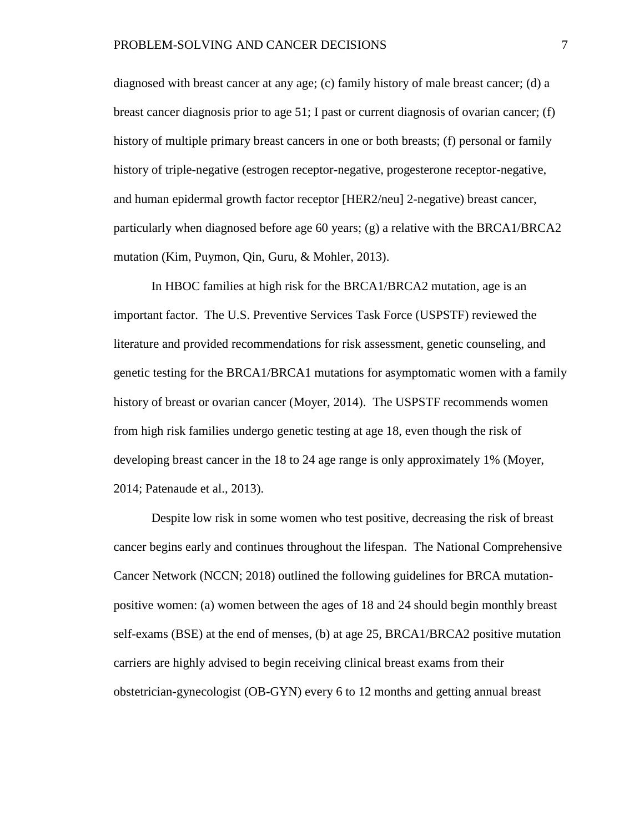diagnosed with breast cancer at any age; (c) family history of male breast cancer; (d) a breast cancer diagnosis prior to age 51; I past or current diagnosis of ovarian cancer; (f) history of multiple primary breast cancers in one or both breasts; (f) personal or family history of triple-negative (estrogen receptor-negative, progesterone receptor-negative, and human epidermal growth factor receptor [HER2/neu] 2-negative) breast cancer, particularly when diagnosed before age 60 years; (g) a relative with the BRCA1/BRCA2 mutation (Kim, Puymon, Qin, Guru, & Mohler, 2013).

In HBOC families at high risk for the BRCA1/BRCA2 mutation, age is an important factor. The U.S. Preventive Services Task Force (USPSTF) reviewed the literature and provided recommendations for risk assessment, genetic counseling, and genetic testing for the BRCA1/BRCA1 mutations for asymptomatic women with a family history of breast or ovarian cancer (Moyer, 2014). The USPSTF recommends women from high risk families undergo genetic testing at age 18, even though the risk of developing breast cancer in the 18 to 24 age range is only approximately 1% (Moyer, 2014; Patenaude et al., 2013).

Despite low risk in some women who test positive, decreasing the risk of breast cancer begins early and continues throughout the lifespan. The National Comprehensive Cancer Network (NCCN; 2018) outlined the following guidelines for BRCA mutationpositive women: (a) women between the ages of 18 and 24 should begin monthly breast self-exams (BSE) at the end of menses, (b) at age 25, BRCA1/BRCA2 positive mutation carriers are highly advised to begin receiving clinical breast exams from their obstetrician-gynecologist (OB-GYN) every 6 to 12 months and getting annual breast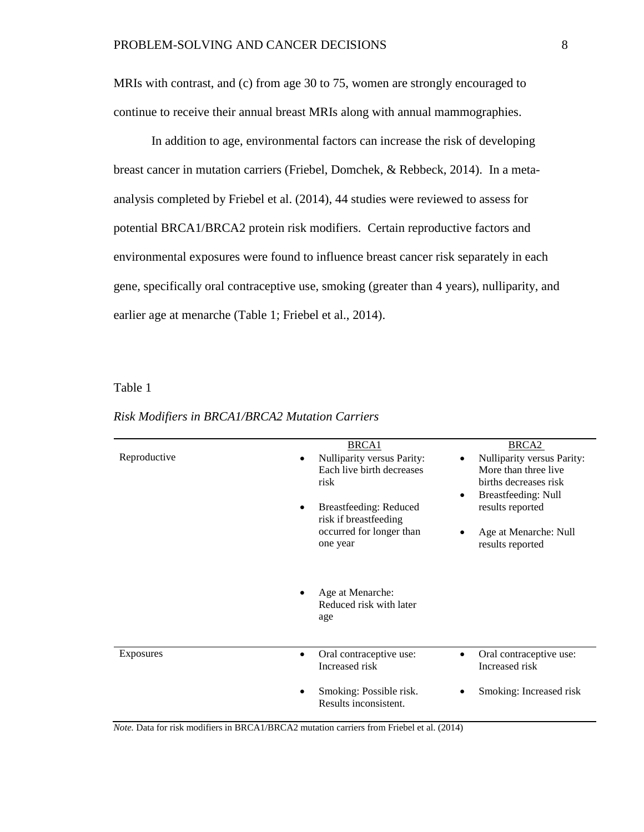MRIs with contrast, and (c) from age 30 to 75, women are strongly encouraged to continue to receive their annual breast MRIs along with annual mammographies.

In addition to age, environmental factors can increase the risk of developing breast cancer in mutation carriers (Friebel, Domchek, & Rebbeck, 2014). In a metaanalysis completed by Friebel et al. (2014), 44 studies were reviewed to assess for potential BRCA1/BRCA2 protein risk modifiers. Certain reproductive factors and environmental exposures were found to influence breast cancer risk separately in each gene, specifically oral contraceptive use, smoking (greater than 4 years), nulliparity, and earlier age at menarche (Table 1; Friebel et al., 2014).

Table 1

|                  | <b>BRCA1</b>                                                    | BRCA <sub>2</sub>                                                                                                                   |
|------------------|-----------------------------------------------------------------|-------------------------------------------------------------------------------------------------------------------------------------|
| Reproductive     | Nulliparity versus Parity:<br>Each live birth decreases<br>risk | Nulliparity versus Parity:<br>$\bullet$<br>More than three live<br>births decreases risk<br><b>Breastfeeding: Null</b><br>$\bullet$ |
|                  | Breastfeeding: Reduced<br>$\bullet$<br>risk if breastfeeding    | results reported                                                                                                                    |
|                  | occurred for longer than<br>one year                            | Age at Menarche: Null<br>$\bullet$<br>results reported                                                                              |
|                  | Age at Menarche:<br>Reduced risk with later                     |                                                                                                                                     |
|                  | age                                                             |                                                                                                                                     |
| <b>Exposures</b> | Oral contraceptive use:<br>$\bullet$<br>Increased risk          | Oral contraceptive use:<br>$\bullet$<br>Increased risk                                                                              |

*Risk Modifiers in BRCA1/BRCA2 Mutation Carriers*

*Note.* Data for risk modifiers in BRCA1/BRCA2 mutation carriers from Friebel et al. (2014)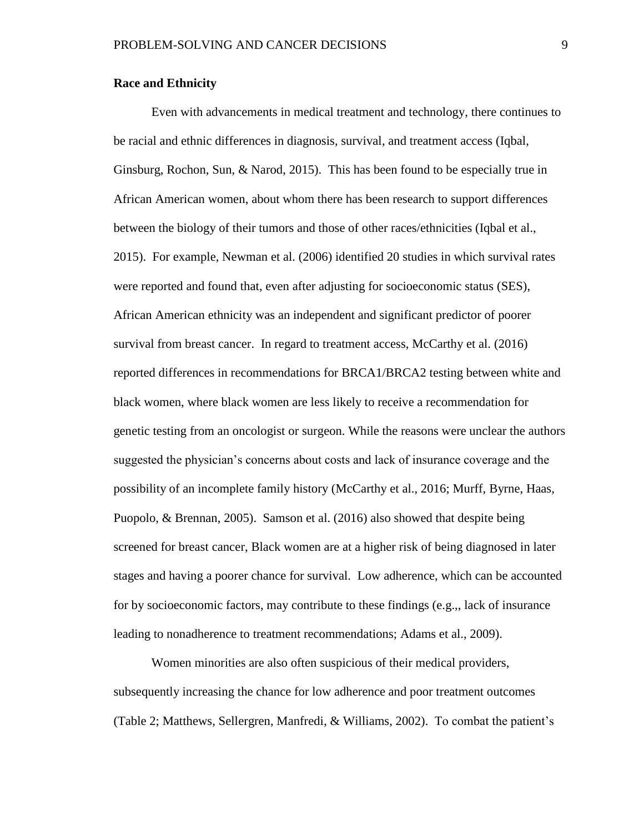#### **Race and Ethnicity**

Even with advancements in medical treatment and technology, there continues to be racial and ethnic differences in diagnosis, survival, and treatment access (Iqbal, Ginsburg, Rochon, Sun, & Narod, 2015). This has been found to be especially true in African American women, about whom there has been research to support differences between the biology of their tumors and those of other races/ethnicities (Iqbal et al., 2015). For example, Newman et al. (2006) identified 20 studies in which survival rates were reported and found that, even after adjusting for socioeconomic status (SES), African American ethnicity was an independent and significant predictor of poorer survival from breast cancer. In regard to treatment access, McCarthy et al. (2016) reported differences in recommendations for BRCA1/BRCA2 testing between white and black women, where black women are less likely to receive a recommendation for genetic testing from an oncologist or surgeon. While the reasons were unclear the authors suggested the physician's concerns about costs and lack of insurance coverage and the possibility of an incomplete family history (McCarthy et al., 2016; Murff, Byrne, Haas, Puopolo, & Brennan, 2005). Samson et al. (2016) also showed that despite being screened for breast cancer, Black women are at a higher risk of being diagnosed in later stages and having a poorer chance for survival. Low adherence, which can be accounted for by socioeconomic factors, may contribute to these findings (e.g.,, lack of insurance leading to nonadherence to treatment recommendations; Adams et al., 2009).

Women minorities are also often suspicious of their medical providers, subsequently increasing the chance for low adherence and poor treatment outcomes (Table 2; Matthews, Sellergren, Manfredi, & Williams, 2002). To combat the patient's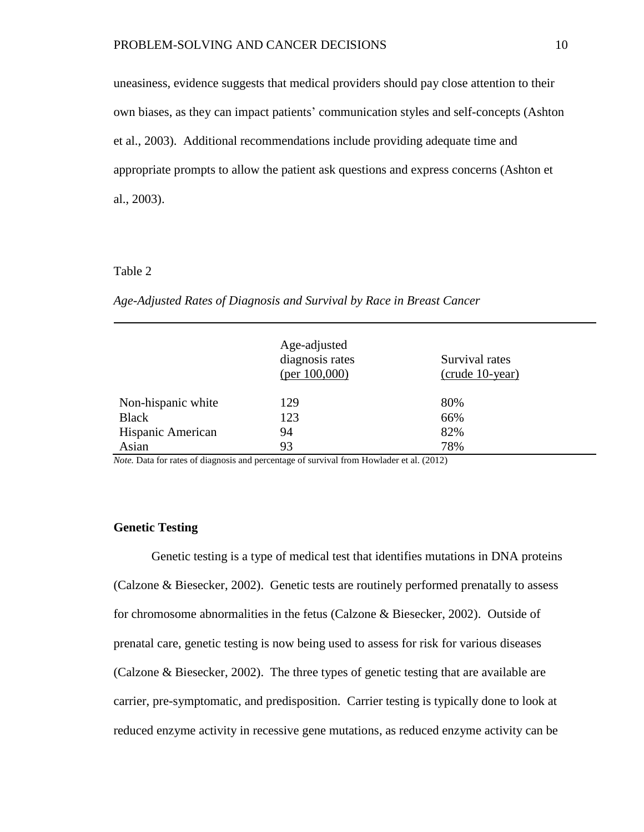uneasiness, evidence suggests that medical providers should pay close attention to their own biases, as they can impact patients' communication styles and self-concepts (Ashton et al., 2003). Additional recommendations include providing adequate time and appropriate prompts to allow the patient ask questions and express concerns (Ashton et al., 2003).

## Table 2

## *Age-Adjusted Rates of Diagnosis and Survival by Race in Breast Cancer*

|                    | Age-adjusted<br>diagnosis rates<br>(per $100,000$ ) | Survival rates<br>$(crude 10-year)$ |
|--------------------|-----------------------------------------------------|-------------------------------------|
| Non-hispanic white | 129                                                 | 80%                                 |
| <b>Black</b>       | 123                                                 | 66%                                 |
| Hispanic American  | 94                                                  | 82%                                 |
| Asian              | 93                                                  | 78%                                 |

*Note.* Data for rates of diagnosis and percentage of survival from Howlader et al. (2012)

## **Genetic Testing**

Genetic testing is a type of medical test that identifies mutations in DNA proteins (Calzone & Biesecker, 2002). Genetic tests are routinely performed prenatally to assess for chromosome abnormalities in the fetus (Calzone & Biesecker, 2002). Outside of prenatal care, genetic testing is now being used to assess for risk for various diseases (Calzone & Biesecker, 2002). The three types of genetic testing that are available are carrier, pre-symptomatic, and predisposition. Carrier testing is typically done to look at reduced enzyme activity in recessive gene mutations, as reduced enzyme activity can be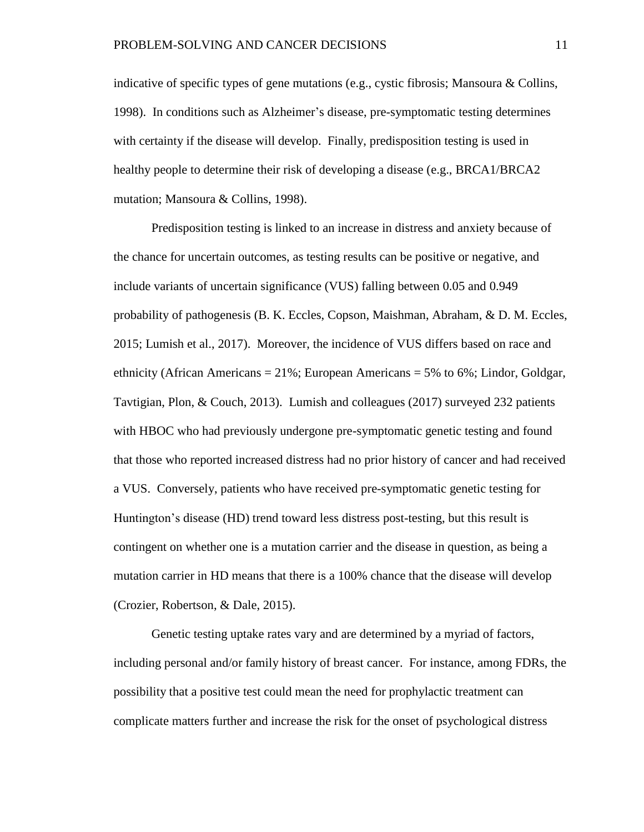indicative of specific types of gene mutations (e.g., cystic fibrosis; Mansoura & Collins, 1998). In conditions such as Alzheimer's disease, pre-symptomatic testing determines with certainty if the disease will develop. Finally, predisposition testing is used in healthy people to determine their risk of developing a disease (e.g., BRCA1/BRCA2 mutation; Mansoura & Collins, 1998).

Predisposition testing is linked to an increase in distress and anxiety because of the chance for uncertain outcomes, as testing results can be positive or negative, and include variants of uncertain significance (VUS) falling between 0.05 and 0.949 probability of pathogenesis (B. K. Eccles, Copson, Maishman, Abraham, & D. M. Eccles, 2015; Lumish et al., 2017). Moreover, the incidence of VUS differs based on race and ethnicity (African Americans = 21%; European Americans = 5% to 6%; Lindor, Goldgar, Tavtigian, Plon, & Couch, 2013). Lumish and colleagues (2017) surveyed 232 patients with HBOC who had previously undergone pre-symptomatic genetic testing and found that those who reported increased distress had no prior history of cancer and had received a VUS. Conversely, patients who have received pre-symptomatic genetic testing for Huntington's disease (HD) trend toward less distress post-testing, but this result is contingent on whether one is a mutation carrier and the disease in question, as being a mutation carrier in HD means that there is a 100% chance that the disease will develop (Crozier, Robertson, & Dale, 2015).

Genetic testing uptake rates vary and are determined by a myriad of factors, including personal and/or family history of breast cancer. For instance, among FDRs, the possibility that a positive test could mean the need for prophylactic treatment can complicate matters further and increase the risk for the onset of psychological distress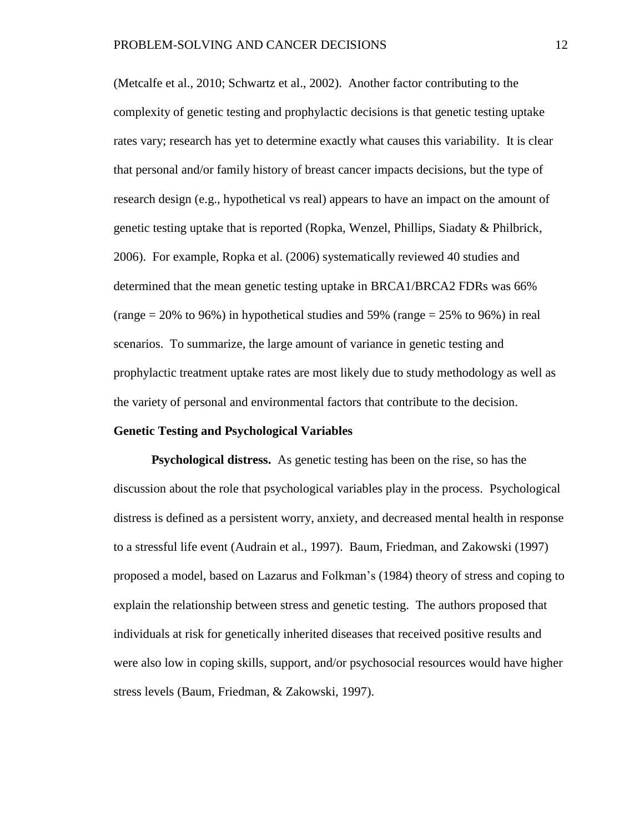(Metcalfe et al., 2010; Schwartz et al., 2002). Another factor contributing to the complexity of genetic testing and prophylactic decisions is that genetic testing uptake rates vary; research has yet to determine exactly what causes this variability. It is clear that personal and/or family history of breast cancer impacts decisions, but the type of research design (e.g., hypothetical vs real) appears to have an impact on the amount of genetic testing uptake that is reported (Ropka, Wenzel, Phillips, Siadaty & Philbrick, 2006). For example, Ropka et al. (2006) systematically reviewed 40 studies and determined that the mean genetic testing uptake in BRCA1/BRCA2 FDRs was 66% (range  $= 20\%$  to 96%) in hypothetical studies and 59% (range  $= 25\%$  to 96%) in real scenarios. To summarize, the large amount of variance in genetic testing and prophylactic treatment uptake rates are most likely due to study methodology as well as the variety of personal and environmental factors that contribute to the decision.

#### **Genetic Testing and Psychological Variables**

**Psychological distress.** As genetic testing has been on the rise, so has the discussion about the role that psychological variables play in the process. Psychological distress is defined as a persistent worry, anxiety, and decreased mental health in response to a stressful life event (Audrain et al., 1997). Baum, Friedman, and Zakowski (1997) proposed a model, based on Lazarus and Folkman's (1984) theory of stress and coping to explain the relationship between stress and genetic testing. The authors proposed that individuals at risk for genetically inherited diseases that received positive results and were also low in coping skills, support, and/or psychosocial resources would have higher stress levels (Baum, Friedman, & Zakowski, 1997).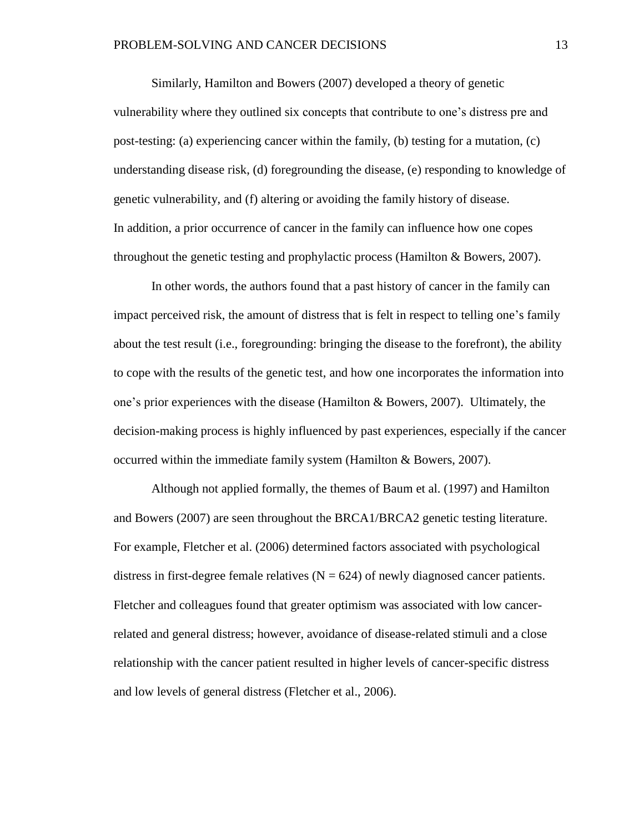Similarly, Hamilton and Bowers (2007) developed a theory of genetic vulnerability where they outlined six concepts that contribute to one's distress pre and post-testing: (a) experiencing cancer within the family, (b) testing for a mutation, (c) understanding disease risk, (d) foregrounding the disease, (e) responding to knowledge of genetic vulnerability, and (f) altering or avoiding the family history of disease. In addition, a prior occurrence of cancer in the family can influence how one copes throughout the genetic testing and prophylactic process (Hamilton & Bowers, 2007).

In other words, the authors found that a past history of cancer in the family can impact perceived risk, the amount of distress that is felt in respect to telling one's family about the test result (i.e., foregrounding: bringing the disease to the forefront), the ability to cope with the results of the genetic test, and how one incorporates the information into one's prior experiences with the disease (Hamilton & Bowers, 2007). Ultimately, the decision-making process is highly influenced by past experiences, especially if the cancer occurred within the immediate family system (Hamilton & Bowers, 2007).

Although not applied formally, the themes of Baum et al. (1997) and Hamilton and Bowers (2007) are seen throughout the BRCA1/BRCA2 genetic testing literature. For example, Fletcher et al. (2006) determined factors associated with psychological distress in first-degree female relatives  $(N = 624)$  of newly diagnosed cancer patients. Fletcher and colleagues found that greater optimism was associated with low cancerrelated and general distress; however, avoidance of disease-related stimuli and a close relationship with the cancer patient resulted in higher levels of cancer-specific distress and low levels of general distress (Fletcher et al., 2006).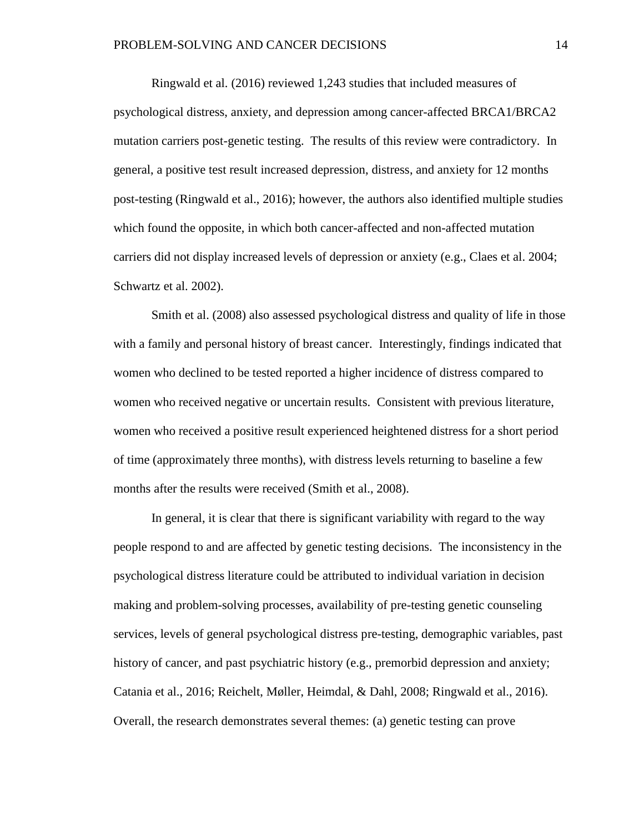Ringwald et al. (2016) reviewed 1,243 studies that included measures of psychological distress, anxiety, and depression among cancer-affected BRCA1/BRCA2 mutation carriers post-genetic testing. The results of this review were contradictory. In general, a positive test result increased depression, distress, and anxiety for 12 months post-testing (Ringwald et al., 2016); however, the authors also identified multiple studies which found the opposite, in which both cancer-affected and non-affected mutation carriers did not display increased levels of depression or anxiety (e.g., Claes et al. 2004; Schwartz et al. 2002).

Smith et al. (2008) also assessed psychological distress and quality of life in those with a family and personal history of breast cancer. Interestingly, findings indicated that women who declined to be tested reported a higher incidence of distress compared to women who received negative or uncertain results. Consistent with previous literature, women who received a positive result experienced heightened distress for a short period of time (approximately three months), with distress levels returning to baseline a few months after the results were received (Smith et al., 2008).

In general, it is clear that there is significant variability with regard to the way people respond to and are affected by genetic testing decisions. The inconsistency in the psychological distress literature could be attributed to individual variation in decision making and problem-solving processes, availability of pre-testing genetic counseling services, levels of general psychological distress pre-testing, demographic variables, past history of cancer, and past psychiatric history (e.g., premorbid depression and anxiety; Catania et al., 2016; Reichelt, Møller, Heimdal, & Dahl, 2008; Ringwald et al., 2016). Overall, the research demonstrates several themes: (a) genetic testing can prove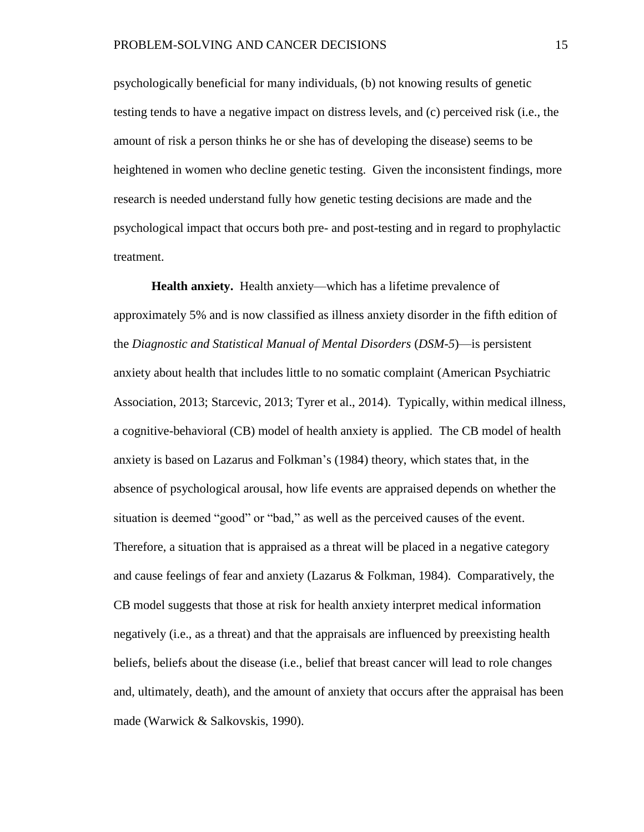psychologically beneficial for many individuals, (b) not knowing results of genetic testing tends to have a negative impact on distress levels, and (c) perceived risk (i.e., the amount of risk a person thinks he or she has of developing the disease) seems to be heightened in women who decline genetic testing. Given the inconsistent findings, more research is needed understand fully how genetic testing decisions are made and the psychological impact that occurs both pre- and post-testing and in regard to prophylactic treatment.

**Health anxiety.** Health anxiety—which has a lifetime prevalence of approximately 5% and is now classified as illness anxiety disorder in the fifth edition of the *Diagnostic and Statistical Manual of Mental Disorders* (*DSM-5*)—is persistent anxiety about health that includes little to no somatic complaint (American Psychiatric Association, 2013; Starcevic, 2013; Tyrer et al., 2014). Typically, within medical illness, a cognitive-behavioral (CB) model of health anxiety is applied. The CB model of health anxiety is based on Lazarus and Folkman's (1984) theory, which states that, in the absence of psychological arousal, how life events are appraised depends on whether the situation is deemed "good" or "bad," as well as the perceived causes of the event. Therefore, a situation that is appraised as a threat will be placed in a negative category and cause feelings of fear and anxiety (Lazarus & Folkman, 1984). Comparatively, the CB model suggests that those at risk for health anxiety interpret medical information negatively (i.e., as a threat) and that the appraisals are influenced by preexisting health beliefs, beliefs about the disease (i.e., belief that breast cancer will lead to role changes and, ultimately, death), and the amount of anxiety that occurs after the appraisal has been made (Warwick & Salkovskis, 1990).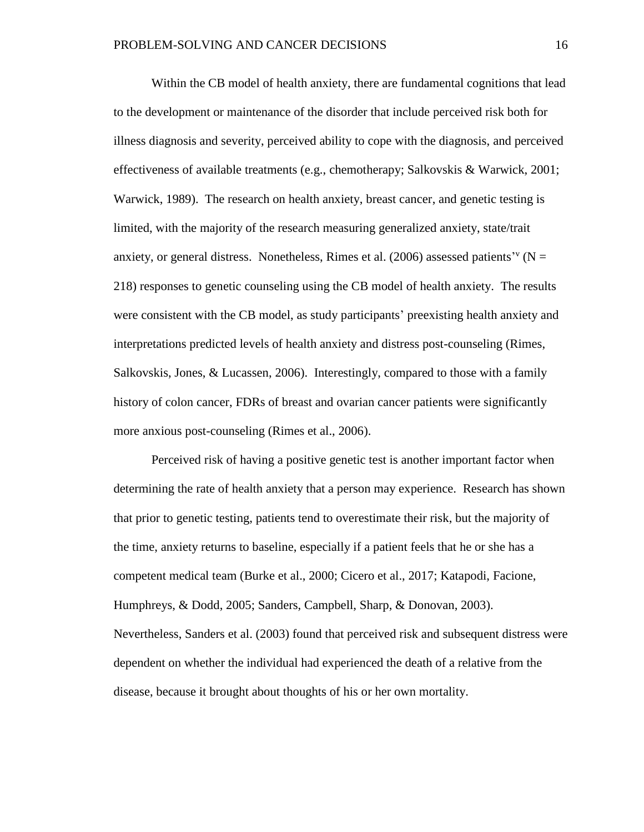Within the CB model of health anxiety, there are fundamental cognitions that lead to the development or maintenance of the disorder that include perceived risk both for illness diagnosis and severity, perceived ability to cope with the diagnosis, and perceived effectiveness of available treatments (e.g., chemotherapy; Salkovskis & Warwick, 2001; Warwick, 1989). The research on health anxiety, breast cancer, and genetic testing is limited, with the majority of the research measuring generalized anxiety, state/trait anxiety, or general distress. Nonetheless, Rimes et al. (2006) assessed patients<sup>'v</sup> ( $N =$ 218) responses to genetic counseling using the CB model of health anxiety. The results were consistent with the CB model, as study participants' preexisting health anxiety and interpretations predicted levels of health anxiety and distress post-counseling (Rimes, Salkovskis, Jones, & Lucassen, 2006). Interestingly, compared to those with a family history of colon cancer, FDRs of breast and ovarian cancer patients were significantly more anxious post-counseling (Rimes et al., 2006).

Perceived risk of having a positive genetic test is another important factor when determining the rate of health anxiety that a person may experience. Research has shown that prior to genetic testing, patients tend to overestimate their risk, but the majority of the time, anxiety returns to baseline, especially if a patient feels that he or she has a competent medical team (Burke et al., 2000; Cicero et al., 2017; Katapodi, Facione, Humphreys, & Dodd, 2005; Sanders, Campbell, Sharp, & Donovan, 2003). Nevertheless, Sanders et al. (2003) found that perceived risk and subsequent distress were dependent on whether the individual had experienced the death of a relative from the disease, because it brought about thoughts of his or her own mortality.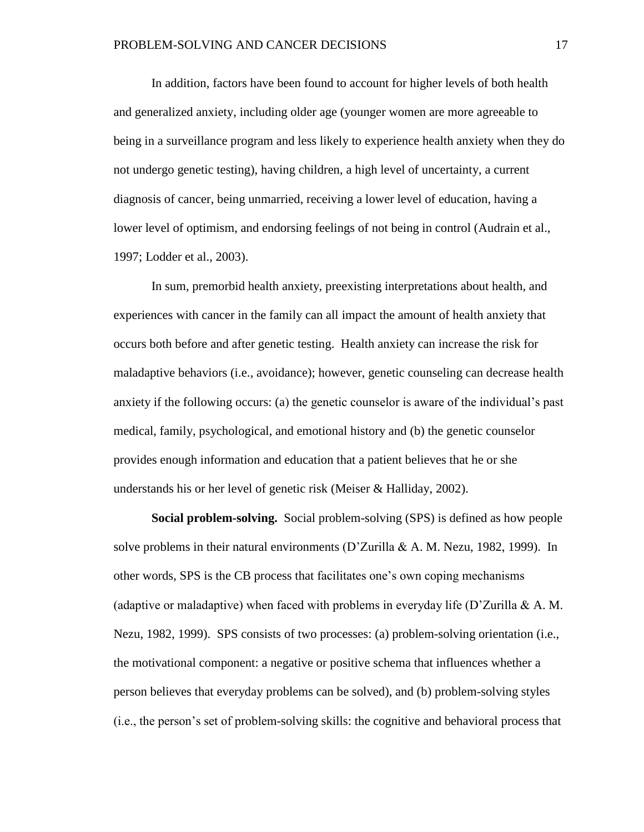In addition, factors have been found to account for higher levels of both health and generalized anxiety, including older age (younger women are more agreeable to being in a surveillance program and less likely to experience health anxiety when they do not undergo genetic testing), having children, a high level of uncertainty, a current diagnosis of cancer, being unmarried, receiving a lower level of education, having a lower level of optimism, and endorsing feelings of not being in control (Audrain et al., 1997; Lodder et al., 2003).

In sum, premorbid health anxiety, preexisting interpretations about health, and experiences with cancer in the family can all impact the amount of health anxiety that occurs both before and after genetic testing. Health anxiety can increase the risk for maladaptive behaviors (i.e., avoidance); however, genetic counseling can decrease health anxiety if the following occurs: (a) the genetic counselor is aware of the individual's past medical, family, psychological, and emotional history and (b) the genetic counselor provides enough information and education that a patient believes that he or she understands his or her level of genetic risk (Meiser & Halliday, 2002).

**Social problem-solving.** Social problem-solving (SPS) is defined as how people solve problems in their natural environments (D'Zurilla & A. M. Nezu, 1982, 1999). In other words, SPS is the CB process that facilitates one's own coping mechanisms (adaptive or maladaptive) when faced with problems in everyday life  $(D^{\prime}Zurilla \& A. M.$ Nezu, 1982, 1999). SPS consists of two processes: (a) problem-solving orientation (i.e., the motivational component: a negative or positive schema that influences whether a person believes that everyday problems can be solved), and (b) problem-solving styles (i.e., the person's set of problem-solving skills: the cognitive and behavioral process that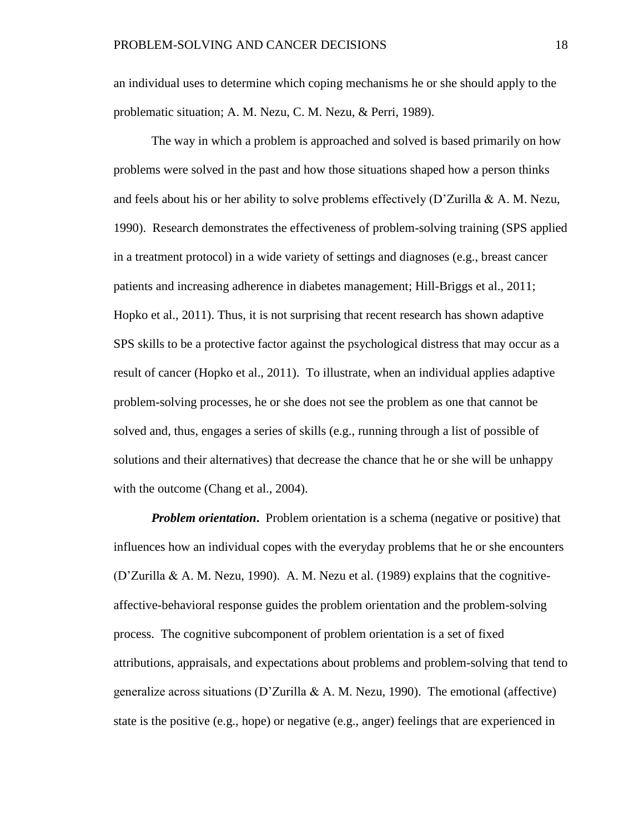an individual uses to determine which coping mechanisms he or she should apply to the problematic situation; A. M. Nezu, C. M. Nezu, & Perri, 1989).

The way in which a problem is approached and solved is based primarily on how problems were solved in the past and how those situations shaped how a person thinks and feels about his or her ability to solve problems effectively  $(D^2 \text{Zurilla} \& A. M. Nezu,$ 1990). Research demonstrates the effectiveness of problem-solving training (SPS applied in a treatment protocol) in a wide variety of settings and diagnoses (e.g., breast cancer patients and increasing adherence in diabetes management; Hill-Briggs et al., 2011; Hopko et al., 2011). Thus, it is not surprising that recent research has shown adaptive SPS skills to be a protective factor against the psychological distress that may occur as a result of cancer (Hopko et al., 2011). To illustrate, when an individual applies adaptive problem-solving processes, he or she does not see the problem as one that cannot be solved and, thus, engages a series of skills (e.g., running through a list of possible of solutions and their alternatives) that decrease the chance that he or she will be unhappy with the outcome (Chang et al., 2004).

*Problem orientation.* Problem orientation is a schema (negative or positive) that influences how an individual copes with the everyday problems that he or she encounters (D'Zurilla & A. M. Nezu, 1990). A. M. Nezu et al.  $(1989)$  explains that the cognitiveaffective-behavioral response guides the problem orientation and the problem-solving process. The cognitive subcomponent of problem orientation is a set of fixed attributions, appraisals, and expectations about problems and problem-solving that tend to generalize across situations (D'Zurilla & A. M. Nezu, 1990). The emotional (affective) state is the positive (e.g., hope) or negative (e.g., anger) feelings that are experienced in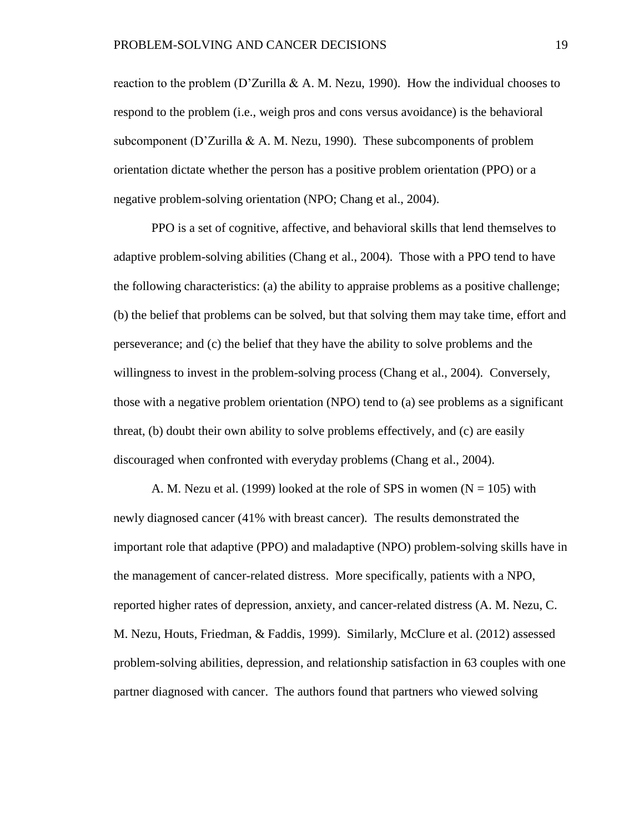reaction to the problem (D'Zurilla & A. M. Nezu, 1990). How the individual chooses to respond to the problem (i.e., weigh pros and cons versus avoidance) is the behavioral subcomponent (D'Zurilla & A. M. Nezu, 1990). These subcomponents of problem orientation dictate whether the person has a positive problem orientation (PPO) or a negative problem-solving orientation (NPO; Chang et al., 2004).

PPO is a set of cognitive, affective, and behavioral skills that lend themselves to adaptive problem-solving abilities (Chang et al., 2004). Those with a PPO tend to have the following characteristics: (a) the ability to appraise problems as a positive challenge; (b) the belief that problems can be solved, but that solving them may take time, effort and perseverance; and (c) the belief that they have the ability to solve problems and the willingness to invest in the problem-solving process (Chang et al., 2004). Conversely, those with a negative problem orientation (NPO) tend to (a) see problems as a significant threat, (b) doubt their own ability to solve problems effectively, and (c) are easily discouraged when confronted with everyday problems (Chang et al., 2004).

A. M. Nezu et al. (1999) looked at the role of SPS in women ( $N = 105$ ) with newly diagnosed cancer (41% with breast cancer). The results demonstrated the important role that adaptive (PPO) and maladaptive (NPO) problem-solving skills have in the management of cancer-related distress. More specifically, patients with a NPO, reported higher rates of depression, anxiety, and cancer-related distress (A. M. Nezu, C. M. Nezu, Houts, Friedman, & Faddis, 1999). Similarly, McClure et al. (2012) assessed problem-solving abilities, depression, and relationship satisfaction in 63 couples with one partner diagnosed with cancer. The authors found that partners who viewed solving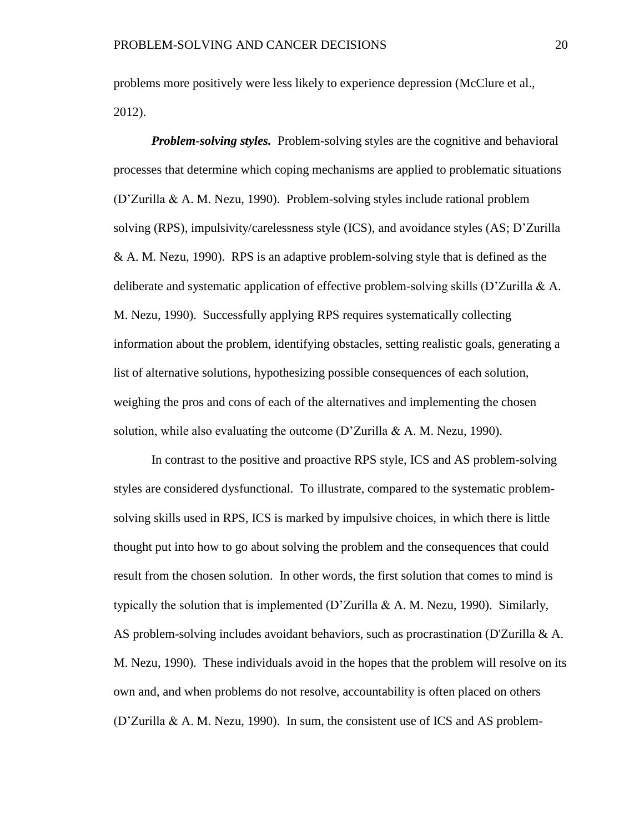problems more positively were less likely to experience depression (McClure et al., 2012).

*Problem-solving styles.* Problem-solving styles are the cognitive and behavioral processes that determine which coping mechanisms are applied to problematic situations (D'Zurilla & A. M. Nezu, 1990). Problem-solving styles include rational problem solving (RPS), impulsivity/carelessness style (ICS), and avoidance styles (AS; D'Zurilla & A. M. Nezu, 1990). RPS is an adaptive problem-solving style that is defined as the deliberate and systematic application of effective problem-solving skills (D'Zurilla & A. M. Nezu, 1990). Successfully applying RPS requires systematically collecting information about the problem, identifying obstacles, setting realistic goals, generating a list of alternative solutions, hypothesizing possible consequences of each solution, weighing the pros and cons of each of the alternatives and implementing the chosen solution, while also evaluating the outcome (D'Zurilla & A. M. Nezu, 1990).

In contrast to the positive and proactive RPS style, ICS and AS problem-solving styles are considered dysfunctional. To illustrate, compared to the systematic problemsolving skills used in RPS, ICS is marked by impulsive choices, in which there is little thought put into how to go about solving the problem and the consequences that could result from the chosen solution. In other words, the first solution that comes to mind is typically the solution that is implemented (D'Zurilla & A. M. Nezu, 1990). Similarly, AS problem-solving includes avoidant behaviors, such as procrastination (D'Zurilla & A. M. Nezu, 1990). These individuals avoid in the hopes that the problem will resolve on its own and, and when problems do not resolve, accountability is often placed on others (D'Zurilla & A. M. Nezu, 1990). In sum, the consistent use of ICS and AS problem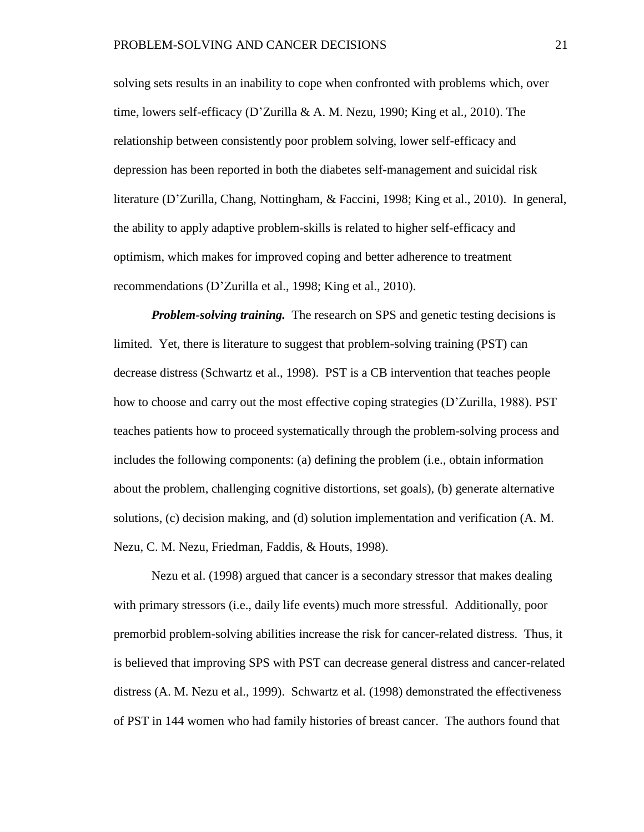solving sets results in an inability to cope when confronted with problems which, over time, lowers self-efficacy (D'Zurilla & A. M. Nezu, 1990; King et al., 2010). The relationship between consistently poor problem solving, lower self-efficacy and depression has been reported in both the diabetes self-management and suicidal risk literature (D'Zurilla, Chang, Nottingham, & Faccini, 1998; King et al., 2010). In general, the ability to apply adaptive problem-skills is related to higher self-efficacy and optimism, which makes for improved coping and better adherence to treatment recommendations (D'Zurilla et al., 1998; King et al., 2010).

*Problem-solving training.* The research on SPS and genetic testing decisions is limited. Yet, there is literature to suggest that problem-solving training (PST) can decrease distress (Schwartz et al., 1998). PST is a CB intervention that teaches people how to choose and carry out the most effective coping strategies (D'Zurilla, 1988). PST teaches patients how to proceed systematically through the problem-solving process and includes the following components: (a) defining the problem (i.e., obtain information about the problem, challenging cognitive distortions, set goals), (b) generate alternative solutions, (c) decision making, and (d) solution implementation and verification (A. M. Nezu, C. M. Nezu, Friedman, Faddis, & Houts, 1998).

Nezu et al. (1998) argued that cancer is a secondary stressor that makes dealing with primary stressors (i.e., daily life events) much more stressful. Additionally, poor premorbid problem-solving abilities increase the risk for cancer-related distress. Thus, it is believed that improving SPS with PST can decrease general distress and cancer-related distress (A. M. Nezu et al., 1999). Schwartz et al. (1998) demonstrated the effectiveness of PST in 144 women who had family histories of breast cancer. The authors found that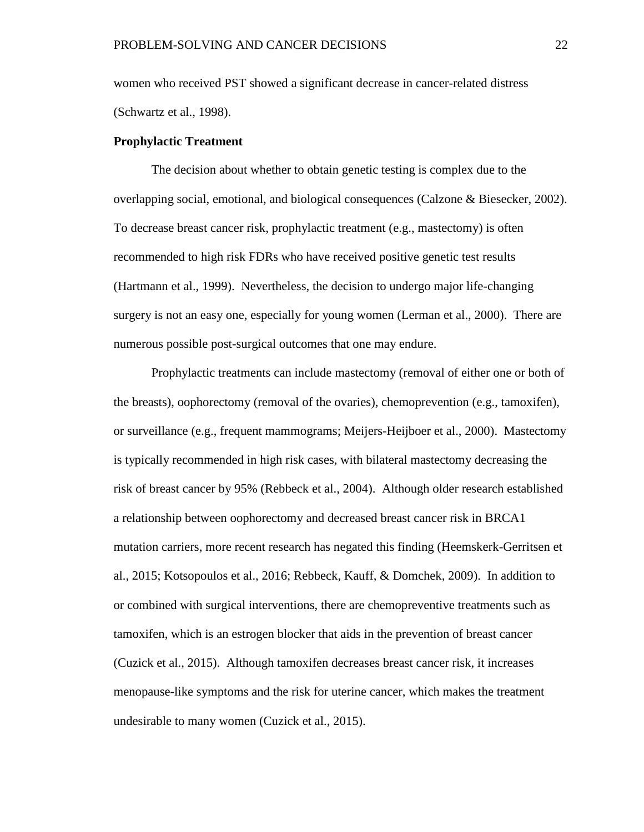women who received PST showed a significant decrease in cancer-related distress (Schwartz et al., 1998).

#### **Prophylactic Treatment**

The decision about whether to obtain genetic testing is complex due to the overlapping social, emotional, and biological consequences (Calzone & Biesecker, 2002). To decrease breast cancer risk, prophylactic treatment (e.g., mastectomy) is often recommended to high risk FDRs who have received positive genetic test results (Hartmann et al., 1999). Nevertheless, the decision to undergo major life-changing surgery is not an easy one, especially for young women (Lerman et al., 2000). There are numerous possible post-surgical outcomes that one may endure.

Prophylactic treatments can include mastectomy (removal of either one or both of the breasts), oophorectomy (removal of the ovaries), chemoprevention (e.g., tamoxifen), or surveillance (e.g., frequent mammograms; Meijers-Heijboer et al., 2000). Mastectomy is typically recommended in high risk cases, with bilateral mastectomy decreasing the risk of breast cancer by 95% (Rebbeck et al., 2004). Although older research established a relationship between oophorectomy and decreased breast cancer risk in BRCA1 mutation carriers, more recent research has negated this finding (Heemskerk-Gerritsen et al., 2015; Kotsopoulos et al., 2016; Rebbeck, Kauff, & Domchek, 2009). In addition to or combined with surgical interventions, there are chemopreventive treatments such as tamoxifen, which is an estrogen blocker that aids in the prevention of breast cancer (Cuzick et al., 2015). Although tamoxifen decreases breast cancer risk, it increases menopause-like symptoms and the risk for uterine cancer, which makes the treatment undesirable to many women (Cuzick et al., 2015).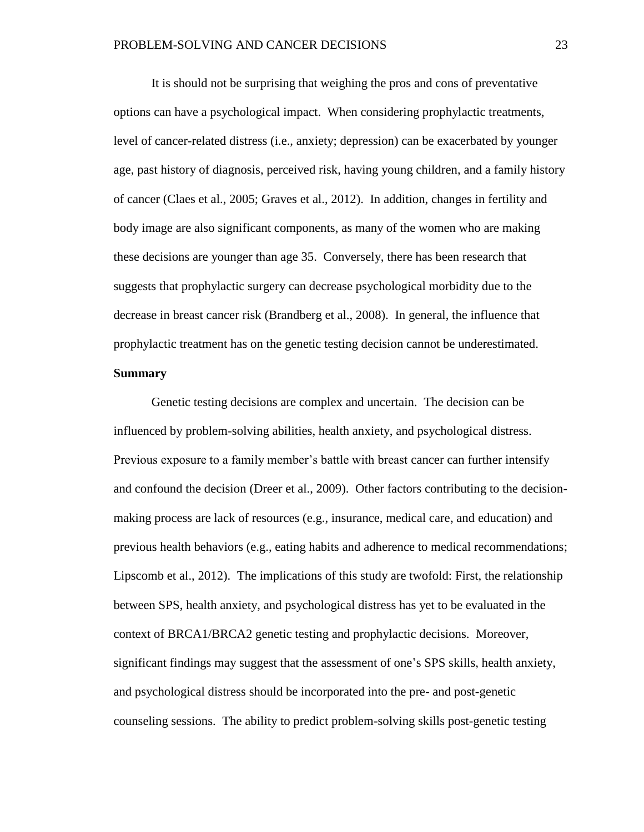It is should not be surprising that weighing the pros and cons of preventative options can have a psychological impact. When considering prophylactic treatments, level of cancer-related distress (i.e., anxiety; depression) can be exacerbated by younger age, past history of diagnosis, perceived risk, having young children, and a family history of cancer (Claes et al., 2005; Graves et al., 2012). In addition, changes in fertility and body image are also significant components, as many of the women who are making these decisions are younger than age 35. Conversely, there has been research that suggests that prophylactic surgery can decrease psychological morbidity due to the decrease in breast cancer risk (Brandberg et al., 2008). In general, the influence that prophylactic treatment has on the genetic testing decision cannot be underestimated.

# **Summary**

Genetic testing decisions are complex and uncertain. The decision can be influenced by problem-solving abilities, health anxiety, and psychological distress. Previous exposure to a family member's battle with breast cancer can further intensify and confound the decision (Dreer et al., 2009). Other factors contributing to the decisionmaking process are lack of resources (e.g., insurance, medical care, and education) and previous health behaviors (e.g., eating habits and adherence to medical recommendations; Lipscomb et al., 2012). The implications of this study are twofold: First, the relationship between SPS, health anxiety, and psychological distress has yet to be evaluated in the context of BRCA1/BRCA2 genetic testing and prophylactic decisions. Moreover, significant findings may suggest that the assessment of one's SPS skills, health anxiety, and psychological distress should be incorporated into the pre- and post-genetic counseling sessions. The ability to predict problem-solving skills post-genetic testing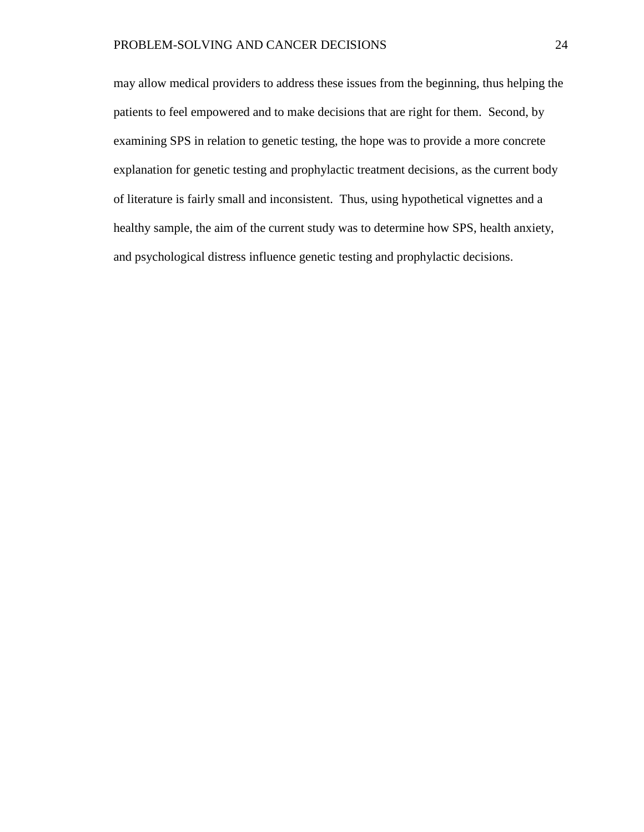may allow medical providers to address these issues from the beginning, thus helping the patients to feel empowered and to make decisions that are right for them. Second, by examining SPS in relation to genetic testing, the hope was to provide a more concrete explanation for genetic testing and prophylactic treatment decisions, as the current body of literature is fairly small and inconsistent. Thus, using hypothetical vignettes and a healthy sample, the aim of the current study was to determine how SPS, health anxiety, and psychological distress influence genetic testing and prophylactic decisions.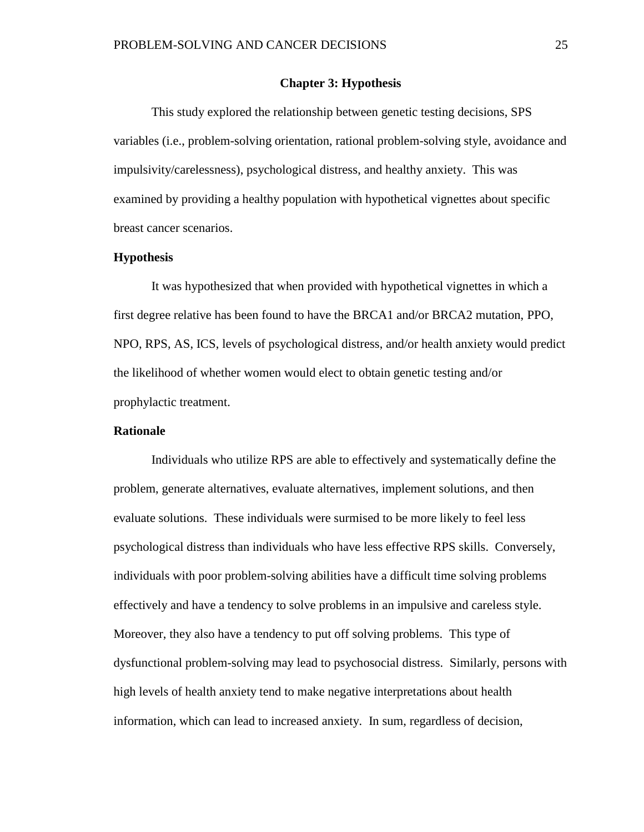#### **Chapter 3: Hypothesis**

This study explored the relationship between genetic testing decisions, SPS variables (i.e., problem-solving orientation, rational problem-solving style, avoidance and impulsivity/carelessness), psychological distress, and healthy anxiety. This was examined by providing a healthy population with hypothetical vignettes about specific breast cancer scenarios.

#### **Hypothesis**

It was hypothesized that when provided with hypothetical vignettes in which a first degree relative has been found to have the BRCA1 and/or BRCA2 mutation, PPO, NPO, RPS, AS, ICS, levels of psychological distress, and/or health anxiety would predict the likelihood of whether women would elect to obtain genetic testing and/or prophylactic treatment.

#### **Rationale**

Individuals who utilize RPS are able to effectively and systematically define the problem, generate alternatives, evaluate alternatives, implement solutions, and then evaluate solutions. These individuals were surmised to be more likely to feel less psychological distress than individuals who have less effective RPS skills. Conversely, individuals with poor problem-solving abilities have a difficult time solving problems effectively and have a tendency to solve problems in an impulsive and careless style. Moreover, they also have a tendency to put off solving problems. This type of dysfunctional problem-solving may lead to psychosocial distress. Similarly, persons with high levels of health anxiety tend to make negative interpretations about health information, which can lead to increased anxiety. In sum, regardless of decision,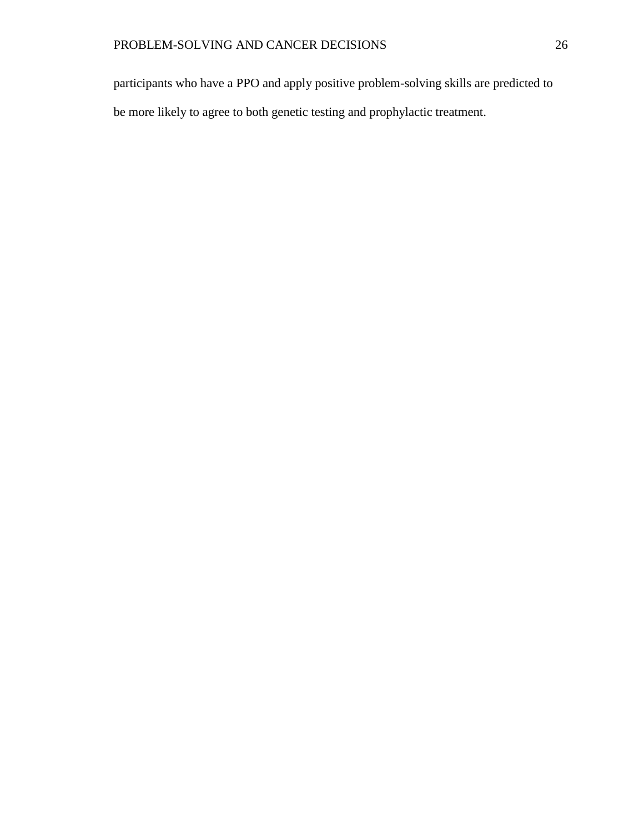participants who have a PPO and apply positive problem-solving skills are predicted to be more likely to agree to both genetic testing and prophylactic treatment.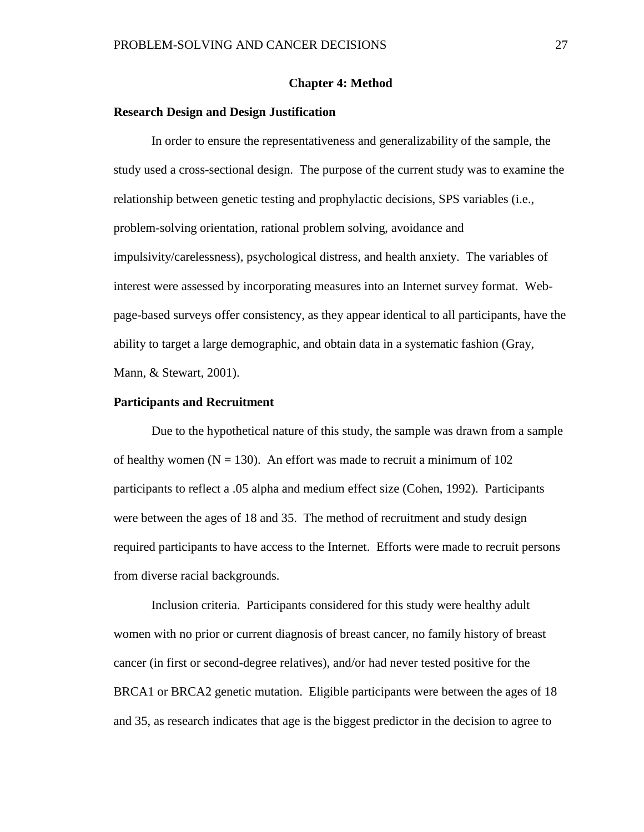### **Chapter 4: Method**

## **Research Design and Design Justification**

In order to ensure the representativeness and generalizability of the sample, the study used a cross-sectional design. The purpose of the current study was to examine the relationship between genetic testing and prophylactic decisions, SPS variables (i.e., problem-solving orientation, rational problem solving, avoidance and impulsivity/carelessness), psychological distress, and health anxiety. The variables of interest were assessed by incorporating measures into an Internet survey format. Webpage-based surveys offer consistency, as they appear identical to all participants, have the ability to target a large demographic, and obtain data in a systematic fashion (Gray, Mann, & Stewart, 2001).

## **Participants and Recruitment**

Due to the hypothetical nature of this study, the sample was drawn from a sample of healthy women ( $N = 130$ ). An effort was made to recruit a minimum of 102 participants to reflect a .05 alpha and medium effect size (Cohen, 1992). Participants were between the ages of 18 and 35. The method of recruitment and study design required participants to have access to the Internet. Efforts were made to recruit persons from diverse racial backgrounds.

Inclusion criteria. Participants considered for this study were healthy adult women with no prior or current diagnosis of breast cancer, no family history of breast cancer (in first or second-degree relatives), and/or had never tested positive for the BRCA1 or BRCA2 genetic mutation. Eligible participants were between the ages of 18 and 35, as research indicates that age is the biggest predictor in the decision to agree to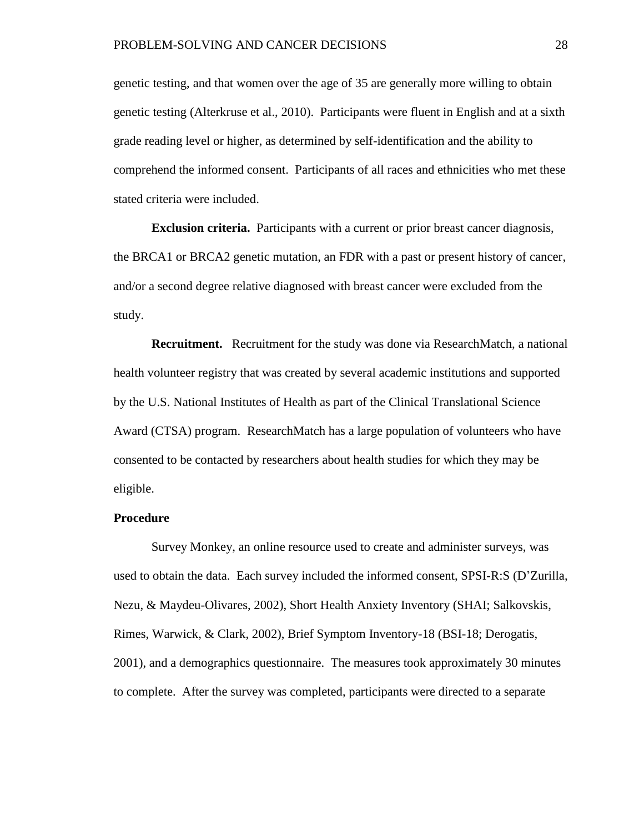genetic testing, and that women over the age of 35 are generally more willing to obtain genetic testing (Alterkruse et al., 2010). Participants were fluent in English and at a sixth grade reading level or higher, as determined by self-identification and the ability to comprehend the informed consent. Participants of all races and ethnicities who met these stated criteria were included.

**Exclusion criteria.** Participants with a current or prior breast cancer diagnosis, the BRCA1 or BRCA2 genetic mutation, an FDR with a past or present history of cancer, and/or a second degree relative diagnosed with breast cancer were excluded from the study.

**Recruitment.** Recruitment for the study was done via ResearchMatch, a national health volunteer registry that was created by several academic institutions and supported by the U.S. National Institutes of Health as part of the Clinical Translational Science Award (CTSA) program. ResearchMatch has a large population of volunteers who have consented to be contacted by researchers about health studies for which they may be eligible.

#### **Procedure**

Survey Monkey, an online resource used to create and administer surveys, was used to obtain the data. Each survey included the informed consent, SPSI-R:S (D'Zurilla, Nezu, & Maydeu-Olivares, 2002), Short Health Anxiety Inventory (SHAI; Salkovskis, Rimes, Warwick, & Clark, 2002), Brief Symptom Inventory-18 (BSI-18; Derogatis, 2001), and a demographics questionnaire. The measures took approximately 30 minutes to complete. After the survey was completed, participants were directed to a separate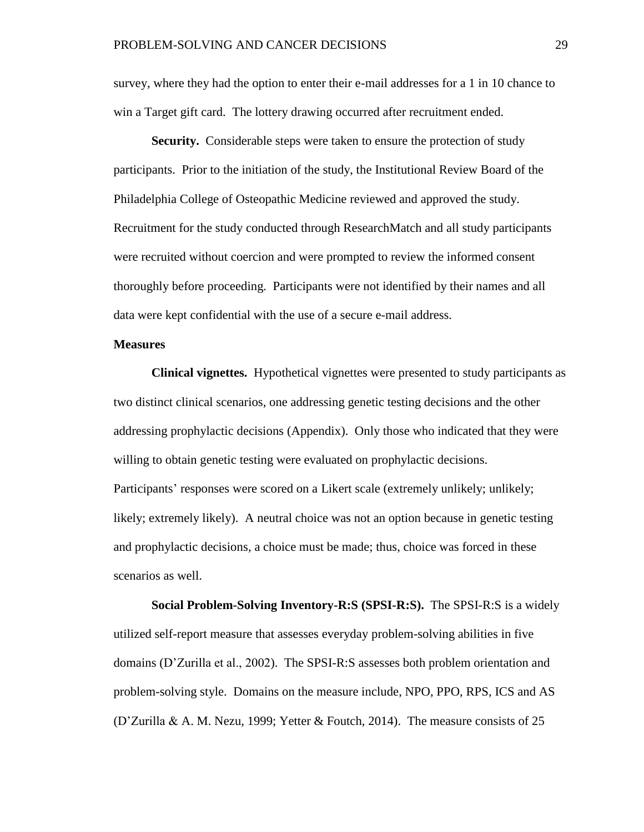survey, where they had the option to enter their e-mail addresses for a 1 in 10 chance to win a Target gift card. The lottery drawing occurred after recruitment ended.

**Security.** Considerable steps were taken to ensure the protection of study participants. Prior to the initiation of the study, the Institutional Review Board of the Philadelphia College of Osteopathic Medicine reviewed and approved the study. Recruitment for the study conducted through ResearchMatch and all study participants were recruited without coercion and were prompted to review the informed consent thoroughly before proceeding. Participants were not identified by their names and all data were kept confidential with the use of a secure e-mail address.

## **Measures**

**Clinical vignettes.** Hypothetical vignettes were presented to study participants as two distinct clinical scenarios, one addressing genetic testing decisions and the other addressing prophylactic decisions (Appendix). Only those who indicated that they were willing to obtain genetic testing were evaluated on prophylactic decisions. Participants' responses were scored on a Likert scale (extremely unlikely; unlikely; likely; extremely likely). A neutral choice was not an option because in genetic testing and prophylactic decisions, a choice must be made; thus, choice was forced in these scenarios as well.

**Social Problem-Solving Inventory-R:S (SPSI-R:S).** The SPSI-R:S is a widely utilized self-report measure that assesses everyday problem-solving abilities in five domains (D'Zurilla et al., 2002). The SPSI-R:S assesses both problem orientation and problem-solving style. Domains on the measure include, NPO, PPO, RPS, ICS and AS (D'Zurilla & A. M. Nezu, 1999; Yetter & Foutch, 2014). The measure consists of 25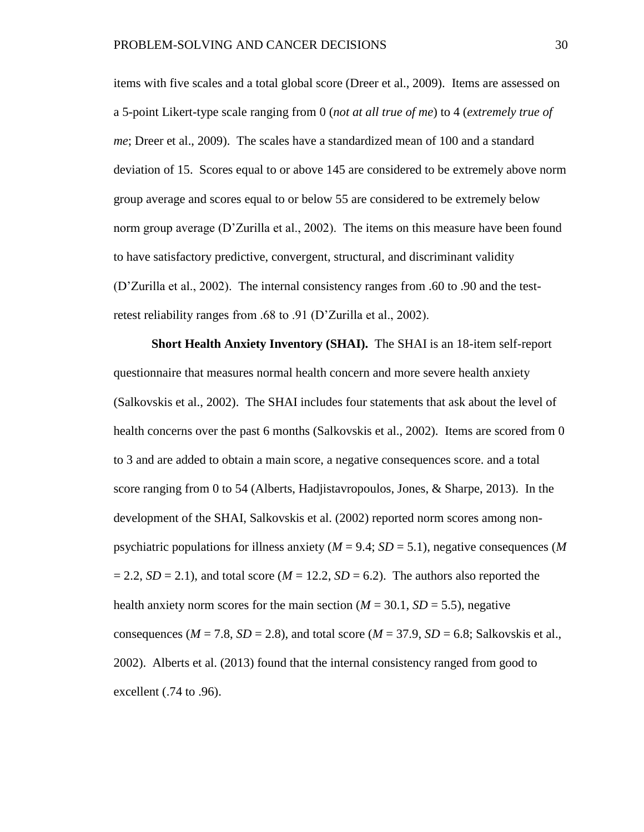items with five scales and a total global score (Dreer et al., 2009). Items are assessed on a 5-point Likert-type scale ranging from 0 (*not at all true of me*) to 4 (*extremely true of me*; Dreer et al., 2009). The scales have a standardized mean of 100 and a standard deviation of 15. Scores equal to or above 145 are considered to be extremely above norm group average and scores equal to or below 55 are considered to be extremely below norm group average (D'Zurilla et al., 2002). The items on this measure have been found to have satisfactory predictive, convergent, structural, and discriminant validity (D'Zurilla et al., 2002). The internal consistency ranges from .60 to .90 and the testretest reliability ranges from .68 to .91 (D'Zurilla et al., 2002).

**Short Health Anxiety Inventory (SHAI).** The SHAI is an 18-item self-report questionnaire that measures normal health concern and more severe health anxiety (Salkovskis et al., 2002). The SHAI includes four statements that ask about the level of health concerns over the past 6 months (Salkovskis et al., 2002). Items are scored from 0 to 3 and are added to obtain a main score, a negative consequences score. and a total score ranging from 0 to 54 (Alberts, Hadjistavropoulos, Jones, & Sharpe, 2013). In the development of the SHAI, Salkovskis et al. (2002) reported norm scores among nonpsychiatric populations for illness anxiety ( $M = 9.4$ ;  $SD = 5.1$ ), negative consequences (M)  $= 2.2$ , *SD* = 2.1), and total score (*M* = 12.2, *SD* = 6.2). The authors also reported the health anxiety norm scores for the main section  $(M = 30.1, SD = 5.5)$ , negative consequences ( $M = 7.8$ ,  $SD = 2.8$ ), and total score ( $M = 37.9$ ,  $SD = 6.8$ ; Salkovskis et al., 2002). Alberts et al. (2013) found that the internal consistency ranged from good to excellent (.74 to .96).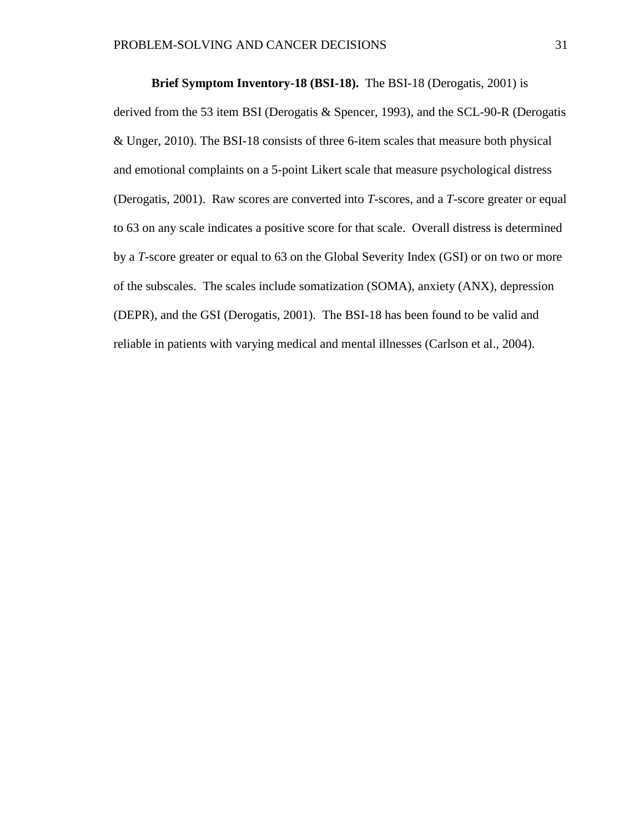**Brief Symptom Inventory-18 (BSI-18).** The BSI-18 (Derogatis, 2001) is derived from the 53 item BSI (Derogatis & Spencer, 1993), and the SCL-90-R (Derogatis & Unger, 2010). The BSI-18 consists of three 6-item scales that measure both physical and emotional complaints on a 5-point Likert scale that measure psychological distress (Derogatis, 2001). Raw scores are converted into *T*-scores, and a *T*-score greater or equal to 63 on any scale indicates a positive score for that scale. Overall distress is determined by a *T*-score greater or equal to 63 on the Global Severity Index (GSI) or on two or more of the subscales. The scales include somatization (SOMA), anxiety (ANX), depression (DEPR), and the GSI (Derogatis, 2001). The BSI-18 has been found to be valid and reliable in patients with varying medical and mental illnesses (Carlson et al., 2004).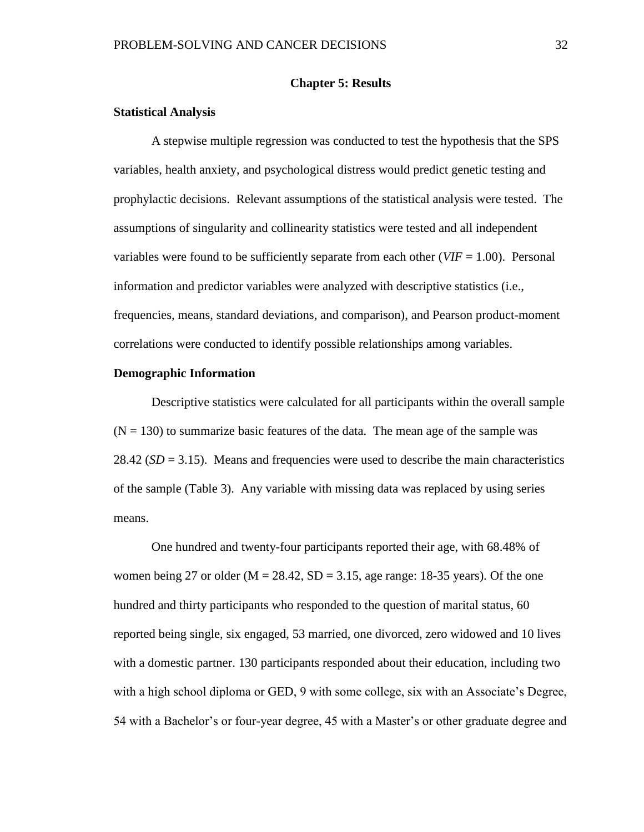#### **Chapter 5: Results**

## **Statistical Analysis**

A stepwise multiple regression was conducted to test the hypothesis that the SPS variables, health anxiety, and psychological distress would predict genetic testing and prophylactic decisions. Relevant assumptions of the statistical analysis were tested. The assumptions of singularity and collinearity statistics were tested and all independent variables were found to be sufficiently separate from each other  $(VIF = 1.00)$ . Personal information and predictor variables were analyzed with descriptive statistics (i.e., frequencies, means, standard deviations, and comparison), and Pearson product-moment correlations were conducted to identify possible relationships among variables.

## **Demographic Information**

Descriptive statistics were calculated for all participants within the overall sample  $(N = 130)$  to summarize basic features of the data. The mean age of the sample was 28.42 ( $SD = 3.15$ ). Means and frequencies were used to describe the main characteristics of the sample (Table 3). Any variable with missing data was replaced by using series means.

One hundred and twenty-four participants reported their age, with 68.48% of women being 27 or older ( $M = 28.42$ ,  $SD = 3.15$ , age range: 18-35 years). Of the one hundred and thirty participants who responded to the question of marital status, 60 reported being single, six engaged, 53 married, one divorced, zero widowed and 10 lives with a domestic partner. 130 participants responded about their education, including two with a high school diploma or GED, 9 with some college, six with an Associate's Degree, 54 with a Bachelor's or four-year degree, 45 with a Master's or other graduate degree and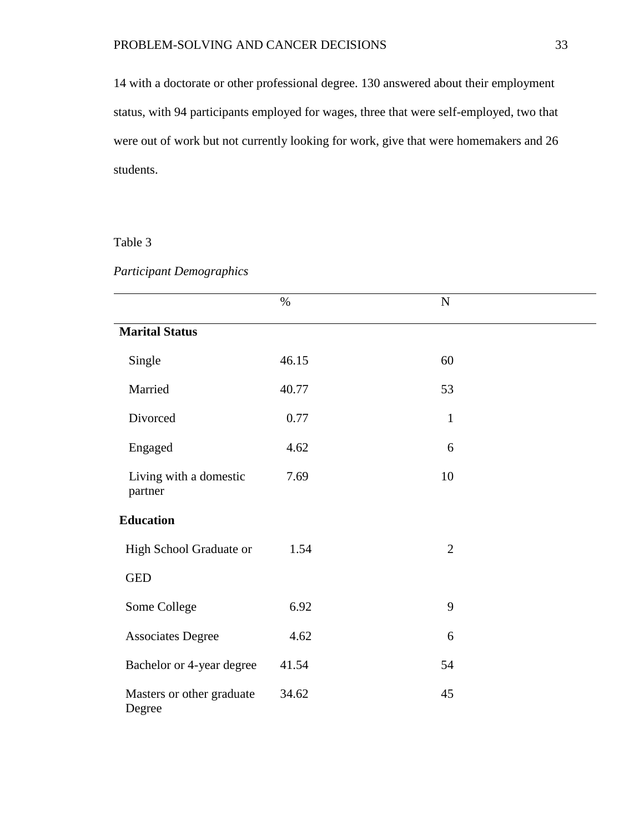14 with a doctorate or other professional degree. 130 answered about their employment status, with 94 participants employed for wages, three that were self-employed, two that were out of work but not currently looking for work, give that were homemakers and 26 students.

# Table 3

# *Participant Demographics*

|                                     | $\%$  | $\mathbf N$    |  |
|-------------------------------------|-------|----------------|--|
|                                     |       |                |  |
| <b>Marital Status</b>               |       |                |  |
| Single                              | 46.15 | 60             |  |
| Married                             | 40.77 | 53             |  |
| Divorced                            | 0.77  | $\mathbf{1}$   |  |
| Engaged                             | 4.62  | 6              |  |
| Living with a domestic<br>partner   | 7.69  | 10             |  |
| <b>Education</b>                    |       |                |  |
| High School Graduate or             | 1.54  | $\overline{2}$ |  |
| <b>GED</b>                          |       |                |  |
| Some College                        | 6.92  | 9              |  |
| <b>Associates Degree</b>            | 4.62  | 6              |  |
| Bachelor or 4-year degree           | 41.54 | 54             |  |
| Masters or other graduate<br>Degree | 34.62 | 45             |  |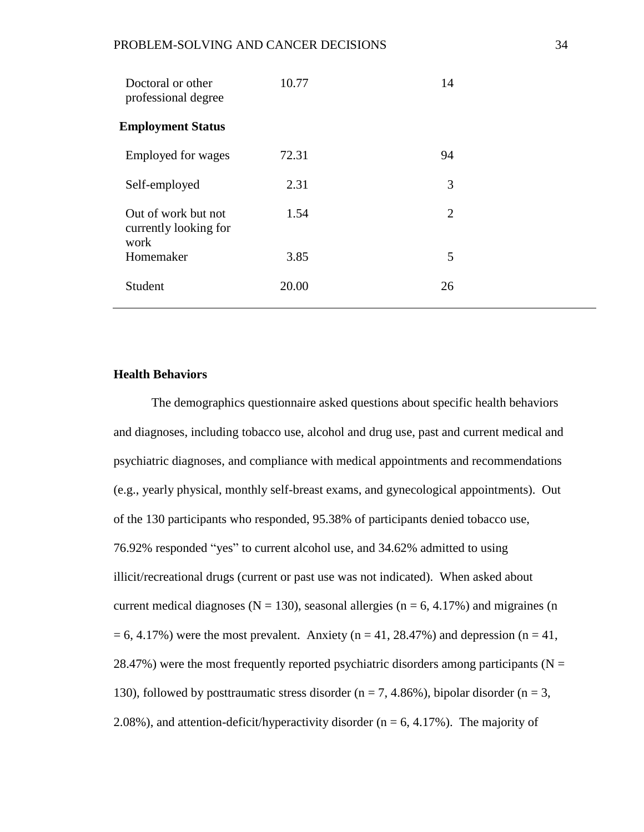| Doctoral or other<br>professional degree             | 10.77 | 14 |  |
|------------------------------------------------------|-------|----|--|
| <b>Employment Status</b>                             |       |    |  |
| Employed for wages                                   | 72.31 | 94 |  |
| Self-employed                                        | 2.31  | 3  |  |
| Out of work but not<br>currently looking for<br>work | 1.54  | 2  |  |
| Homemaker                                            | 3.85  | 5  |  |
| Student                                              | 20.00 | 26 |  |

## **Health Behaviors**

The demographics questionnaire asked questions about specific health behaviors and diagnoses, including tobacco use, alcohol and drug use, past and current medical and psychiatric diagnoses, and compliance with medical appointments and recommendations (e.g., yearly physical, monthly self-breast exams, and gynecological appointments). Out of the 130 participants who responded, 95.38% of participants denied tobacco use, 76.92% responded "yes" to current alcohol use, and 34.62% admitted to using illicit/recreational drugs (current or past use was not indicated). When asked about current medical diagnoses ( $N = 130$ ), seasonal allergies ( $n = 6, 4.17\%$ ) and migraines (n  $= 6, 4.17\%)$  were the most prevalent. Anxiety (n = 41, 28.47%) and depression (n = 41, 28.47%) were the most frequently reported psychiatric disorders among participants ( $N =$ 130), followed by posttraumatic stress disorder ( $n = 7, 4.86\%$ ), bipolar disorder ( $n = 3$ , 2.08%), and attention-deficit/hyperactivity disorder ( $n = 6, 4.17$ %). The majority of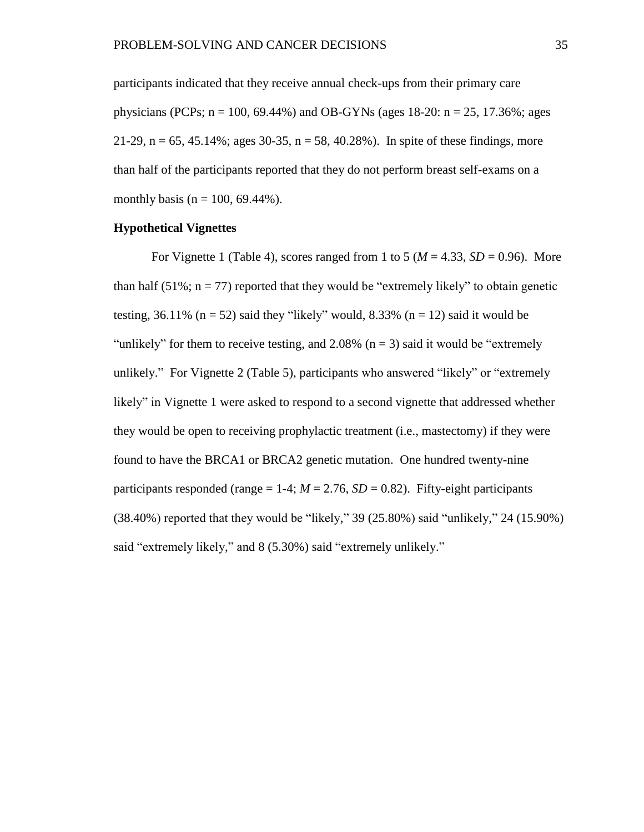participants indicated that they receive annual check-ups from their primary care physicians (PCPs;  $n = 100$ , 69.44%) and OB-GYNs (ages 18-20:  $n = 25$ , 17.36%; ages 21-29,  $n = 65, 45.14\%$ ; ages 30-35,  $n = 58, 40.28\%$ ). In spite of these findings, more than half of the participants reported that they do not perform breast self-exams on a monthly basis ( $n = 100, 69.44\%$ ).

### **Hypothetical Vignettes**

For Vignette 1 (Table 4), scores ranged from 1 to 5 ( $M = 4.33$ ,  $SD = 0.96$ ). More than half  $(51\%; n = 77)$  reported that they would be "extremely likely" to obtain genetic testing, 36.11% ( $n = 52$ ) said they "likely" would, 8.33% ( $n = 12$ ) said it would be "unlikely" for them to receive testing, and  $2.08\%$  (n = 3) said it would be "extremely" unlikely." For Vignette 2 (Table 5), participants who answered "likely" or "extremely likely" in Vignette 1 were asked to respond to a second vignette that addressed whether they would be open to receiving prophylactic treatment (i.e., mastectomy) if they were found to have the BRCA1 or BRCA2 genetic mutation. One hundred twenty-nine participants responded (range  $= 1-4$ ;  $M = 2.76$ ,  $SD = 0.82$ ). Fifty-eight participants (38.40%) reported that they would be "likely," 39 (25.80%) said "unlikely," 24 (15.90%) said "extremely likely," and 8 (5.30%) said "extremely unlikely."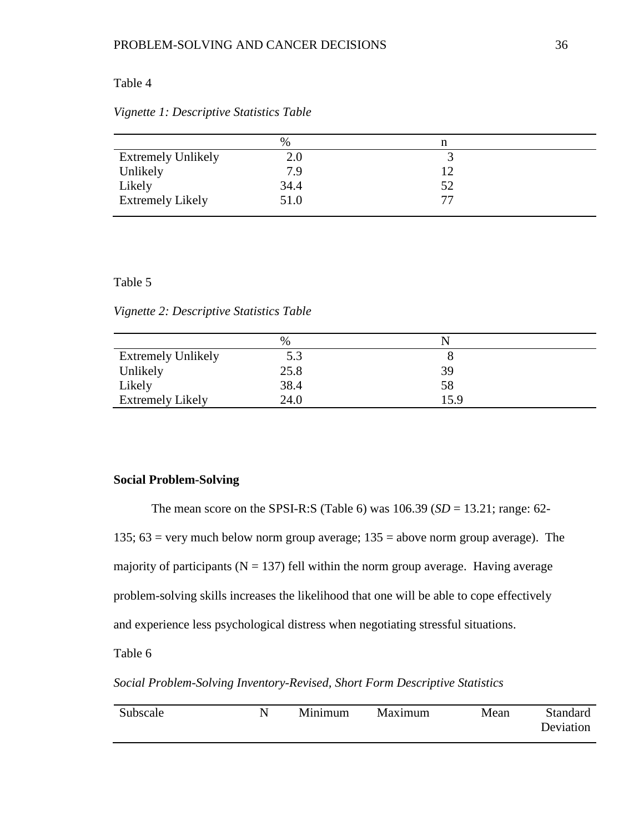## Table 4

|  |  |  |  |  |  | Vignette 1: Descriptive Statistics Table |  |
|--|--|--|--|--|--|------------------------------------------|--|
|--|--|--|--|--|--|------------------------------------------|--|

|                           | $\%$ |    |  |
|---------------------------|------|----|--|
| <b>Extremely Unlikely</b> | 2.0  |    |  |
| Unlikely                  | 7.9  |    |  |
| Likely                    | 34.4 | 52 |  |
| <b>Extremely Likely</b>   | 51.0 | 77 |  |

## Table 5

*Vignette 2: Descriptive Statistics Table*

|                           | %    | ↖    |  |
|---------------------------|------|------|--|
| <b>Extremely Unlikely</b> | 5.3  |      |  |
| Unlikely                  | 25.8 | 39   |  |
| Likely                    | 38.4 | 58   |  |
| <b>Extremely Likely</b>   | 24.0 | 15.9 |  |

## **Social Problem-Solving**

The mean score on the SPSI-R:S (Table 6) was 106.39 (*SD* = 13.21; range: 62-

135;  $63$  = very much below norm group average;  $135$  = above norm group average). The

majority of participants ( $N = 137$ ) fell within the norm group average. Having average

problem-solving skills increases the likelihood that one will be able to cope effectively

and experience less psychological distress when negotiating stressful situations.

Table 6

## *Social Problem-Solving Inventory-Revised, Short Form Descriptive Statistics*

| Subscale | Minimum | Maximum | Mean | Standard  |
|----------|---------|---------|------|-----------|
|          |         |         |      | Deviation |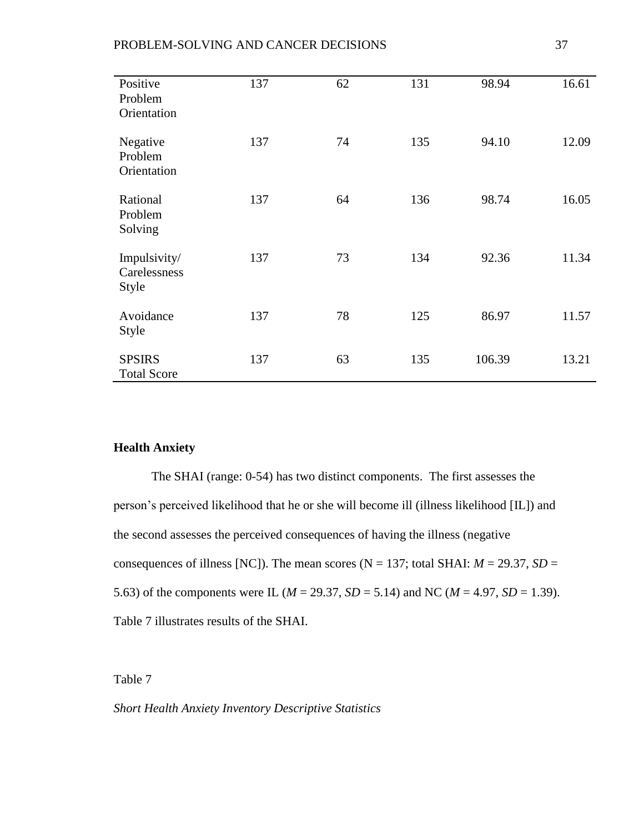## PROBLEM-SOLVING AND CANCER DECISIONS 37

| Positive<br>Problem<br>Orientation    | 137 | 62 | 131 | 98.94  | 16.61 |
|---------------------------------------|-----|----|-----|--------|-------|
| Negative<br>Problem<br>Orientation    | 137 | 74 | 135 | 94.10  | 12.09 |
| Rational<br>Problem<br>Solving        | 137 | 64 | 136 | 98.74  | 16.05 |
| Impulsivity/<br>Carelessness<br>Style | 137 | 73 | 134 | 92.36  | 11.34 |
| Avoidance<br>Style                    | 137 | 78 | 125 | 86.97  | 11.57 |
| <b>SPSIRS</b><br><b>Total Score</b>   | 137 | 63 | 135 | 106.39 | 13.21 |

# **Health Anxiety**

The SHAI (range: 0-54) has two distinct components. The first assesses the person's perceived likelihood that he or she will become ill (illness likelihood [IL]) and the second assesses the perceived consequences of having the illness (negative consequences of illness [NC]). The mean scores ( $N = 137$ ; total SHAI:  $M = 29.37$ ,  $SD =$ 5.63) of the components were IL ( $M = 29.37$ ,  $SD = 5.14$ ) and NC ( $M = 4.97$ ,  $SD = 1.39$ ). Table 7 illustrates results of the SHAI.

Table 7

*Short Health Anxiety Inventory Descriptive Statistics*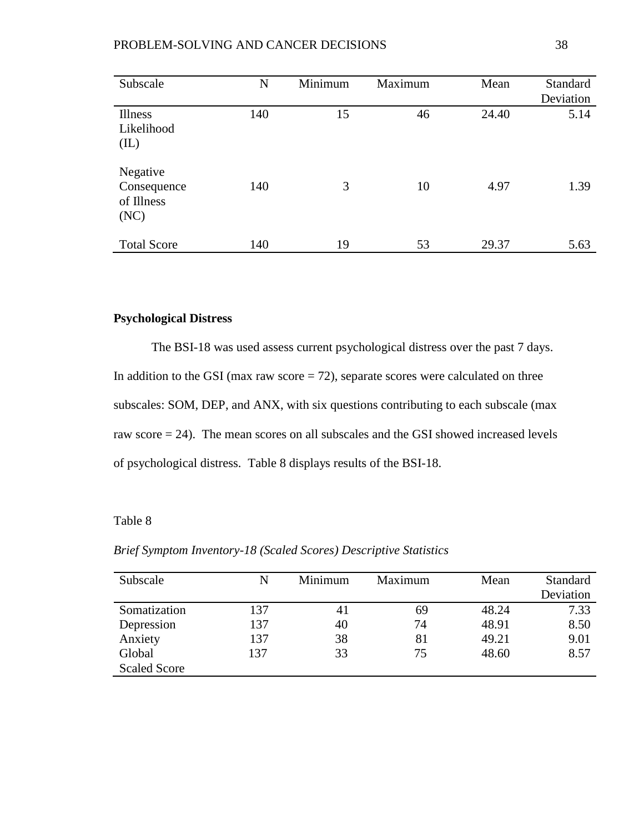## PROBLEM-SOLVING AND CANCER DECISIONS 38

| Subscale                                      | N   | Minimum | Maximum | Mean  | Standard<br>Deviation |
|-----------------------------------------------|-----|---------|---------|-------|-----------------------|
| Illness<br>Likelihood<br>(IL)                 | 140 | 15      | 46      | 24.40 | 5.14                  |
| Negative<br>Consequence<br>of Illness<br>(NC) | 140 | 3       | 10      | 4.97  | 1.39                  |
| <b>Total Score</b>                            | 140 | 19      | 53      | 29.37 | 5.63                  |

# **Psychological Distress**

The BSI-18 was used assess current psychological distress over the past 7 days. In addition to the GSI (max raw score  $= 72$ ), separate scores were calculated on three subscales: SOM, DEP, and ANX, with six questions contributing to each subscale (max raw score = 24). The mean scores on all subscales and the GSI showed increased levels of psychological distress. Table 8 displays results of the BSI-18.

# Table 8

*Brief Symptom Inventory-18 (Scaled Scores) Descriptive Statistics*

| Subscale            | N   | Minimum | Maximum | Mean  | Standard  |
|---------------------|-----|---------|---------|-------|-----------|
|                     |     |         |         |       | Deviation |
| Somatization        | 137 | 41      | 69      | 48.24 | 7.33      |
| Depression          | 137 | 40      | 74      | 48.91 | 8.50      |
| Anxiety             | 137 | 38      | 81      | 49.21 | 9.01      |
| Global              | 137 | 33      | 75      | 48.60 | 8.57      |
| <b>Scaled Score</b> |     |         |         |       |           |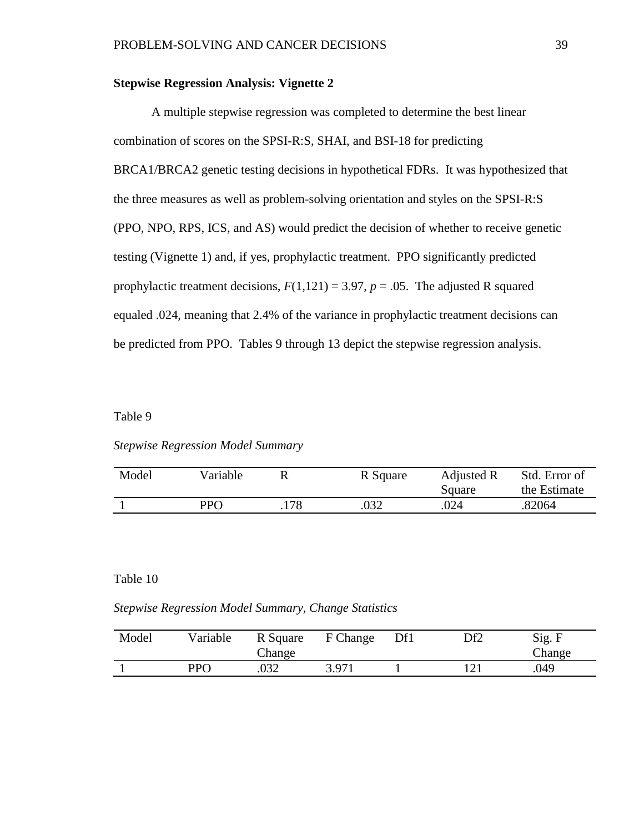## **Stepwise Regression Analysis: Vignette 2**

A multiple stepwise regression was completed to determine the best linear combination of scores on the SPSI-R:S, SHAI, and BSI-18 for predicting BRCA1/BRCA2 genetic testing decisions in hypothetical FDRs. It was hypothesized that the three measures as well as problem-solving orientation and styles on the SPSI-R:S (PPO, NPO, RPS, ICS, and AS) would predict the decision of whether to receive genetic testing (Vignette 1) and, if yes, prophylactic treatment. PPO significantly predicted prophylactic treatment decisions,  $F(1,121) = 3.97$ ,  $p = .05$ . The adjusted R squared equaled .024, meaning that 2.4% of the variance in prophylactic treatment decisions can be predicted from PPO. Tables 9 through 13 depict the stepwise regression analysis.

# Table 9

## *Stepwise Regression Model Summary*

| Model | Variable   |      | R Square | Adjusted R<br>Square | Std. Error of<br>the Estimate |
|-------|------------|------|----------|----------------------|-------------------------------|
|       | <b>PPO</b> | .178 | .032     | .024                 | .82064                        |

## Table 10

*Stepwise Regression Model Summary, Change Statistics*

| Model | Variable | R Square<br>Change | F Change | Df1 | Df2 | Sig. F<br>Change |
|-------|----------|--------------------|----------|-----|-----|------------------|
|       | PPO      | .032               | 3.971    |     |     | .049             |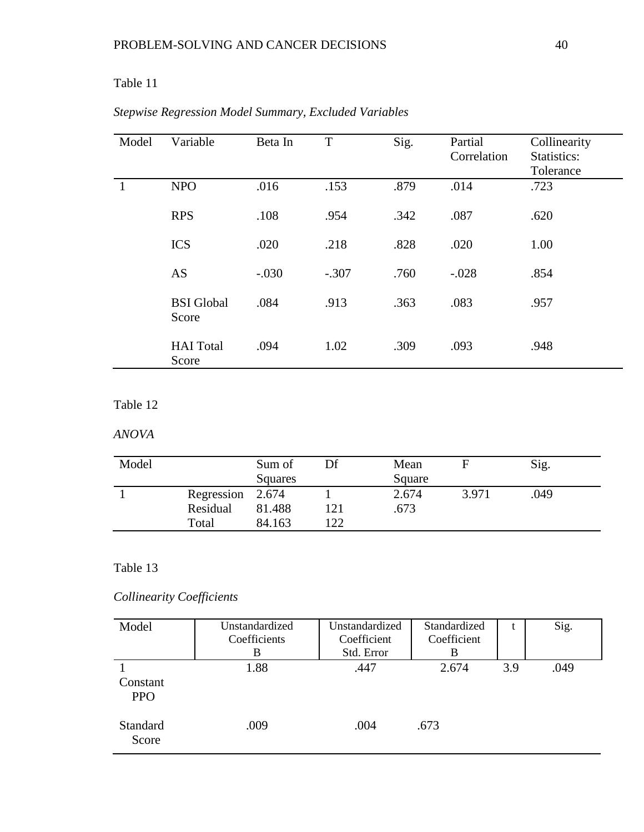# Table 11

| Model | Variable                   | Beta In | T       | Sig. | Partial<br>Correlation | Collinearity<br>Statistics:<br>Tolerance |
|-------|----------------------------|---------|---------|------|------------------------|------------------------------------------|
|       | <b>NPO</b>                 | .016    | .153    | .879 | .014                   | .723                                     |
|       | <b>RPS</b>                 | .108    | .954    | .342 | .087                   | .620                                     |
|       | <b>ICS</b>                 | .020    | .218    | .828 | .020                   | 1.00                                     |
|       | <b>AS</b>                  | $-.030$ | $-.307$ | .760 | $-.028$                | .854                                     |
|       | <b>BSI</b> Global<br>Score | .084    | .913    | .363 | .083                   | .957                                     |
|       | <b>HAI</b> Total<br>Score  | .094    | 1.02    | .309 | .093                   | .948                                     |

# *Stepwise Regression Model Summary, Excluded Variables*

# Table 12

# *ANOVA*

| Model |                  | Sum of<br>Squares | Df  | Mean<br>Square |       | Sig. |
|-------|------------------|-------------------|-----|----------------|-------|------|
|       | Regression 2.674 |                   |     | 2.674          | 3.971 | .049 |
|       | Residual         | 81.488            | 121 | .673           |       |      |
|       | Total            | 84.163            | 122 |                |       |      |

# Table 13

# *Collinearity Coefficients*

| Model                    | Unstandardized<br>Coefficients | Unstandardized<br>Coefficient | Standardized<br>Coefficient | t   | Sig. |
|--------------------------|--------------------------------|-------------------------------|-----------------------------|-----|------|
|                          | B                              | Std. Error                    | В                           |     |      |
| Constant<br><b>PPO</b>   | 1.88                           | .447                          | 2.674                       | 3.9 | .049 |
| <b>Standard</b><br>Score | .009                           | .004                          | .673                        |     |      |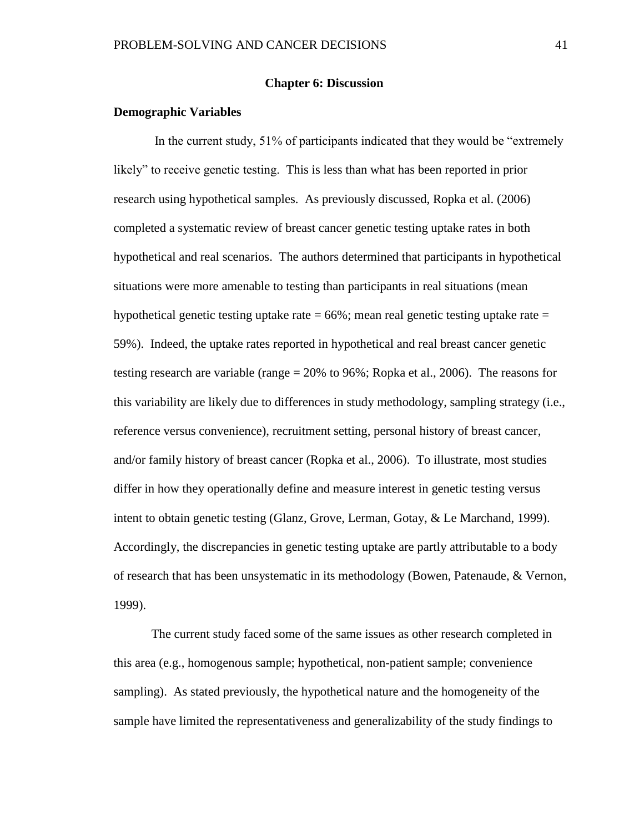## **Chapter 6: Discussion**

## **Demographic Variables**

In the current study, 51% of participants indicated that they would be "extremely likely" to receive genetic testing. This is less than what has been reported in prior research using hypothetical samples. As previously discussed, Ropka et al. (2006) completed a systematic review of breast cancer genetic testing uptake rates in both hypothetical and real scenarios. The authors determined that participants in hypothetical situations were more amenable to testing than participants in real situations (mean hypothetical genetic testing uptake rate  $= 66\%$ ; mean real genetic testing uptake rate  $=$ 59%). Indeed, the uptake rates reported in hypothetical and real breast cancer genetic testing research are variable (range = 20% to 96%; Ropka et al., 2006). The reasons for this variability are likely due to differences in study methodology, sampling strategy (i.e., reference versus convenience), recruitment setting, personal history of breast cancer, and/or family history of breast cancer (Ropka et al., 2006). To illustrate, most studies differ in how they operationally define and measure interest in genetic testing versus intent to obtain genetic testing (Glanz, Grove, Lerman, Gotay, & Le Marchand, 1999). Accordingly, the discrepancies in genetic testing uptake are partly attributable to a body of research that has been unsystematic in its methodology (Bowen, Patenaude, & Vernon, 1999).

The current study faced some of the same issues as other research completed in this area (e.g., homogenous sample; hypothetical, non-patient sample; convenience sampling). As stated previously, the hypothetical nature and the homogeneity of the sample have limited the representativeness and generalizability of the study findings to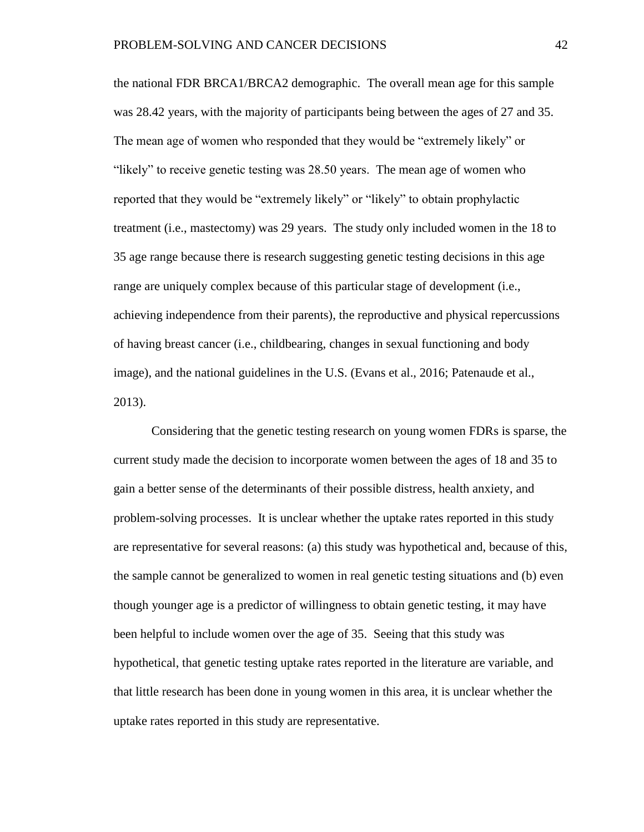the national FDR BRCA1/BRCA2 demographic. The overall mean age for this sample was 28.42 years, with the majority of participants being between the ages of 27 and 35. The mean age of women who responded that they would be "extremely likely" or "likely" to receive genetic testing was 28.50 years. The mean age of women who reported that they would be "extremely likely" or "likely" to obtain prophylactic treatment (i.e., mastectomy) was 29 years. The study only included women in the 18 to 35 age range because there is research suggesting genetic testing decisions in this age range are uniquely complex because of this particular stage of development (i.e., achieving independence from their parents), the reproductive and physical repercussions of having breast cancer (i.e., childbearing, changes in sexual functioning and body image), and the national guidelines in the U.S. (Evans et al., 2016; Patenaude et al., 2013).

Considering that the genetic testing research on young women FDRs is sparse, the current study made the decision to incorporate women between the ages of 18 and 35 to gain a better sense of the determinants of their possible distress, health anxiety, and problem-solving processes. It is unclear whether the uptake rates reported in this study are representative for several reasons: (a) this study was hypothetical and, because of this, the sample cannot be generalized to women in real genetic testing situations and (b) even though younger age is a predictor of willingness to obtain genetic testing, it may have been helpful to include women over the age of 35. Seeing that this study was hypothetical, that genetic testing uptake rates reported in the literature are variable, and that little research has been done in young women in this area, it is unclear whether the uptake rates reported in this study are representative.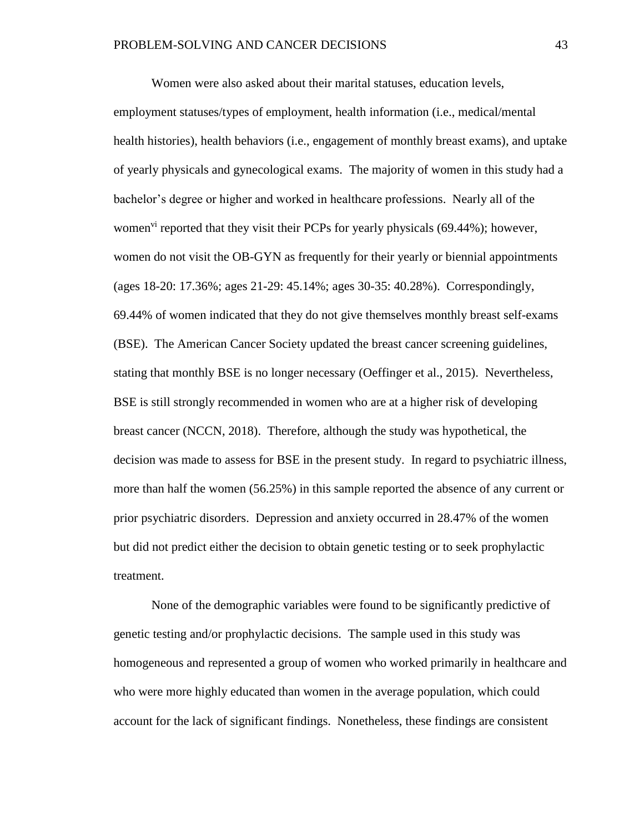Women were also asked about their marital statuses, education levels, employment statuses/types of employment, health information (i.e., medical/mental health histories), health behaviors (i.e., engagement of monthly breast exams), and uptake of yearly physicals and gynecological exams. The majority of women in this study had a bachelor's degree or higher and worked in healthcare professions. Nearly all of the women<sup>vi</sup> reported that they visit their PCPs for yearly physicals  $(69.44\%)$ ; however, women do not visit the OB-GYN as frequently for their yearly or biennial appointments (ages 18-20: 17.36%; ages 21-29: 45.14%; ages 30-35: 40.28%). Correspondingly, 69.44% of women indicated that they do not give themselves monthly breast self-exams (BSE). The American Cancer Society updated the breast cancer screening guidelines, stating that monthly BSE is no longer necessary (Oeffinger et al., 2015). Nevertheless, BSE is still strongly recommended in women who are at a higher risk of developing breast cancer (NCCN, 2018). Therefore, although the study was hypothetical, the decision was made to assess for BSE in the present study. In regard to psychiatric illness, more than half the women (56.25%) in this sample reported the absence of any current or prior psychiatric disorders. Depression and anxiety occurred in 28.47% of the women but did not predict either the decision to obtain genetic testing or to seek prophylactic treatment.

None of the demographic variables were found to be significantly predictive of genetic testing and/or prophylactic decisions. The sample used in this study was homogeneous and represented a group of women who worked primarily in healthcare and who were more highly educated than women in the average population, which could account for the lack of significant findings. Nonetheless, these findings are consistent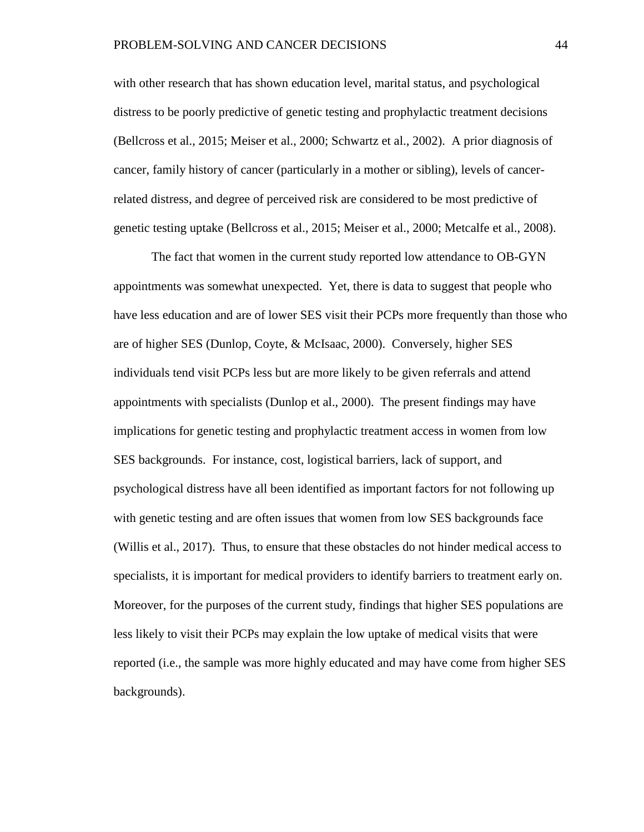with other research that has shown education level, marital status, and psychological distress to be poorly predictive of genetic testing and prophylactic treatment decisions (Bellcross et al., 2015; Meiser et al., 2000; Schwartz et al., 2002). A prior diagnosis of cancer, family history of cancer (particularly in a mother or sibling), levels of cancerrelated distress, and degree of perceived risk are considered to be most predictive of genetic testing uptake (Bellcross et al., 2015; Meiser et al., 2000; Metcalfe et al., 2008).

The fact that women in the current study reported low attendance to OB-GYN appointments was somewhat unexpected. Yet, there is data to suggest that people who have less education and are of lower SES visit their PCPs more frequently than those who are of higher SES (Dunlop, Coyte, & McIsaac, 2000). Conversely, higher SES individuals tend visit PCPs less but are more likely to be given referrals and attend appointments with specialists (Dunlop et al., 2000). The present findings may have implications for genetic testing and prophylactic treatment access in women from low SES backgrounds. For instance, cost, logistical barriers, lack of support, and psychological distress have all been identified as important factors for not following up with genetic testing and are often issues that women from low SES backgrounds face (Willis et al., 2017). Thus, to ensure that these obstacles do not hinder medical access to specialists, it is important for medical providers to identify barriers to treatment early on. Moreover, for the purposes of the current study, findings that higher SES populations are less likely to visit their PCPs may explain the low uptake of medical visits that were reported (i.e., the sample was more highly educated and may have come from higher SES backgrounds).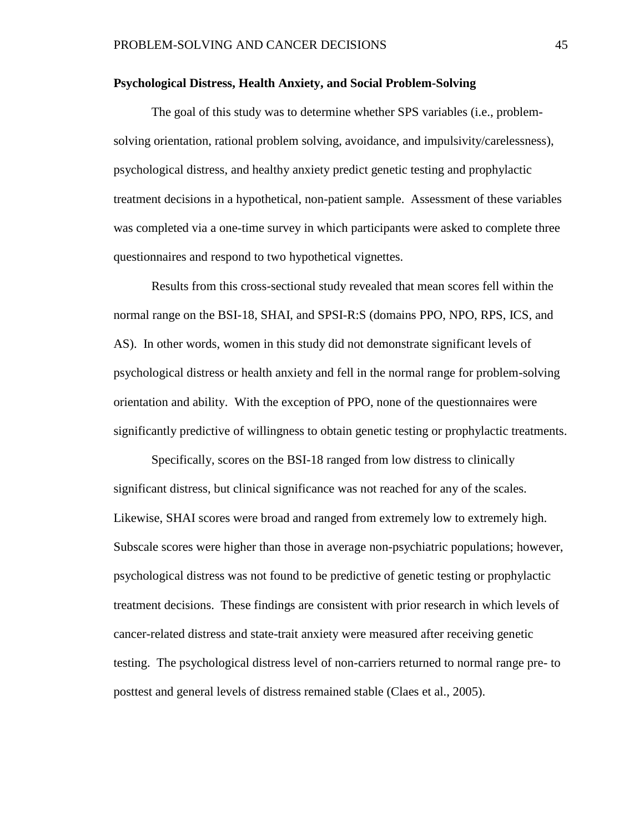### **Psychological Distress, Health Anxiety, and Social Problem-Solving**

The goal of this study was to determine whether SPS variables (i.e., problemsolving orientation, rational problem solving, avoidance, and impulsivity/carelessness), psychological distress, and healthy anxiety predict genetic testing and prophylactic treatment decisions in a hypothetical, non-patient sample. Assessment of these variables was completed via a one-time survey in which participants were asked to complete three questionnaires and respond to two hypothetical vignettes.

Results from this cross-sectional study revealed that mean scores fell within the normal range on the BSI-18, SHAI, and SPSI-R:S (domains PPO, NPO, RPS, ICS, and AS). In other words, women in this study did not demonstrate significant levels of psychological distress or health anxiety and fell in the normal range for problem-solving orientation and ability. With the exception of PPO, none of the questionnaires were significantly predictive of willingness to obtain genetic testing or prophylactic treatments.

Specifically, scores on the BSI-18 ranged from low distress to clinically significant distress, but clinical significance was not reached for any of the scales. Likewise, SHAI scores were broad and ranged from extremely low to extremely high. Subscale scores were higher than those in average non-psychiatric populations; however, psychological distress was not found to be predictive of genetic testing or prophylactic treatment decisions. These findings are consistent with prior research in which levels of cancer-related distress and state-trait anxiety were measured after receiving genetic testing. The psychological distress level of non-carriers returned to normal range pre- to posttest and general levels of distress remained stable (Claes et al., 2005).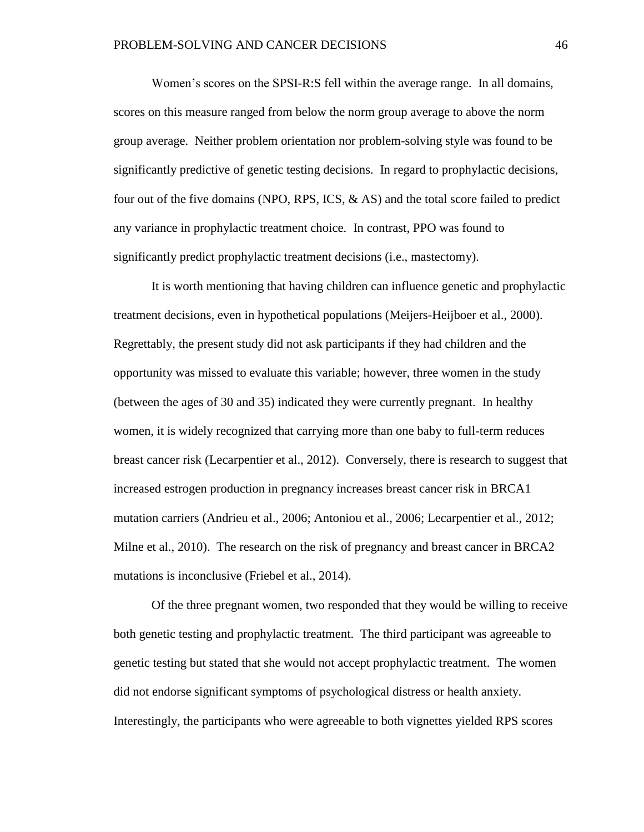Women's scores on the SPSI-R:S fell within the average range. In all domains, scores on this measure ranged from below the norm group average to above the norm group average. Neither problem orientation nor problem-solving style was found to be significantly predictive of genetic testing decisions. In regard to prophylactic decisions, four out of the five domains (NPO, RPS, ICS, & AS) and the total score failed to predict any variance in prophylactic treatment choice. In contrast, PPO was found to significantly predict prophylactic treatment decisions (i.e., mastectomy).

It is worth mentioning that having children can influence genetic and prophylactic treatment decisions, even in hypothetical populations (Meijers-Heijboer et al., 2000). Regrettably, the present study did not ask participants if they had children and the opportunity was missed to evaluate this variable; however, three women in the study (between the ages of 30 and 35) indicated they were currently pregnant. In healthy women, it is widely recognized that carrying more than one baby to full-term reduces breast cancer risk (Lecarpentier et al., 2012). Conversely, there is research to suggest that increased estrogen production in pregnancy increases breast cancer risk in BRCA1 mutation carriers (Andrieu et al., 2006; Antoniou et al., 2006; Lecarpentier et al., 2012; Milne et al., 2010). The research on the risk of pregnancy and breast cancer in BRCA2 mutations is inconclusive (Friebel et al., 2014).

Of the three pregnant women, two responded that they would be willing to receive both genetic testing and prophylactic treatment. The third participant was agreeable to genetic testing but stated that she would not accept prophylactic treatment. The women did not endorse significant symptoms of psychological distress or health anxiety. Interestingly, the participants who were agreeable to both vignettes yielded RPS scores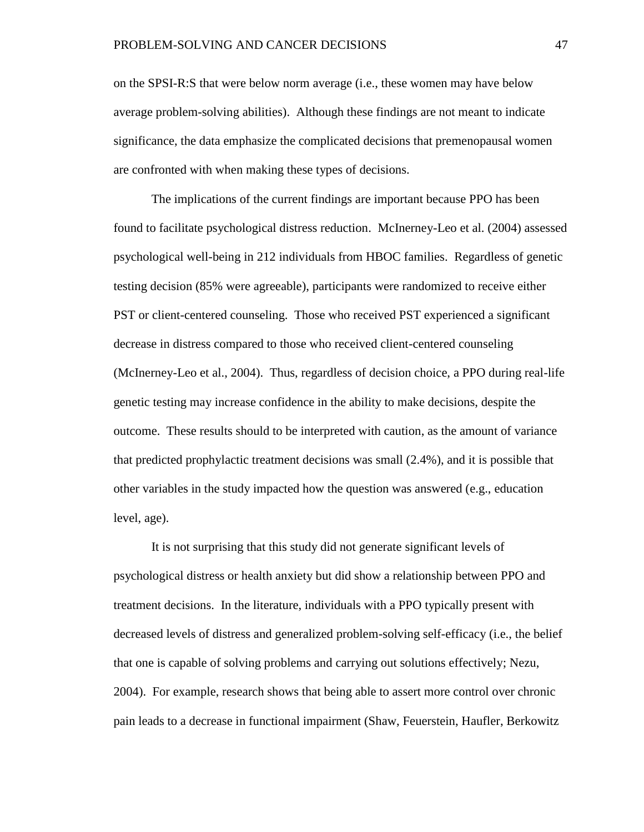on the SPSI-R:S that were below norm average (i.e., these women may have below average problem-solving abilities). Although these findings are not meant to indicate significance, the data emphasize the complicated decisions that premenopausal women are confronted with when making these types of decisions.

The implications of the current findings are important because PPO has been found to facilitate psychological distress reduction. McInerney-Leo et al. (2004) assessed psychological well-being in 212 individuals from HBOC families. Regardless of genetic testing decision (85% were agreeable), participants were randomized to receive either PST or client-centered counseling. Those who received PST experienced a significant decrease in distress compared to those who received client-centered counseling (McInerney-Leo et al., 2004). Thus, regardless of decision choice, a PPO during real-life genetic testing may increase confidence in the ability to make decisions, despite the outcome. These results should to be interpreted with caution, as the amount of variance that predicted prophylactic treatment decisions was small (2.4%), and it is possible that other variables in the study impacted how the question was answered (e.g., education level, age).

It is not surprising that this study did not generate significant levels of psychological distress or health anxiety but did show a relationship between PPO and treatment decisions. In the literature, individuals with a PPO typically present with decreased levels of distress and generalized problem-solving self-efficacy (i.e., the belief that one is capable of solving problems and carrying out solutions effectively; Nezu, 2004). For example, research shows that being able to assert more control over chronic pain leads to a decrease in functional impairment (Shaw, Feuerstein, Haufler, Berkowitz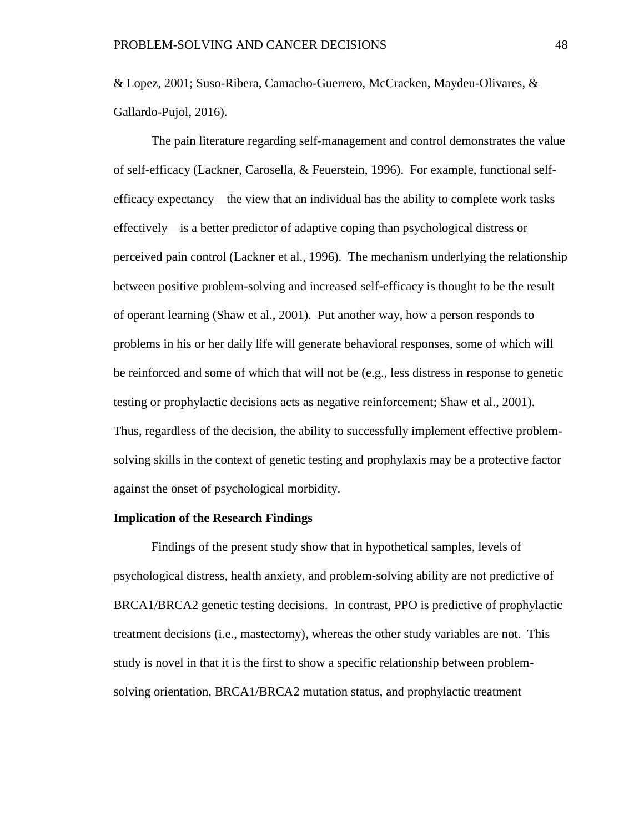& Lopez, 2001; [Suso-Ribera,](http://journals.sagepub.com/author/Suso-Ribera%2C+Carlos) [Camacho-Guerrero,](http://journals.sagepub.com/author/Camacho-Guerrero%2C+Laura) [McCracken,](http://journals.sagepub.com/author/McCracken%2C+Lance+M) Maydeu-Olivares, & Gallardo-Pujol, 2016).

The pain literature regarding self-management and control demonstrates the value of self-efficacy (Lackner, Carosella, & Feuerstein, 1996). For example, functional selfefficacy expectancy—the view that an individual has the ability to complete work tasks effectively—is a better predictor of adaptive coping than psychological distress or perceived pain control (Lackner et al., 1996). The mechanism underlying the relationship between positive problem-solving and increased self-efficacy is thought to be the result of operant learning (Shaw et al., 2001). Put another way, how a person responds to problems in his or her daily life will generate behavioral responses, some of which will be reinforced and some of which that will not be (e.g., less distress in response to genetic testing or prophylactic decisions acts as negative reinforcement; Shaw et al., 2001). Thus, regardless of the decision, the ability to successfully implement effective problemsolving skills in the context of genetic testing and prophylaxis may be a protective factor against the onset of psychological morbidity.

#### **Implication of the Research Findings**

Findings of the present study show that in hypothetical samples, levels of psychological distress, health anxiety, and problem-solving ability are not predictive of BRCA1/BRCA2 genetic testing decisions. In contrast, PPO is predictive of prophylactic treatment decisions (i.e., mastectomy), whereas the other study variables are not. This study is novel in that it is the first to show a specific relationship between problemsolving orientation, BRCA1/BRCA2 mutation status, and prophylactic treatment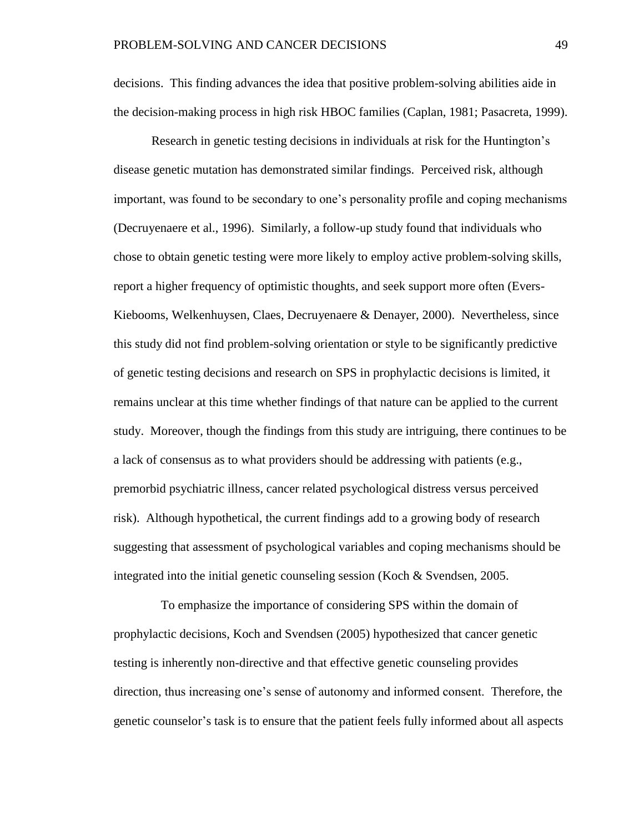decisions. This finding advances the idea that positive problem-solving abilities aide in the decision-making process in high risk HBOC families (Caplan, 1981; Pasacreta, 1999).

Research in genetic testing decisions in individuals at risk for the Huntington's disease genetic mutation has demonstrated similar findings. Perceived risk, although important, was found to be secondary to one's personality profile and coping mechanisms (Decruyenaere et al., 1996). Similarly, a follow-up study found that individuals who chose to obtain genetic testing were more likely to employ active problem-solving skills, report a higher frequency of optimistic thoughts, and seek support more often (Evers-Kiebooms, Welkenhuysen, Claes, Decruyenaere & Denayer, 2000). Nevertheless, since this study did not find problem-solving orientation or style to be significantly predictive of genetic testing decisions and research on SPS in prophylactic decisions is limited, it remains unclear at this time whether findings of that nature can be applied to the current study. Moreover, though the findings from this study are intriguing, there continues to be a lack of consensus as to what providers should be addressing with patients (e.g., premorbid psychiatric illness, cancer related psychological distress versus perceived risk). Although hypothetical, the current findings add to a growing body of research suggesting that assessment of psychological variables and coping mechanisms should be integrated into the initial genetic counseling session (Koch & Svendsen, 2005.

 To emphasize the importance of considering SPS within the domain of prophylactic decisions, Koch and Svendsen (2005) hypothesized that cancer genetic testing is inherently non-directive and that effective genetic counseling provides direction, thus increasing one's sense of autonomy and informed consent. Therefore, the genetic counselor's task is to ensure that the patient feels fully informed about all aspects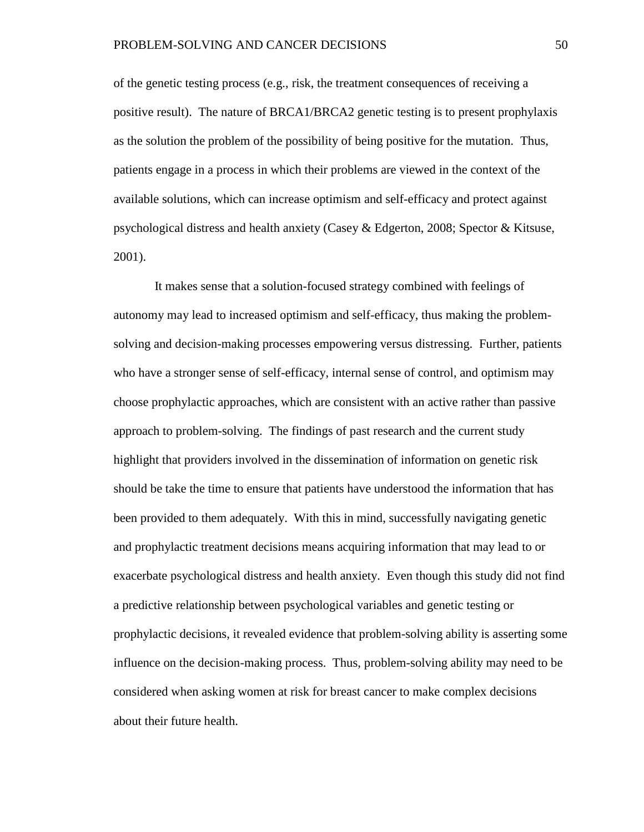of the genetic testing process (e.g., risk, the treatment consequences of receiving a positive result). The nature of BRCA1/BRCA2 genetic testing is to present prophylaxis as the solution the problem of the possibility of being positive for the mutation. Thus, patients engage in a process in which their problems are viewed in the context of the available solutions, which can increase optimism and self-efficacy and protect against psychological distress and health anxiety (Casey & Edgerton, 2008; Spector & Kitsuse, 2001).

It makes sense that a solution-focused strategy combined with feelings of autonomy may lead to increased optimism and self-efficacy, thus making the problemsolving and decision-making processes empowering versus distressing. Further, patients who have a stronger sense of self-efficacy, internal sense of control, and optimism may choose prophylactic approaches, which are consistent with an active rather than passive approach to problem-solving. The findings of past research and the current study highlight that providers involved in the dissemination of information on genetic risk should be take the time to ensure that patients have understood the information that has been provided to them adequately. With this in mind, successfully navigating genetic and prophylactic treatment decisions means acquiring information that may lead to or exacerbate psychological distress and health anxiety. Even though this study did not find a predictive relationship between psychological variables and genetic testing or prophylactic decisions, it revealed evidence that problem-solving ability is asserting some influence on the decision-making process. Thus, problem-solving ability may need to be considered when asking women at risk for breast cancer to make complex decisions about their future health.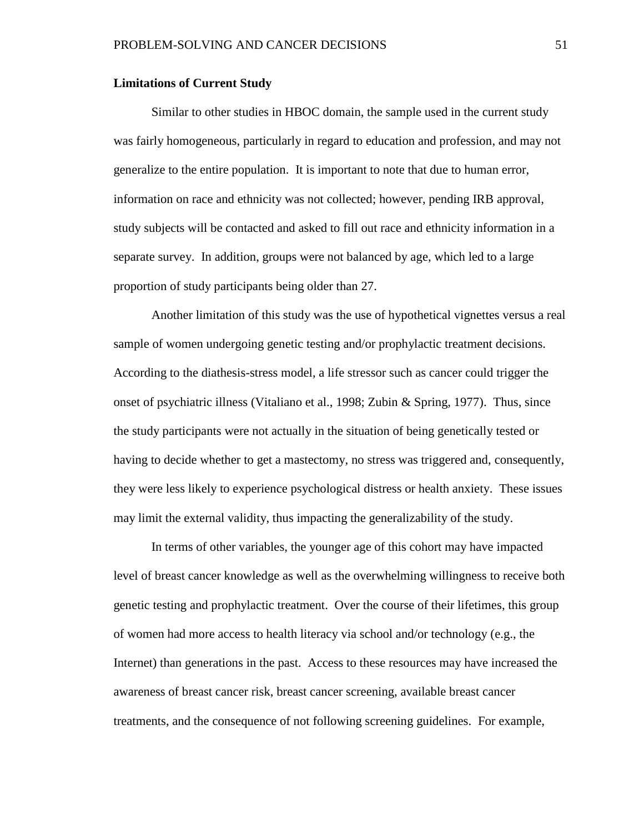#### **Limitations of Current Study**

Similar to other studies in HBOC domain, the sample used in the current study was fairly homogeneous, particularly in regard to education and profession, and may not generalize to the entire population. It is important to note that due to human error, information on race and ethnicity was not collected; however, pending IRB approval, study subjects will be contacted and asked to fill out race and ethnicity information in a separate survey. In addition, groups were not balanced by age, which led to a large proportion of study participants being older than 27.

Another limitation of this study was the use of hypothetical vignettes versus a real sample of women undergoing genetic testing and/or prophylactic treatment decisions. According to the diathesis-stress model, a life stressor such as cancer could trigger the onset of psychiatric illness (Vitaliano et al., 1998; Zubin & Spring, 1977). Thus, since the study participants were not actually in the situation of being genetically tested or having to decide whether to get a mastectomy, no stress was triggered and, consequently, they were less likely to experience psychological distress or health anxiety. These issues may limit the external validity, thus impacting the generalizability of the study.

In terms of other variables, the younger age of this cohort may have impacted level of breast cancer knowledge as well as the overwhelming willingness to receive both genetic testing and prophylactic treatment. Over the course of their lifetimes, this group of women had more access to health literacy via school and/or technology (e.g., the Internet) than generations in the past. Access to these resources may have increased the awareness of breast cancer risk, breast cancer screening, available breast cancer treatments, and the consequence of not following screening guidelines. For example,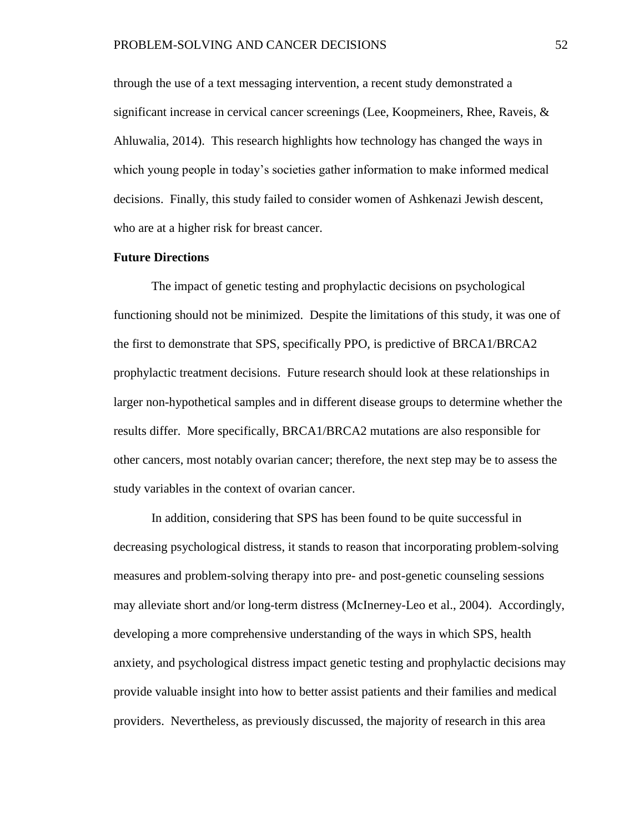through the use of a text messaging intervention, a recent study demonstrated a significant increase in cervical cancer screenings (Lee, Koopmeiners, Rhee, Raveis, & Ahluwalia, 2014). This research highlights how technology has changed the ways in which young people in today's societies gather information to make informed medical decisions. Finally, this study failed to consider women of Ashkenazi Jewish descent, who are at a higher risk for breast cancer.

### **Future Directions**

The impact of genetic testing and prophylactic decisions on psychological functioning should not be minimized. Despite the limitations of this study, it was one of the first to demonstrate that SPS, specifically PPO, is predictive of BRCA1/BRCA2 prophylactic treatment decisions. Future research should look at these relationships in larger non-hypothetical samples and in different disease groups to determine whether the results differ. More specifically, BRCA1/BRCA2 mutations are also responsible for other cancers, most notably ovarian cancer; therefore, the next step may be to assess the study variables in the context of ovarian cancer.

In addition, considering that SPS has been found to be quite successful in decreasing psychological distress, it stands to reason that incorporating problem-solving measures and problem-solving therapy into pre- and post-genetic counseling sessions may alleviate short and/or long-term distress (McInerney-Leo et al., 2004). Accordingly, developing a more comprehensive understanding of the ways in which SPS, health anxiety, and psychological distress impact genetic testing and prophylactic decisions may provide valuable insight into how to better assist patients and their families and medical providers. Nevertheless, as previously discussed, the majority of research in this area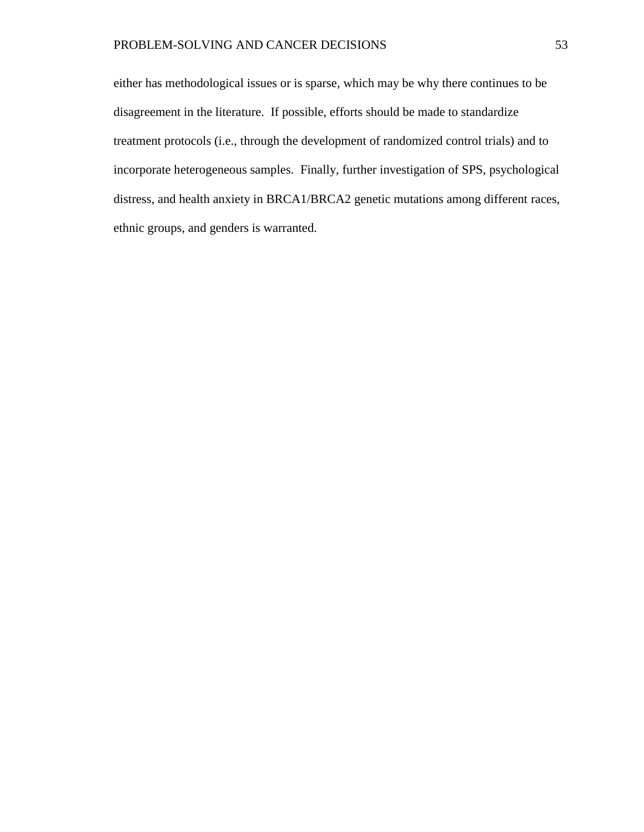either has methodological issues or is sparse, which may be why there continues to be disagreement in the literature. If possible, efforts should be made to standardize treatment protocols (i.e., through the development of randomized control trials) and to incorporate heterogeneous samples. Finally, further investigation of SPS, psychological distress, and health anxiety in BRCA1/BRCA2 genetic mutations among different races, ethnic groups, and genders is warranted.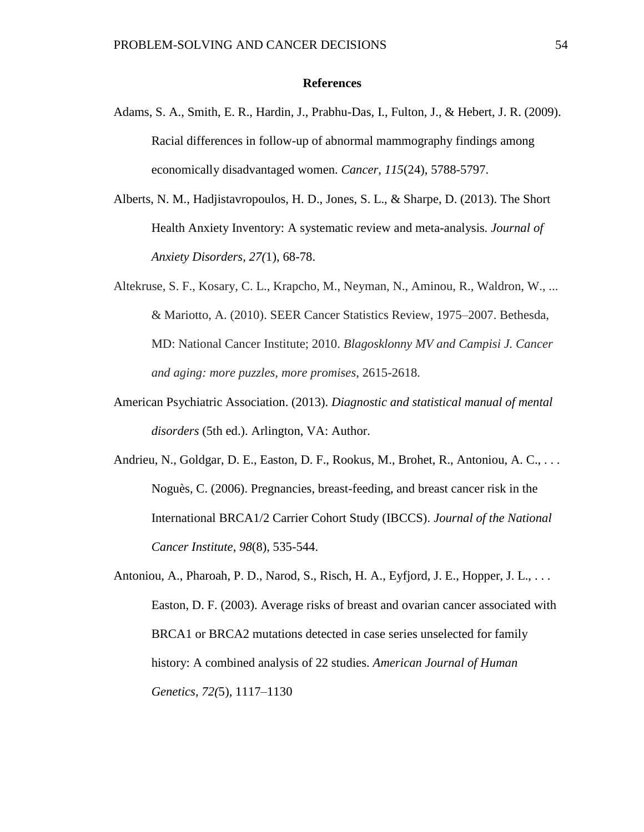#### **References**

- Adams, S. A., Smith, E. R., Hardin, J., Prabhu-Das, I., Fulton, J., & Hebert, J. R. (2009). Racial differences in follow-up of abnormal mammography findings among economically disadvantaged women. *Cancer, 115*(24), 5788-5797.
- Alberts, N. M., Hadjistavropoulos, H. D., Jones, S. L., & Sharpe, D. (2013). The Short Health Anxiety Inventory: A systematic review and meta-analysis*. Journal of Anxiety Disorders, 27(*1), 68-78.
- Altekruse, S. F., Kosary, C. L., Krapcho, M., Neyman, N., Aminou, R., Waldron, W., ... & Mariotto, A. (2010). SEER Cancer Statistics Review, 1975–2007. Bethesda, MD: National Cancer Institute; 2010. *Blagosklonny MV and Campisi J. Cancer and aging: more puzzles, more promises*, 2615-2618.
- American Psychiatric Association. (2013). *Diagnostic and statistical manual of mental disorders* (5th ed.). Arlington, VA: Author.
- Andrieu, N., Goldgar, D. E., Easton, D. F., Rookus, M., Brohet, R., Antoniou, A. C., . . . Noguès, C. (2006). Pregnancies, breast-feeding, and breast cancer risk in the International BRCA1/2 Carrier Cohort Study (IBCCS). *Journal of the National Cancer Institute*, *98*(8), 535-544.
- Antoniou, A., Pharoah, P. D., Narod, S., Risch, H. A., Eyfjord, J. E., Hopper, J. L., ... Easton, D. F. (2003). Average risks of breast and ovarian cancer associated with BRCA1 or BRCA2 mutations detected in case series unselected for family history: A combined analysis of 22 studies. *American Journal of Human Genetics, 72(*5), 1117–1130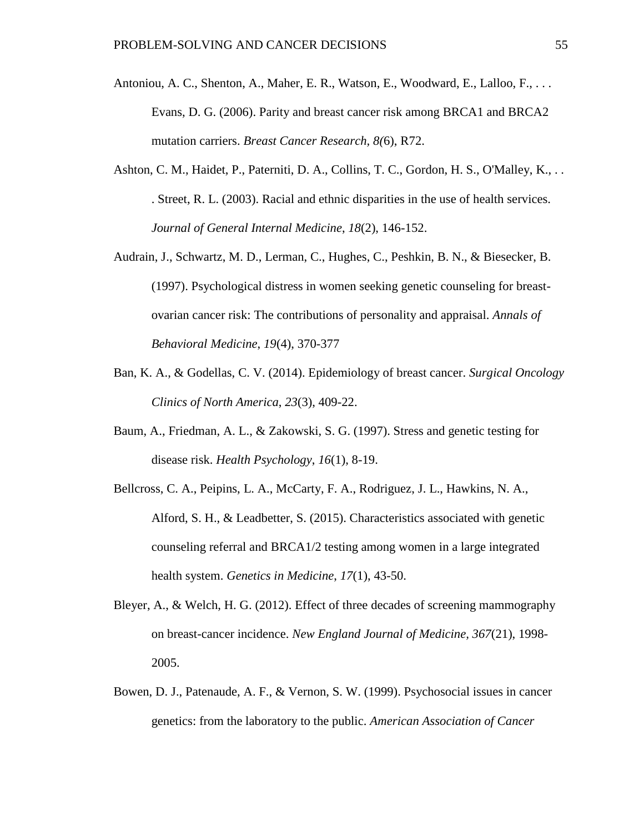- Antoniou, A. C., Shenton, A., Maher, E. R., Watson, E., Woodward, E., Lalloo, F., . . . Evans, D. G. (2006). Parity and breast cancer risk among BRCA1 and BRCA2 mutation carriers. *Breast Cancer Research, 8(*6), R72.
- Ashton, C. M., Haidet, P., Paterniti, D. A., Collins, T. C., Gordon, H. S., O'Malley, K., . . . Street, R. L. (2003). Racial and ethnic disparities in the use of health services. *Journal of General Internal Medicine*, *18*(2), 146-152.
- Audrain, J., Schwartz, M. D., Lerman, C., Hughes, C., Peshkin, B. N., & Biesecker, B. (1997). Psychological distress in women seeking genetic counseling for breastovarian cancer risk: The contributions of personality and appraisal. *Annals of Behavioral Medicine*, *19*(4), 370-377
- Ban, K. A., & Godellas, C. V. (2014). Epidemiology of breast cancer. *Surgical Oncology Clinics of North America*, *23*(3), 409-22.
- Baum, A., Friedman, A. L., & Zakowski, S. G. (1997). Stress and genetic testing for disease risk. *Health Psychology*, *16*(1), 8-19.
- Bellcross, C. A., Peipins, L. A., McCarty, F. A., Rodriguez, J. L., Hawkins, N. A., Alford, S. H., & Leadbetter, S. (2015). Characteristics associated with genetic counseling referral and BRCA1/2 testing among women in a large integrated health system. *Genetics in Medicine*, *17*(1), 43-50.
- Bleyer, A., & Welch, H. G. (2012). Effect of three decades of screening mammography on breast-cancer incidence. *New England Journal of Medicine, 367*(21), 1998- 2005.
- Bowen, D. J., Patenaude, A. F., & Vernon, S. W. (1999). Psychosocial issues in cancer genetics: from the laboratory to the public. *American Association of Cancer*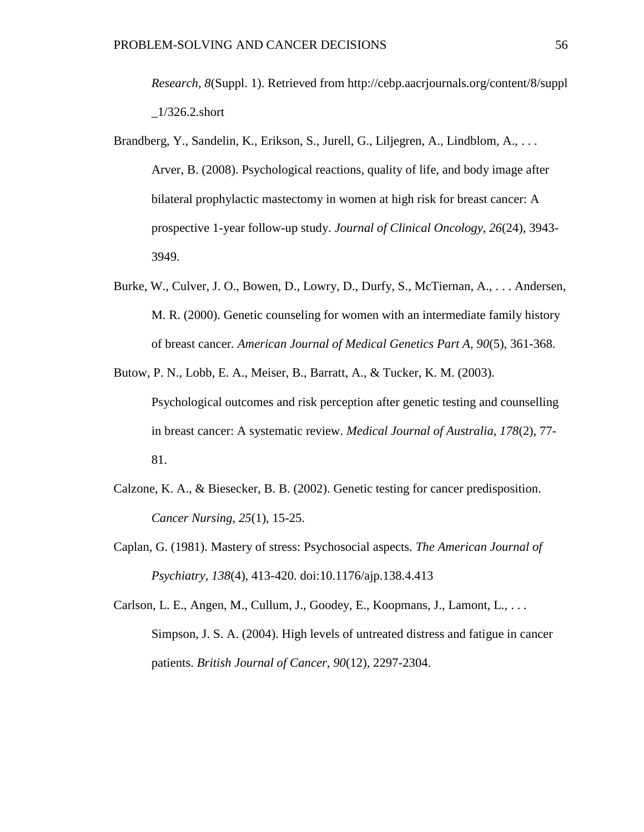*Research, 8*(Suppl. 1). Retrieved from http://cebp.aacrjournals.org/content/8/suppl  $1/326.2$ .short

- Brandberg, Y., Sandelin, K., Erikson, S., Jurell, G., Liljegren, A., Lindblom, A., . . . Arver, B. (2008). Psychological reactions, quality of life, and body image after bilateral prophylactic mastectomy in women at high risk for breast cancer: A prospective 1-year follow-up study. *Journal of Clinical Oncology*, *26*(24), 3943- 3949.
- Burke, W., Culver, J. O., Bowen, D., Lowry, D., Durfy, S., McTiernan, A., . . . Andersen, M. R. (2000). Genetic counseling for women with an intermediate family history of breast cancer*. American Journal of Medical Genetics Part A, 90*(5), 361-368.
- Butow, P. N., Lobb, E. A., Meiser, B., Barratt, A., & Tucker, K. M. (2003). Psychological outcomes and risk perception after genetic testing and counselling in breast cancer: A systematic review. *Medical Journal of Australia, 178*(2), 77- 81.
- Calzone, K. A., & Biesecker, B. B. (2002). Genetic testing for cancer predisposition. *Cancer Nursing*, *25*(1), 15-25.
- Caplan, G. (1981). Mastery of stress: Psychosocial aspects. *The American Journal of Psychiatry, 138*(4), 413-420. doi:10.1176/ajp.138.4.413

Carlson, L. E., Angen, M., Cullum, J., Goodey, E., Koopmans, J., Lamont, L., . . . Simpson, J. S. A. (2004). High levels of untreated distress and fatigue in cancer patients. *British Journal of Cancer*, *90*(12), 2297-2304.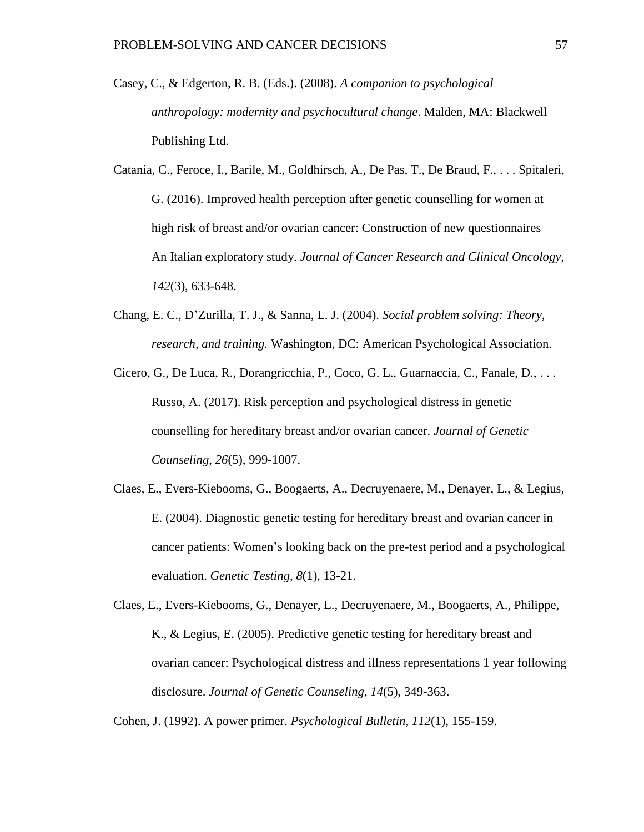- Casey, C., & Edgerton, R. B. (Eds.). (2008). *A companion to psychological anthropology: modernity and psychocultural change*. Malden, MA: Blackwell Publishing Ltd.
- Catania, C., Feroce, I., Barile, M., Goldhirsch, A., De Pas, T., De Braud, F., . . . Spitaleri, G. (2016). Improved health perception after genetic counselling for women at high risk of breast and/or ovarian cancer: Construction of new questionnaires— An Italian exploratory study. *Journal of Cancer Research and Clinical Oncology, 142*(3), 633-648.
- Chang, E. C., D'Zurilla, T. J., & Sanna, L. J. (2004). *Social problem solving: Theory, research, and training.* Washington, DC: American Psychological Association.
- Cicero, G., De Luca, R., Dorangricchia, P., Coco, G. L., Guarnaccia, C., Fanale, D., . . . Russo, A. (2017). Risk perception and psychological distress in genetic counselling for hereditary breast and/or ovarian cancer. *Journal of Genetic Counseling*, *26*(5), 999-1007.
- Claes, E., Evers-Kiebooms, G., Boogaerts, A., Decruyenaere, M., Denayer, L., & Legius, E. (2004). Diagnostic genetic testing for hereditary breast and ovarian cancer in cancer patients: Women's looking back on the pre-test period and a psychological evaluation. *Genetic Testing*, *8*(1), 13-21.
- Claes, E., Evers-Kiebooms, G., Denayer, L., Decruyenaere, M., Boogaerts, A., Philippe, K., & Legius, E. (2005). Predictive genetic testing for hereditary breast and ovarian cancer: Psychological distress and illness representations 1 year following disclosure. *Journal of Genetic Counseling*, *14*(5), 349-363.

Cohen, J. (1992). A power primer. *Psychological Bulletin*, *112*(1), 155-159.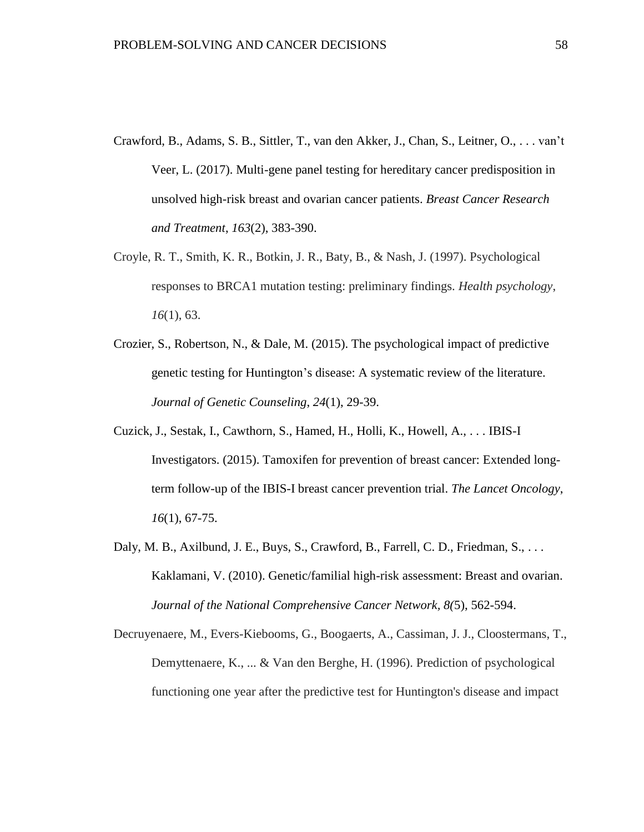- Crawford, B., Adams, S. B., Sittler, T., van den Akker, J., Chan, S., Leitner, O., . . . van't Veer, L. (2017). Multi-gene panel testing for hereditary cancer predisposition in unsolved high-risk breast and ovarian cancer patients. *Breast Cancer Research and Treatment*, *163*(2), 383-390.
- Croyle, R. T., Smith, K. R., Botkin, J. R., Baty, B., & Nash, J. (1997). Psychological responses to BRCA1 mutation testing: preliminary findings. *Health psychology*, *16*(1), 63.
- Crozier, S., Robertson, N., & Dale, M. (2015). The psychological impact of predictive genetic testing for Huntington's disease: A systematic review of the literature. *Journal of Genetic Counseling*, *24*(1), 29-39.
- Cuzick, J., Sestak, I., Cawthorn, S., Hamed, H., Holli, K., Howell, A., . . . IBIS-I Investigators. (2015). Tamoxifen for prevention of breast cancer: Extended longterm follow-up of the IBIS-I breast cancer prevention trial. *The Lancet Oncology*, *16*(1), 67-75.
- Daly, M. B., Axilbund, J. E., Buys, S., Crawford, B., Farrell, C. D., Friedman, S., ... Kaklamani, V. (2010). Genetic/familial high-risk assessment: Breast and ovarian. *Journal of the National Comprehensive Cancer Network, 8(*5), 562-594.
- Decruyenaere, M., Evers-Kiebooms, G., Boogaerts, A., Cassiman, J. J., Cloostermans, T., Demyttenaere, K., ... & Van den Berghe, H. (1996). Prediction of psychological functioning one year after the predictive test for Huntington's disease and impact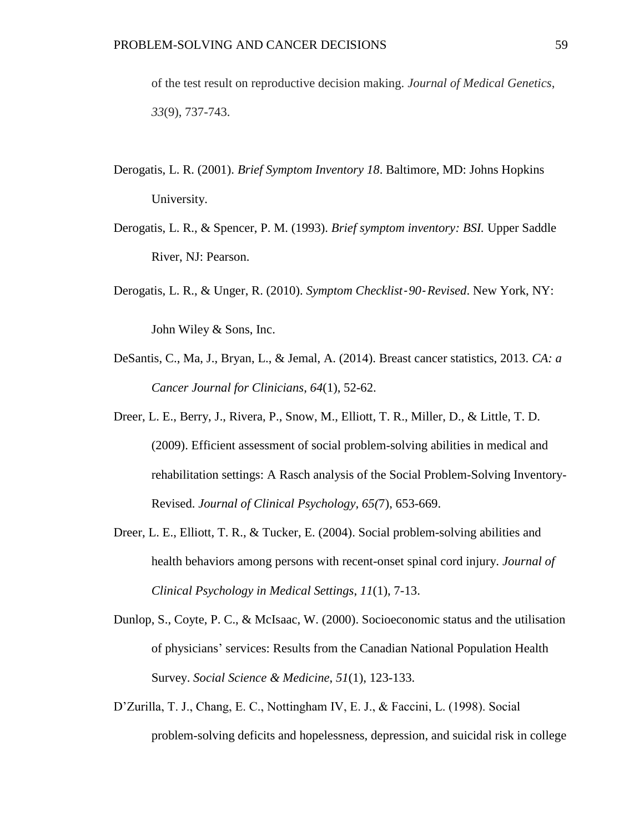of the test result on reproductive decision making. *Journal of Medical Genetics*, *33*(9), 737-743.

- Derogatis, L. R. (2001). *Brief Symptom Inventory 18*. Baltimore, MD: Johns Hopkins University.
- Derogatis, L. R., & Spencer, P. M. (1993). *Brief symptom inventory: BSI.* Upper Saddle River, NJ: Pearson.
- Derogatis, L. R., & Unger, R. (2010). *Symptom Checklist*‐ *90*‐*Revised*. New York, NY:

John Wiley & Sons, Inc.

- DeSantis, C., Ma, J., Bryan, L., & Jemal, A. (2014). Breast cancer statistics, 2013. *CA: a Cancer Journal for Clinicians*, *64*(1), 52-62.
- Dreer, L. E., Berry, J., Rivera, P., Snow, M., Elliott, T. R., Miller, D., & Little, T. D. (2009). Efficient assessment of social problem-solving abilities in medical and rehabilitation settings: A Rasch analysis of the Social Problem-Solving Inventory-Revised. *Journal of Clinical Psychology, 65(*7), 653-669.
- Dreer, L. E., Elliott, T. R., & Tucker, E. (2004). Social problem-solving abilities and health behaviors among persons with recent-onset spinal cord injury. *Journal of Clinical Psychology in Medical Settings*, *11*(1), 7-13.
- Dunlop, S., Coyte, P. C., & McIsaac, W. (2000). Socioeconomic status and the utilisation of physicians' services: Results from the Canadian National Population Health Survey. *Social Science & Medicine*, *51*(1), 123-133.
- D'Zurilla, T. J., Chang, E. C., Nottingham IV, E. J., & Faccini, L. (1998). Social problem-solving deficits and hopelessness, depression, and suicidal risk in college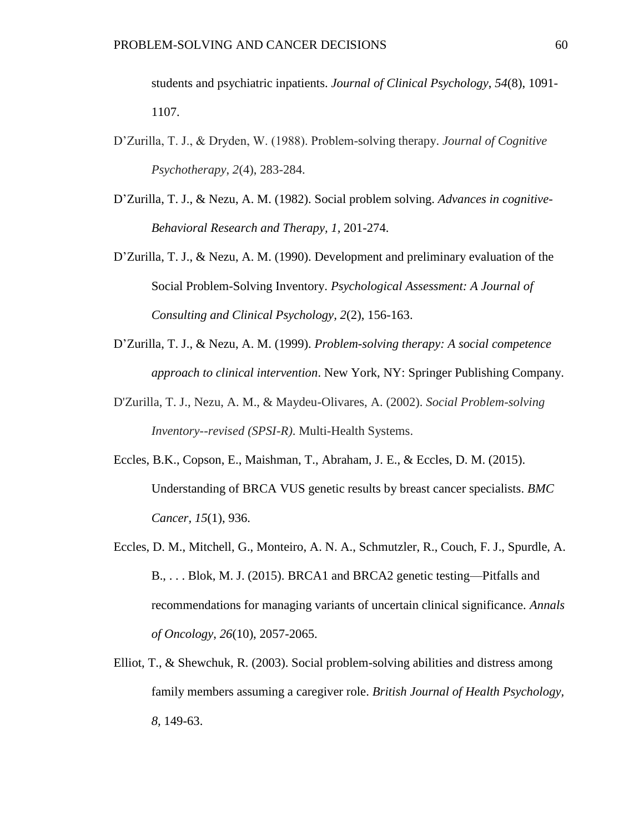students and psychiatric inpatients. *Journal of Clinical Psychology*, *54*(8), 1091- 1107.

- D'Zurilla, T. J., & Dryden, W. (1988). Problem-solving therapy. *Journal of Cognitive Psychotherapy*, *2*(4), 283-284.
- D'Zurilla, T. J., & Nezu, A. M. (1982). Social problem solving. *Advances in cognitive-Behavioral Research and Therapy, 1,* 201-274.
- D'Zurilla, T. J., & Nezu, A. M. (1990). Development and preliminary evaluation of the Social Problem-Solving Inventory. *Psychological Assessment: A Journal of Consulting and Clinical Psychology, 2*(2), 156-163.
- D'Zurilla, T. J., & Nezu, A. M. (1999). *Problem-solving therapy: A social competence approach to clinical intervention*. New York, NY: Springer Publishing Company.
- D'Zurilla, T. J., Nezu, A. M., & Maydeu-Olivares, A. (2002). *Social Problem-solving Inventory--revised (SPSI-R)*. Multi-Health Systems.
- Eccles, B.K., Copson, E., Maishman, T., Abraham, J. E., & Eccles, D. M. (2015). Understanding of BRCA VUS genetic results by breast cancer specialists. *BMC Cancer, 15*(1), 936.
- Eccles, D. M., Mitchell, G., Monteiro, A. N. A., Schmutzler, R., Couch, F. J., Spurdle, A. B., . . . Blok, M. J. (2015). BRCA1 and BRCA2 genetic testing—Pitfalls and recommendations for managing variants of uncertain clinical significance. *Annals of Oncology*, *26*(10), 2057-2065.
- Elliot, T., & Shewchuk, R. (2003). Social problem-solving abilities and distress among family members assuming a caregiver role. *British Journal of Health Psychology, 8,* 149-63.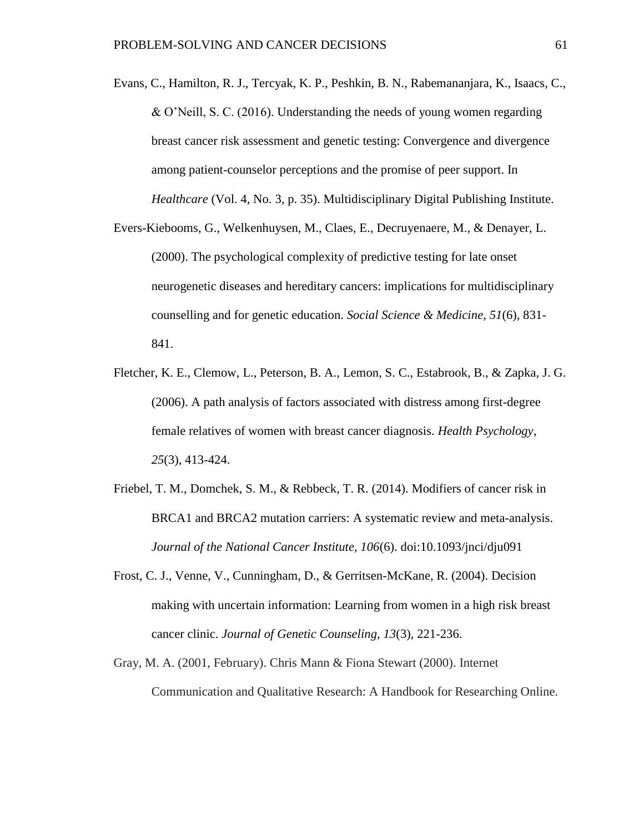- Evans, C., Hamilton, R. J., Tercyak, K. P., Peshkin, B. N., Rabemananjara, K., Isaacs, C., & O'Neill, S. C. (2016). Understanding the needs of young women regarding breast cancer risk assessment and genetic testing: Convergence and divergence among patient-counselor perceptions and the promise of peer support. In *Healthcare* (Vol. 4, No. 3, p. 35). Multidisciplinary Digital Publishing Institute.
- Evers-Kiebooms, G., Welkenhuysen, M., Claes, E., Decruyenaere, M., & Denayer, L. (2000). The psychological complexity of predictive testing for late onset neurogenetic diseases and hereditary cancers: implications for multidisciplinary counselling and for genetic education. *Social Science & Medicine*, *51*(6), 831- 841.
- Fletcher, K. E., Clemow, L., Peterson, B. A., Lemon, S. C., Estabrook, B., & Zapka, J. G. (2006). A path analysis of factors associated with distress among first-degree female relatives of women with breast cancer diagnosis. *Health Psychology*, *25*(3), 413-424.
- Friebel, T. M., Domchek, S. M., & Rebbeck, T. R. (2014). Modifiers of cancer risk in BRCA1 and BRCA2 mutation carriers: A systematic review and meta-analysis. *Journal of the National Cancer Institute, 106*(6). doi:10.1093/jnci/dju091
- Frost, C. J., Venne, V., Cunningham, D., & Gerritsen-McKane, R. (2004). Decision making with uncertain information: Learning from women in a high risk breast cancer clinic. *Journal of Genetic Counseling*, *13*(3), 221-236.
- Gray, M. A. (2001, February). Chris Mann & Fiona Stewart (2000). Internet Communication and Qualitative Research: A Handbook for Researching Online.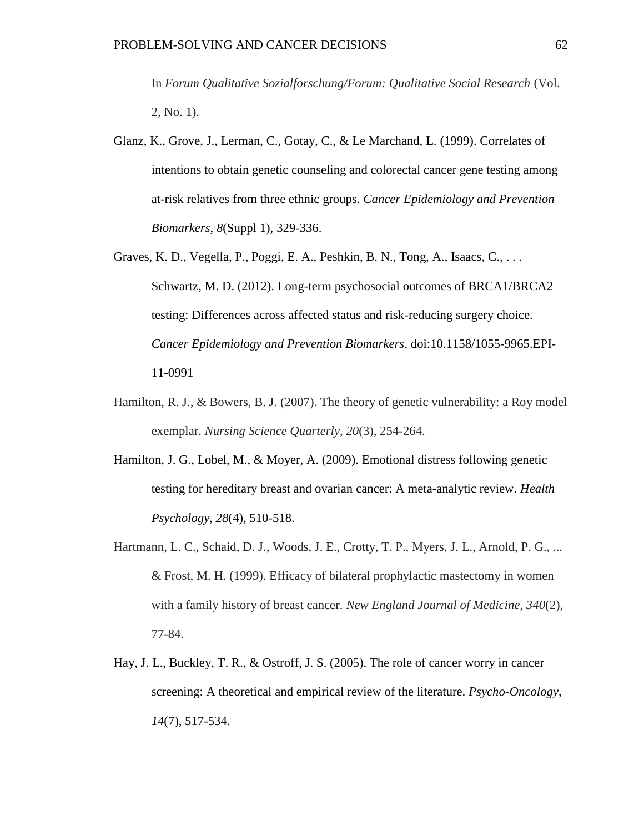In *Forum Qualitative Sozialforschung/Forum: Qualitative Social Research* (Vol. 2, No. 1).

- Glanz, K., Grove, J., Lerman, C., Gotay, C., & Le Marchand, L. (1999). Correlates of intentions to obtain genetic counseling and colorectal cancer gene testing among at-risk relatives from three ethnic groups. *Cancer Epidemiology and Prevention Biomarkers*, *8*(Suppl 1), 329-336.
- Graves, K. D., Vegella, P., Poggi, E. A., Peshkin, B. N., Tong, A., Isaacs, C., . . . Schwartz, M. D. (2012). Long-term psychosocial outcomes of BRCA1/BRCA2 testing: Differences across affected status and risk-reducing surgery choice. *Cancer Epidemiology and Prevention Biomarkers*. doi:10.1158/1055-9965.EPI-11-0991
- Hamilton, R. J., & Bowers, B. J. (2007). The theory of genetic vulnerability: a Roy model exemplar. *Nursing Science Quarterly*, *20*(3), 254-264.
- Hamilton, J. G., Lobel, M., & Moyer, A. (2009). Emotional distress following genetic testing for hereditary breast and ovarian cancer: A meta-analytic review. *Health Psychology, 28*(4), 510-518.
- Hartmann, L. C., Schaid, D. J., Woods, J. E., Crotty, T. P., Myers, J. L., Arnold, P. G., ... & Frost, M. H. (1999). Efficacy of bilateral prophylactic mastectomy in women with a family history of breast cancer. *New England Journal of Medicine*, *340*(2), 77-84.
- Hay, J. L., Buckley, T. R., & Ostroff, J. S. (2005). The role of cancer worry in cancer screening: A theoretical and empirical review of the literature. *Psycho*-*Oncology*, *14*(7), 517-534.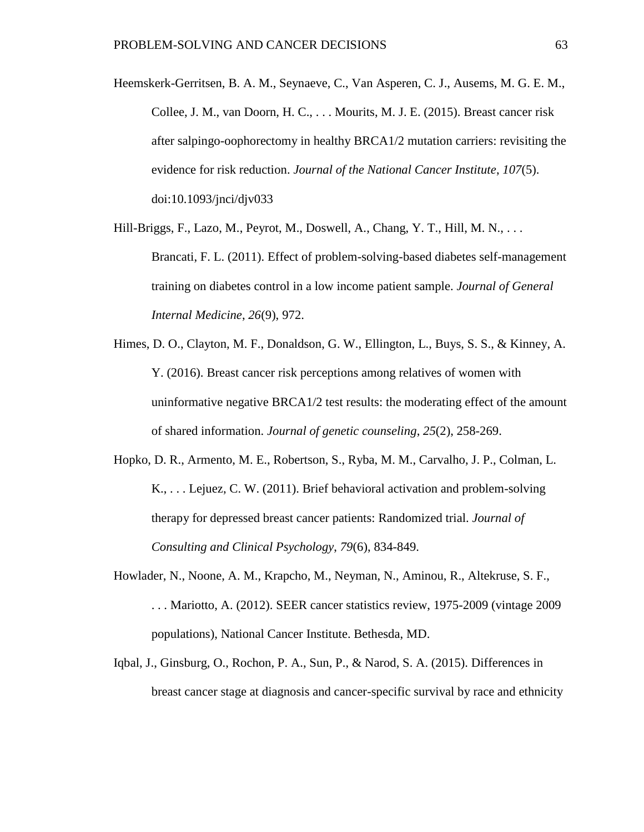- Heemskerk-Gerritsen, B. A. M., Seynaeve, C., Van Asperen, C. J., Ausems, M. G. E. M., Collee, J. M., van Doorn, H. C., . . . Mourits, M. J. E. (2015). Breast cancer risk after salpingo-oophorectomy in healthy BRCA1/2 mutation carriers: revisiting the evidence for risk reduction. *Journal of the National Cancer Institute*, *107*(5). doi:10.1093/jnci/djv033
- Hill-Briggs, F., Lazo, M., Peyrot, M., Doswell, A., Chang, Y. T., Hill, M. N., . . . Brancati, F. L. (2011). Effect of problem-solving-based diabetes self-management training on diabetes control in a low income patient sample. *Journal of General Internal Medicine*, *26*(9), 972.
- Himes, D. O., Clayton, M. F., Donaldson, G. W., Ellington, L., Buys, S. S., & Kinney, A. Y. (2016). Breast cancer risk perceptions among relatives of women with uninformative negative BRCA1/2 test results: the moderating effect of the amount of shared information. *Journal of genetic counseling*, *25*(2), 258-269.
- Hopko, D. R., Armento, M. E., Robertson, S., Ryba, M. M., Carvalho, J. P., Colman, L. K., . . . Lejuez, C. W. (2011). Brief behavioral activation and problem-solving therapy for depressed breast cancer patients: Randomized trial. *Journal of Consulting and Clinical Psychology*, *79*(6), 834-849.
- Howlader, N., Noone, A. M., Krapcho, M., Neyman, N., Aminou, R., Altekruse, S. F., . . . Mariotto, A. (2012). SEER cancer statistics review, 1975-2009 (vintage 2009 populations), National Cancer Institute. Bethesda, MD.
- Iqbal, J., Ginsburg, O., Rochon, P. A., Sun, P., & Narod, S. A. (2015). Differences in breast cancer stage at diagnosis and cancer-specific survival by race and ethnicity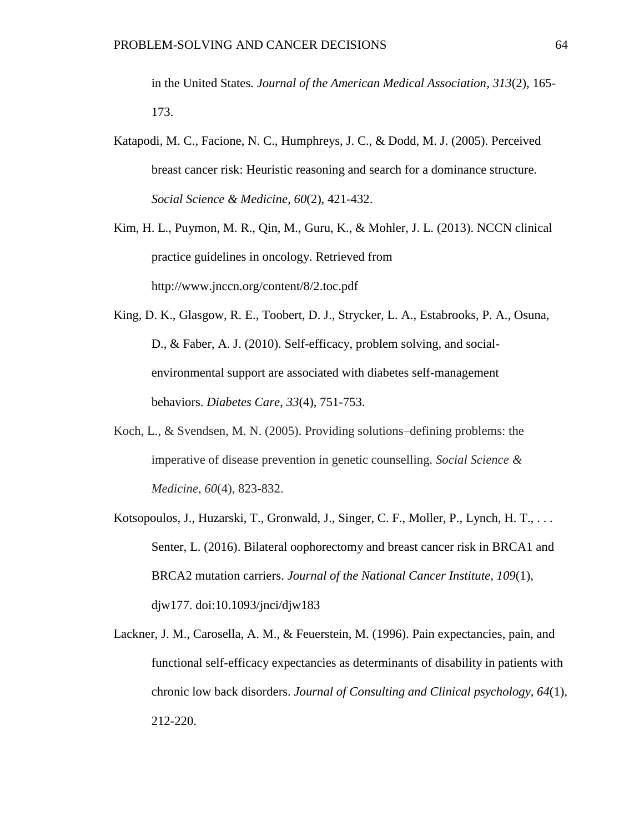in the United States. *Journal of the American Medical Association, 313*(2), 165- 173.

- Katapodi, M. C., Facione, N. C., Humphreys, J. C., & Dodd, M. J. (2005). Perceived breast cancer risk: Heuristic reasoning and search for a dominance structure. *Social Science & Medicine*, *60*(2), 421-432.
- Kim, H. L., Puymon, M. R., Qin, M., Guru, K., & Mohler, J. L. (2013). NCCN clinical practice guidelines in oncology. Retrieved from http://www.jnccn.org/content/8/2.toc.pdf
- King, D. K., Glasgow, R. E., Toobert, D. J., Strycker, L. A., Estabrooks, P. A., Osuna, D., & Faber, A. J. (2010). Self-efficacy, problem solving, and socialenvironmental support are associated with diabetes self-management behaviors. *Diabetes Care*, *33*(4), 751-753.
- Koch, L., & Svendsen, M. N. (2005). Providing solutions–defining problems: the imperative of disease prevention in genetic counselling. *Social Science & Medicine*, *60*(4), 823-832.
- Kotsopoulos, J., Huzarski, T., Gronwald, J., Singer, C. F., Moller, P., Lynch, H. T., . . . Senter, L. (2016). Bilateral oophorectomy and breast cancer risk in BRCA1 and BRCA2 mutation carriers. *Journal of the National Cancer Institute*, *109*(1), djw177. doi:10.1093/jnci/djw183
- Lackner, J. M., Carosella, A. M., & Feuerstein, M. (1996). Pain expectancies, pain, and functional self-efficacy expectancies as determinants of disability in patients with chronic low back disorders. *Journal of Consulting and Clinical psychology*, *64*(1), 212-220.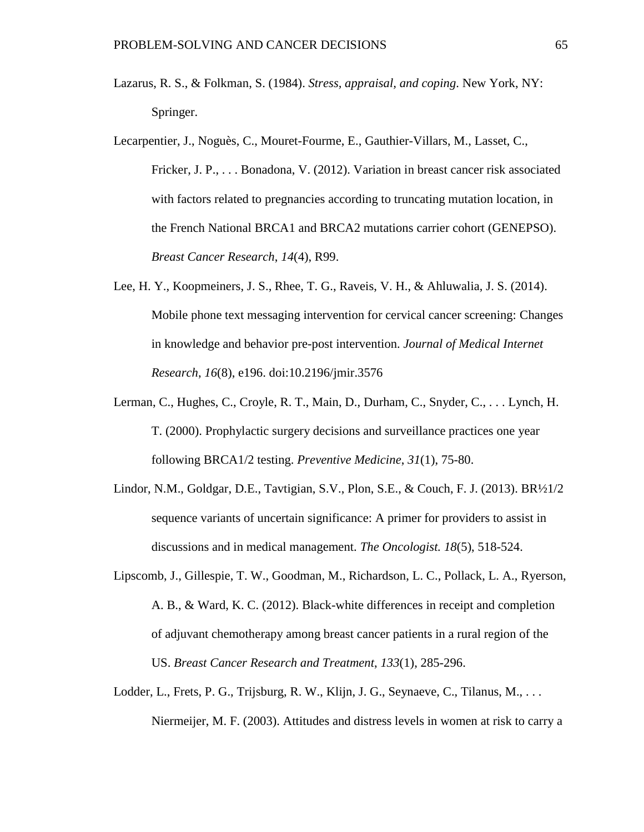- Lazarus, R. S., & Folkman, S. (1984). *Stress, appraisal, and coping*. New York, NY: Springer.
- Lecarpentier, J., Noguès, C., Mouret-Fourme, E., Gauthier-Villars, M., Lasset, C., Fricker, J. P., . . . Bonadona, V. (2012). Variation in breast cancer risk associated with factors related to pregnancies according to truncating mutation location, in the French National BRCA1 and BRCA2 mutations carrier cohort (GENEPSO). *Breast Cancer Research*, *14*(4), R99.
- Lee, H. Y., Koopmeiners, J. S., Rhee, T. G., Raveis, V. H., & Ahluwalia, J. S. (2014). Mobile phone text messaging intervention for cervical cancer screening: Changes in knowledge and behavior pre-post intervention. *Journal of Medical Internet Research*, *16*(8), e196. doi:10.2196/jmir.3576
- Lerman, C., Hughes, C., Croyle, R. T., Main, D., Durham, C., Snyder, C., . . . Lynch, H. T. (2000). Prophylactic surgery decisions and surveillance practices one year following BRCA1/2 testing. *Preventive Medicine*, *31*(1), 75-80.
- Lindor, N.M., Goldgar, D.E., Tavtigian, S.V., Plon, S.E., & Couch, F. J. (2013). BR½1/2 sequence variants of uncertain significance: A primer for providers to assist in discussions and in medical management. *The Oncologist. 18*(5), 518-524.
- Lipscomb, J., Gillespie, T. W., Goodman, M., Richardson, L. C., Pollack, L. A., Ryerson, A. B., & Ward, K. C. (2012). Black-white differences in receipt and completion of adjuvant chemotherapy among breast cancer patients in a rural region of the US. *Breast Cancer Research and Treatment*, *133*(1), 285-296.
- Lodder, L., Frets, P. G., Trijsburg, R. W., Klijn, J. G., Seynaeve, C., Tilanus, M., ... Niermeijer, M. F. (2003). Attitudes and distress levels in women at risk to carry a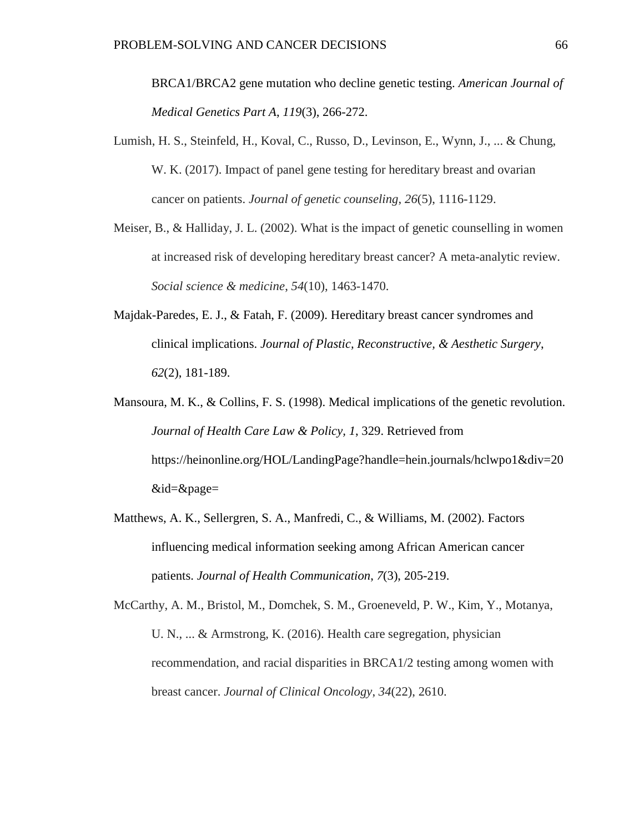BRCA1/BRCA2 gene mutation who decline genetic testing. *American Journal of Medical Genetics Part A*, *119*(3), 266-272.

- Lumish, H. S., Steinfeld, H., Koval, C., Russo, D., Levinson, E., Wynn, J., ... & Chung, W. K. (2017). Impact of panel gene testing for hereditary breast and ovarian cancer on patients. *Journal of genetic counseling*, *26*(5), 1116-1129.
- Meiser, B., & Halliday, J. L. (2002). What is the impact of genetic counselling in women at increased risk of developing hereditary breast cancer? A meta-analytic review. *Social science & medicine*, *54*(10), 1463-1470.
- Majdak-Paredes, E. J., & Fatah, F. (2009). Hereditary breast cancer syndromes and clinical implications. *Journal of Plastic, Reconstructive, & Aesthetic Surgery*, *62*(2), 181-189.
- Mansoura, M. K., & Collins, F. S. (1998). Medical implications of the genetic revolution. *Journal of Health Care Law & Policy, 1*, 329. Retrieved from https://heinonline.org/HOL/LandingPage?handle=hein.journals/hclwpo1&div=20 &id=&page=
- Matthews, A. K., Sellergren, S. A., Manfredi, C., & Williams, M. (2002). Factors influencing medical information seeking among African American cancer patients. *Journal of Health Communication*, *7*(3), 205-219.
- McCarthy, A. M., Bristol, M., Domchek, S. M., Groeneveld, P. W., Kim, Y., Motanya, U. N., ... & Armstrong, K. (2016). Health care segregation, physician recommendation, and racial disparities in BRCA1/2 testing among women with breast cancer. *Journal of Clinical Oncology*, *34*(22), 2610.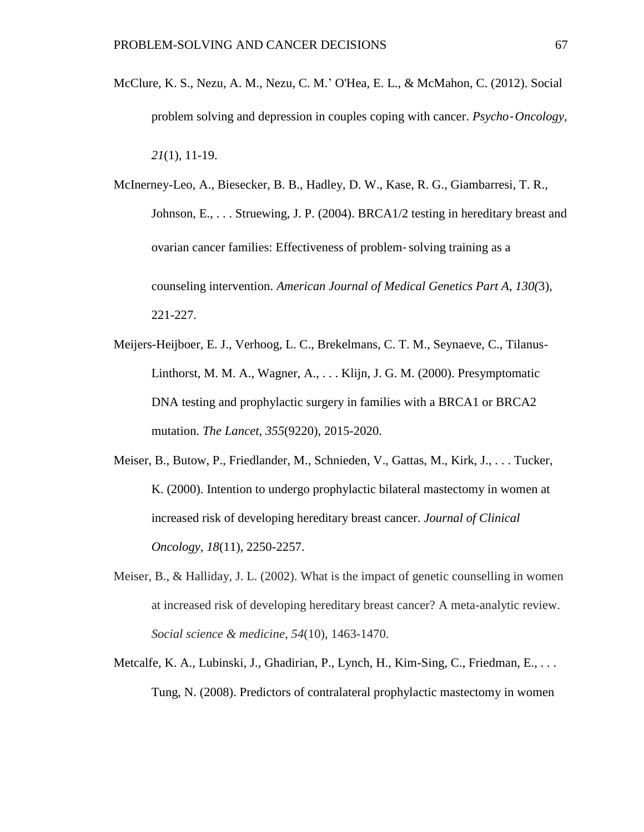- McClure, K. S., Nezu, A. M., Nezu, C. M.' O'Hea, E. L., & McMahon, C. (2012). Social problem solving and depression in couples coping with cancer. *Psycho*‐*Oncology*, *21*(1), 11-19.
- McInerney-Leo, A., Biesecker, B. B., Hadley, D. W., Kase, R. G., Giambarresi, T. R., Johnson, E., . . . Struewing, J. P. (2004). BRCA1/2 testing in hereditary breast and ovarian cancer families: Effectiveness of problem‐solving training as a counseling intervention. *American Journal of Medical Genetics Part A, 130(*3), 221-227.
- Meijers-Heijboer, E. J., Verhoog, L. C., Brekelmans, C. T. M., Seynaeve, C., Tilanus-Linthorst, M. M. A., Wagner, A., . . . Klijn, J. G. M. (2000). Presymptomatic DNA testing and prophylactic surgery in families with a BRCA1 or BRCA2 mutation. *The Lancet*, *355*(9220), 2015-2020.
- Meiser, B., Butow, P., Friedlander, M., Schnieden, V., Gattas, M., Kirk, J., . . . Tucker, K. (2000). Intention to undergo prophylactic bilateral mastectomy in women at increased risk of developing hereditary breast cancer. *Journal of Clinical Oncology*, *18*(11), 2250-2257.
- Meiser, B., & Halliday, J. L. (2002). What is the impact of genetic counselling in women at increased risk of developing hereditary breast cancer? A meta-analytic review. *Social science & medicine*, *54*(10), 1463-1470.
- Metcalfe, K. A., Lubinski, J., Ghadirian, P., Lynch, H., Kim-Sing, C., Friedman, E., . . . Tung, N. (2008). Predictors of contralateral prophylactic mastectomy in women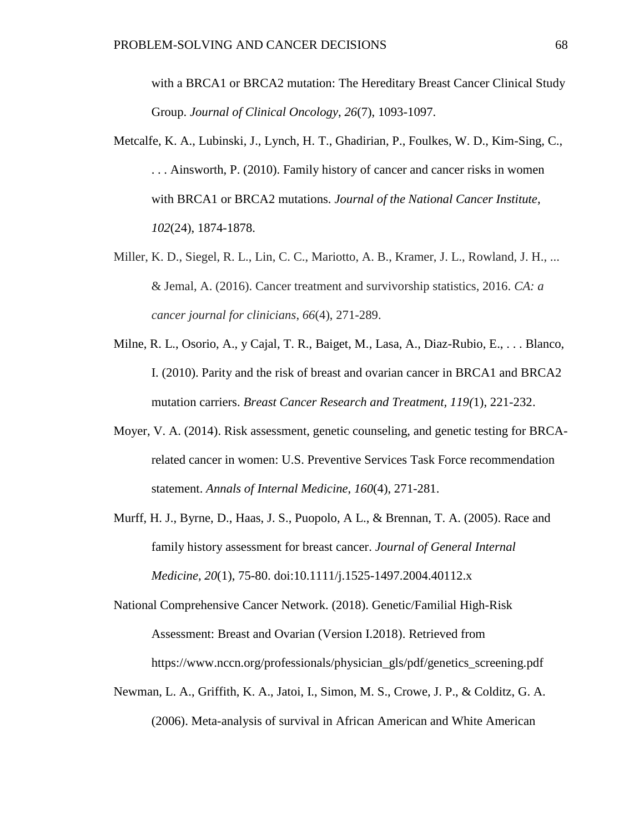with a BRCA1 or BRCA2 mutation: The Hereditary Breast Cancer Clinical Study Group. *Journal of Clinical Oncology*, *26*(7), 1093-1097.

- Metcalfe, K. A., Lubinski, J., Lynch, H. T., Ghadirian, P., Foulkes, W. D., Kim-Sing, C., . . . Ainsworth, P. (2010). Family history of cancer and cancer risks in women with BRCA1 or BRCA2 mutations. *Journal of the National Cancer Institute*, *102*(24), 1874-1878.
- Miller, K. D., Siegel, R. L., Lin, C. C., Mariotto, A. B., Kramer, J. L., Rowland, J. H., ... & Jemal, A. (2016). Cancer treatment and survivorship statistics, 2016. *CA: a cancer journal for clinicians*, *66*(4), 271-289.
- Milne, R. L., Osorio, A., y Cajal, T. R., Baiget, M., Lasa, A., Diaz-Rubio, E., . . . Blanco, I. (2010). Parity and the risk of breast and ovarian cancer in BRCA1 and BRCA2 mutation carriers. *Breast Cancer Research and Treatment, 119(*1), 221-232.
- Moyer, V. A. (2014). Risk assessment, genetic counseling, and genetic testing for BRCArelated cancer in women: U.S. Preventive Services Task Force recommendation statement. *Annals of Internal Medicine*, *160*(4), 271-281.
- Murff, H. J., Byrne, D., Haas, J. S., Puopolo, A L., & Brennan, T. A. (2005). Race and family history assessment for breast cancer. *Journal of General Internal Medicine, 20*(1), 75-80. doi:10.1111/j.1525-1497.2004.40112.x

National Comprehensive Cancer Network. (2018). Genetic/Familial High-Risk Assessment: Breast and Ovarian (Version I.2018). Retrieved from https://www.nccn.org/professionals/physician\_gls/pdf/genetics\_screening.pdf

Newman, L. A., Griffith, K. A., Jatoi, I., Simon, M. S., Crowe, J. P., & Colditz, G. A. (2006). Meta-analysis of survival in African American and White American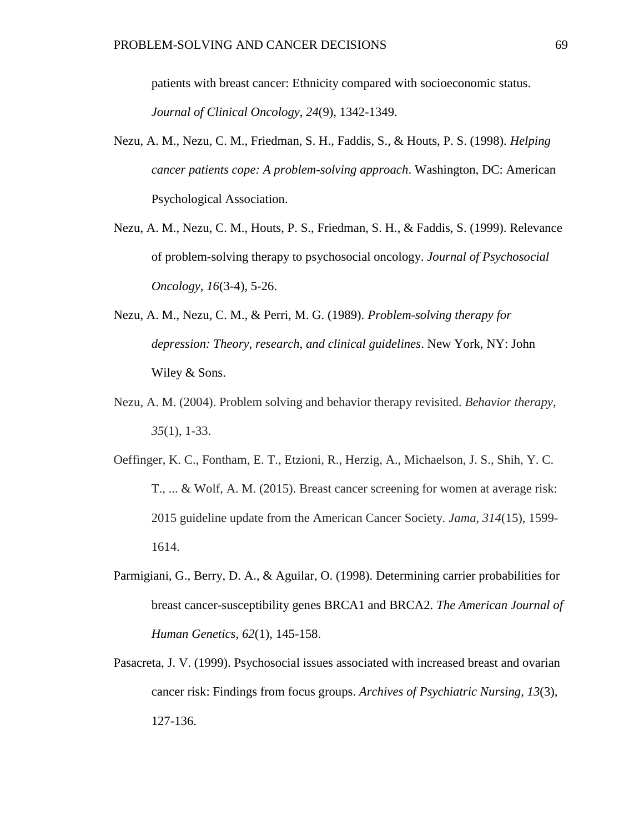patients with breast cancer: Ethnicity compared with socioeconomic status. *Journal of Clinical Oncology*, *24*(9), 1342-1349.

- Nezu, A. M., Nezu, C. M., Friedman, S. H., Faddis, S., & Houts, P. S. (1998). *Helping cancer patients cope: A problem-solving approach*. Washington, DC: American Psychological Association.
- Nezu, A. M., Nezu, C. M., Houts, P. S., Friedman, S. H., & Faddis, S. (1999). Relevance of problem-solving therapy to psychosocial oncology. *Journal of Psychosocial Oncology*, *16*(3-4), 5-26.
- Nezu, A. M., Nezu, C. M., & Perri, M. G. (1989). *Problem-solving therapy for depression: Theory, research, and clinical guidelines*. New York, NY: John Wiley & Sons.
- Nezu, A. M. (2004). Problem solving and behavior therapy revisited. *Behavior therapy*, *35*(1), 1-33.
- Oeffinger, K. C., Fontham, E. T., Etzioni, R., Herzig, A., Michaelson, J. S., Shih, Y. C. T., ... & Wolf, A. M. (2015). Breast cancer screening for women at average risk: 2015 guideline update from the American Cancer Society. *Jama*, *314*(15), 1599- 1614.
- Parmigiani, G., Berry, D. A., & Aguilar, O. (1998). Determining carrier probabilities for breast cancer-susceptibility genes BRCA1 and BRCA2. *The American Journal of Human Genetics*, *62*(1), 145-158.
- Pasacreta, J. V. (1999). Psychosocial issues associated with increased breast and ovarian cancer risk: Findings from focus groups. *Archives of Psychiatric Nursing, 13*(3), 127-136.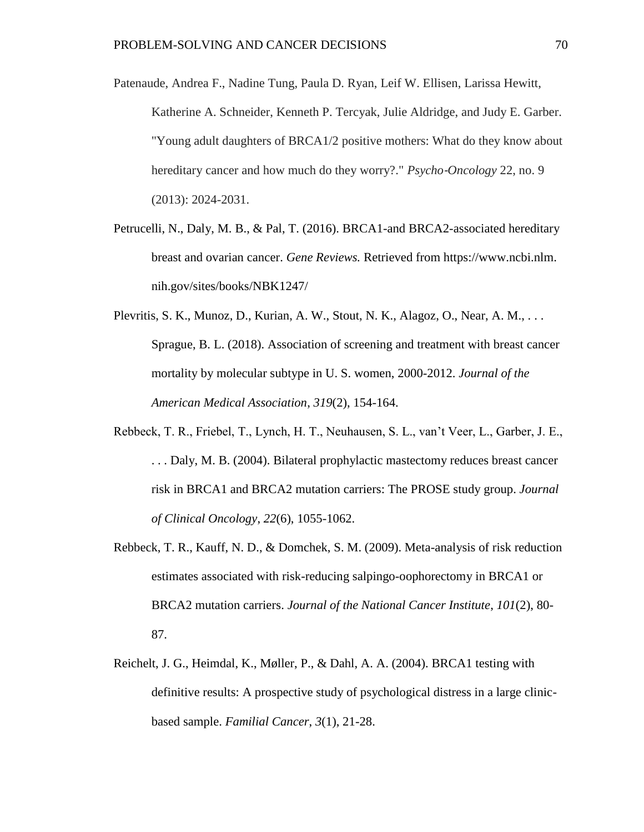Patenaude, Andrea F., Nadine Tung, Paula D. Ryan, Leif W. Ellisen, Larissa Hewitt, Katherine A. Schneider, Kenneth P. Tercyak, Julie Aldridge, and Judy E. Garber. "Young adult daughters of BRCA1/2 positive mothers: What do they know about hereditary cancer and how much do they worry?." *Psycho*‐*Oncology* 22, no. 9 (2013): 2024-2031.

- Petrucelli, N., Daly, M. B., & Pal, T. (2016). BRCA1-and BRCA2-associated hereditary breast and ovarian cancer. *Gene Reviews.* Retrieved from https://www.ncbi.nlm. nih.gov/sites/books/NBK1247/
- Plevritis, S. K., Munoz, D., Kurian, A. W., Stout, N. K., Alagoz, O., Near, A. M., ... Sprague, B. L. (2018). Association of screening and treatment with breast cancer mortality by molecular subtype in U. S. women, 2000-2012. *Journal of the American Medical Association*, *319*(2), 154-164.
- Rebbeck, T. R., Friebel, T., Lynch, H. T., Neuhausen, S. L., van't Veer, L., Garber, J. E., . . . Daly, M. B. (2004). Bilateral prophylactic mastectomy reduces breast cancer risk in BRCA1 and BRCA2 mutation carriers: The PROSE study group. *Journal of Clinical Oncology*, *22*(6), 1055-1062.
- Rebbeck, T. R., Kauff, N. D., & Domchek, S. M. (2009). Meta-analysis of risk reduction estimates associated with risk-reducing salpingo-oophorectomy in BRCA1 or BRCA2 mutation carriers. *Journal of the National Cancer Institute*, *101*(2), 80- 87.
- Reichelt, J. G., Heimdal, K., Møller, P., & Dahl, A. A. (2004). BRCA1 testing with definitive results: A prospective study of psychological distress in a large clinicbased sample. *Familial Cancer*, *3*(1), 21-28.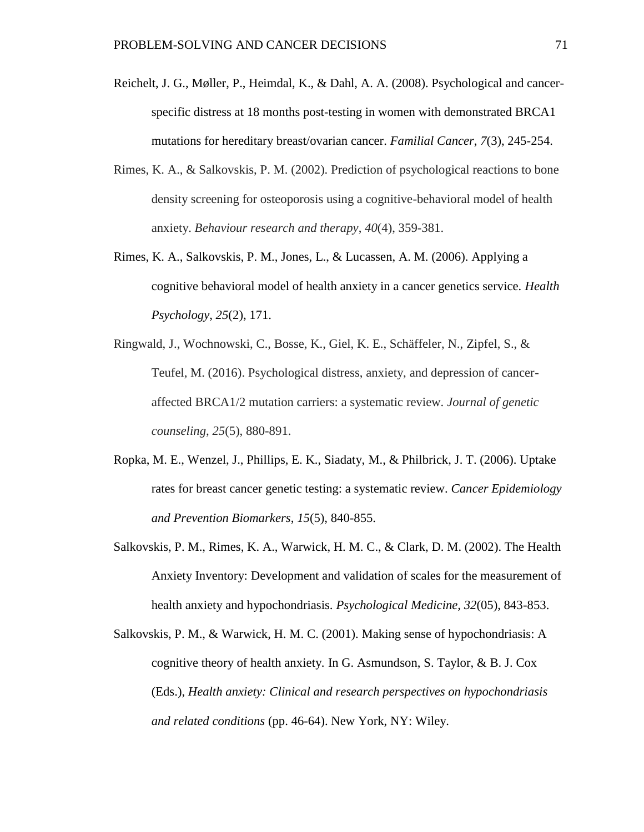- Reichelt, J. G., Møller, P., Heimdal, K., & Dahl, A. A. (2008). Psychological and cancerspecific distress at 18 months post-testing in women with demonstrated BRCA1 mutations for hereditary breast/ovarian cancer. *Familial Cancer*, *7*(3), 245-254.
- Rimes, K. A., & Salkovskis, P. M. (2002). Prediction of psychological reactions to bone density screening for osteoporosis using a cognitive-behavioral model of health anxiety. *Behaviour research and therapy*, *40*(4), 359-381.
- Rimes, K. A., Salkovskis, P. M., Jones, L., & Lucassen, A. M. (2006). Applying a cognitive behavioral model of health anxiety in a cancer genetics service. *Health Psychology*, *25*(2), 171.
- Ringwald, J., Wochnowski, C., Bosse, K., Giel, K. E., Schäffeler, N., Zipfel, S., & Teufel, M. (2016). Psychological distress, anxiety, and depression of canceraffected BRCA1/2 mutation carriers: a systematic review. *Journal of genetic counseling*, *25*(5), 880-891.
- Ropka, M. E., Wenzel, J., Phillips, E. K., Siadaty, M., & Philbrick, J. T. (2006). Uptake rates for breast cancer genetic testing: a systematic review. *Cancer Epidemiology and Prevention Biomarkers*, *15*(5), 840-855.
- Salkovskis, P. M., Rimes, K. A., Warwick, H. M. C., & Clark, D. M. (2002). The Health Anxiety Inventory: Development and validation of scales for the measurement of health anxiety and hypochondriasis. *Psychological Medicine, 32*(05), 843-853.
- Salkovskis, P. M., & Warwick, H. M. C. (2001). Making sense of hypochondriasis: A cognitive theory of health anxiety. In G. Asmundson, S. Taylor, & B. J. Cox (Eds.), *Health anxiety: Clinical and research perspectives on hypochondriasis and related conditions* (pp. 46-64). New York, NY: Wiley.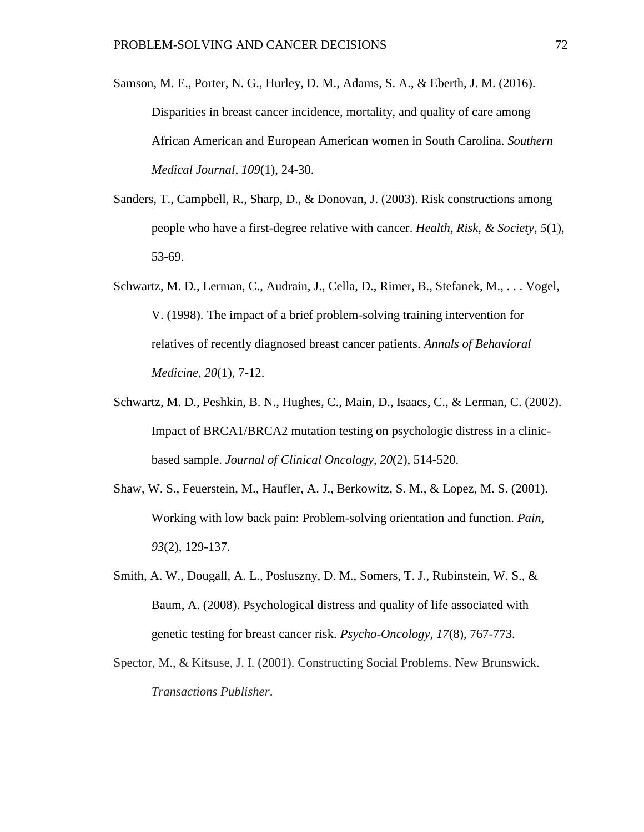Samson, M. E., Porter, N. G., Hurley, D. M., Adams, S. A., & Eberth, J. M. (2016). Disparities in breast cancer incidence, mortality, and quality of care among African American and European American women in South Carolina. *Southern Medical Journal*, *109*(1), 24-30.

- Sanders, T., Campbell, R., Sharp, D., & Donovan, J. (2003). Risk constructions among people who have a first-degree relative with cancer. *Health, Risk, & Society*, *5*(1), 53-69.
- Schwartz, M. D., Lerman, C., Audrain, J., Cella, D., Rimer, B., Stefanek, M., . . . Vogel, V. (1998). The impact of a brief problem-solving training intervention for relatives of recently diagnosed breast cancer patients. *Annals of Behavioral Medicine*, *20*(1), 7-12.
- Schwartz, M. D., Peshkin, B. N., Hughes, C., Main, D., Isaacs, C., & Lerman, C. (2002). Impact of BRCA1/BRCA2 mutation testing on psychologic distress in a clinicbased sample. *Journal of Clinical Oncology*, *20*(2), 514-520.
- Shaw, W. S., Feuerstein, M., Haufler, A. J., Berkowitz, S. M., & Lopez, M. S. (2001). Working with low back pain: Problem-solving orientation and function. *Pain*, *93*(2), 129-137.
- Smith, A. W., Dougall, A. L., Posluszny, D. M., Somers, T. J., Rubinstein, W. S., & Baum, A. (2008). Psychological distress and quality of life associated with genetic testing for breast cancer risk. *Psycho*-*Oncology*, *17*(8), 767-773.
- Spector, M., & Kitsuse, J. I. (2001). Constructing Social Problems. New Brunswick. *Transactions Publisher*.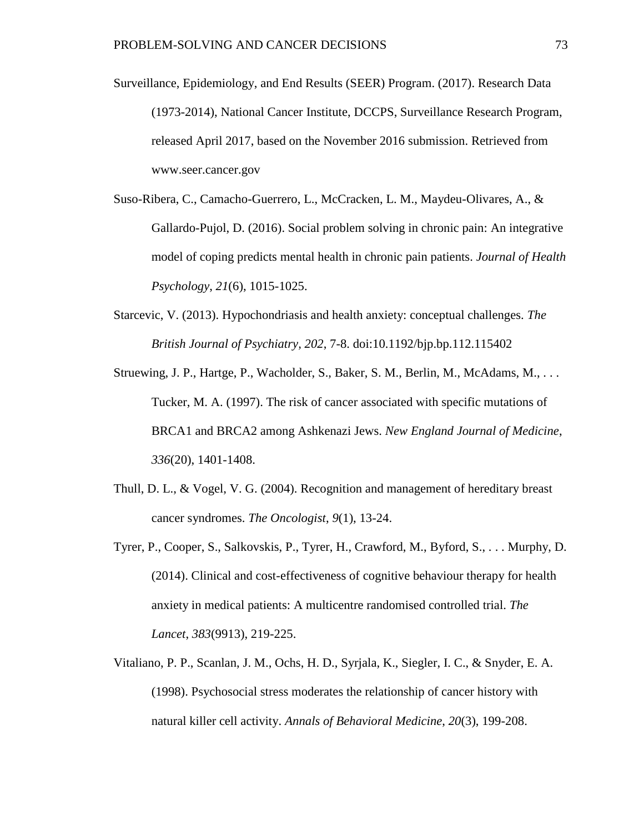- Surveillance, Epidemiology, and End Results (SEER) Program. (2017). Research Data (1973-2014), National Cancer Institute, DCCPS, Surveillance Research Program, released April 2017, based on the November 2016 submission. Retrieved from www.seer.cancer.gov
- Suso-Ribera, C., Camacho-Guerrero, L., McCracken, L. M., Maydeu-Olivares, A., & Gallardo-Pujol, D. (2016). Social problem solving in chronic pain: An integrative model of coping predicts mental health in chronic pain patients. *Journal of Health Psychology*, *21*(6), 1015-1025.
- Starcevic, V. (2013). Hypochondriasis and health anxiety: conceptual challenges. *The British Journal of Psychiatry, 202*, 7-8. doi:10.1192/bjp.bp.112.115402
- Struewing, J. P., Hartge, P., Wacholder, S., Baker, S. M., Berlin, M., McAdams, M., ... Tucker, M. A. (1997). The risk of cancer associated with specific mutations of BRCA1 and BRCA2 among Ashkenazi Jews. *New England Journal of Medicine*, *336*(20), 1401-1408.
- Thull, D. L., & Vogel, V. G. (2004). Recognition and management of hereditary breast cancer syndromes. *The Oncologist*, *9*(1), 13-24.
- Tyrer, P., Cooper, S., Salkovskis, P., Tyrer, H., Crawford, M., Byford, S., . . . Murphy, D. (2014). Clinical and cost-effectiveness of cognitive behaviour therapy for health anxiety in medical patients: A multicentre randomised controlled trial. *The Lancet*, *383*(9913), 219-225.
- Vitaliano, P. P., Scanlan, J. M., Ochs, H. D., Syrjala, K., Siegler, I. C., & Snyder, E. A. (1998). Psychosocial stress moderates the relationship of cancer history with natural killer cell activity. *Annals of Behavioral Medicine*, *20*(3), 199-208.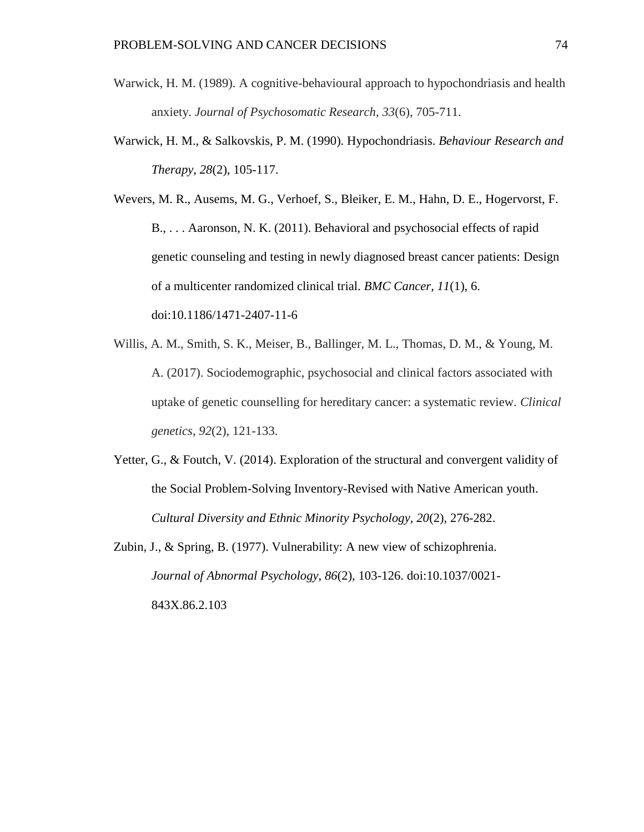- Warwick, H. M. (1989). A cognitive-behavioural approach to hypochondriasis and health anxiety. *Journal of Psychosomatic Research*, *33*(6), 705-711.
- Warwick, H. M., & Salkovskis, P. M. (1990). Hypochondriasis. *Behaviour Research and Therapy*, *28*(2), 105-117.

Wevers, M. R., Ausems, M. G., Verhoef, S., Bleiker, E. M., Hahn, D. E., Hogervorst, F. B., . . . Aaronson, N. K. (2011). Behavioral and psychosocial effects of rapid genetic counseling and testing in newly diagnosed breast cancer patients: Design of a multicenter randomized clinical trial. *BMC Cancer*, *11*(1), 6. doi:10.1186/1471-2407-11-6

- Willis, A. M., Smith, S. K., Meiser, B., Ballinger, M. L., Thomas, D. M., & Young, M. A. (2017). Sociodemographic, psychosocial and clinical factors associated with uptake of genetic counselling for hereditary cancer: a systematic review. *Clinical genetics*, *92*(2), 121-133.
- Yetter, G., & Foutch, V. (2014). Exploration of the structural and convergent validity of the Social Problem-Solving Inventory-Revised with Native American youth. *Cultural Diversity and Ethnic Minority Psychology, 20*(2), 276-282.
- Zubin, J., & Spring, B. (1977). Vulnerability: A new view of schizophrenia. *Journal of Abnormal Psychology*, *86*(2), 103-126. doi:10.1037/0021- 843X.86.2.103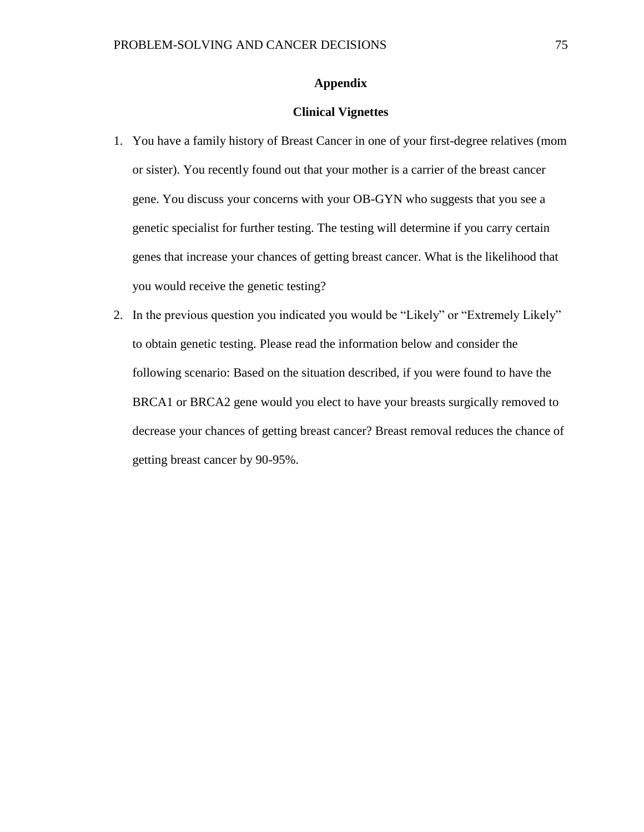## **Appendix**

## **Clinical Vignettes**

- 1. You have a family history of Breast Cancer in one of your first-degree relatives (mom or sister). You recently found out that your mother is a carrier of the breast cancer gene. You discuss your concerns with your OB-GYN who suggests that you see a genetic specialist for further testing. The testing will determine if you carry certain genes that increase your chances of getting breast cancer. What is the likelihood that you would receive the genetic testing?
- 2. In the previous question you indicated you would be "Likely" or "Extremely Likely" to obtain genetic testing. Please read the information below and consider the following scenario: Based on the situation described, if you were found to have the BRCA1 or BRCA2 gene would you elect to have your breasts surgically removed to decrease your chances of getting breast cancer? Breast removal reduces the chance of getting breast cancer by 90-95%.